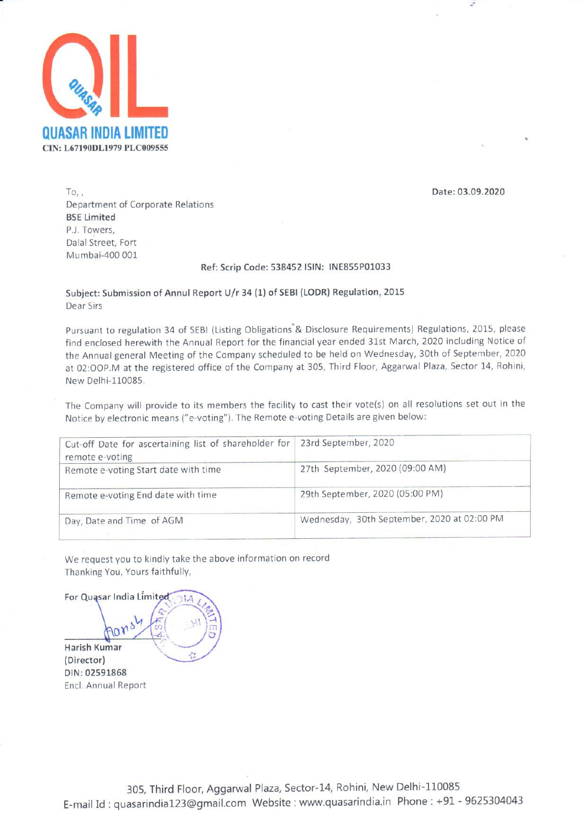

 $To,$ Department of Corporate Relations **BSE Limited** P.J. Towers, Dalal Street, Fort Mumbai-400 001

#### Ref: Scrip Code: 538452 ISIN: INE855P01033

#### Subject: Submission of Annul Report U/r 34 (1) of SEBI (LODR) Regulation, 2015 Dear Sirs

Pursuant to regulation 34 of SEBI (Listing Obligations & Disclosure Requirements) Regulations, 2015, please find enclosed herewith the Annual Report for the financial year ended 31st March, 2020 including Notice of the Annual general Meeting of the Company scheduled to be held on Wednesday, 30th of September, 2020 at 02:00P.M at the registered office of the Company at 305, Third Floor, Aggarwal Plaza, Sector 14, Rohini, New Delhi-110085.

The Company will provide to its members the facility to cast their vote(s) on all resolutions set out in the Notice by electronic means ("e-voting"). The Remote e-voting Details are given below:

| Cut-off Date for ascertaining list of shareholder for   23rd September, 2020<br>remote e-voting |                                             |
|-------------------------------------------------------------------------------------------------|---------------------------------------------|
| Remote e-voting Start date with time                                                            | 27th September, 2020 (09:00 AM)             |
| Remote e-voting End date with time                                                              | 29th September, 2020 (05:00 PM)             |
| Day, Date and Time of AGM                                                                       | Wednesday, 30th September, 2020 at 02:00 PM |

We request you to kindly take the above information on record Thanking You, Yours faithfully,

For Quasar India Limited

 $10<sup>y</sup>$ **Harish Kumar** (Director) DIN: 02591868 Encl. Annual Report Date: 03.09.2020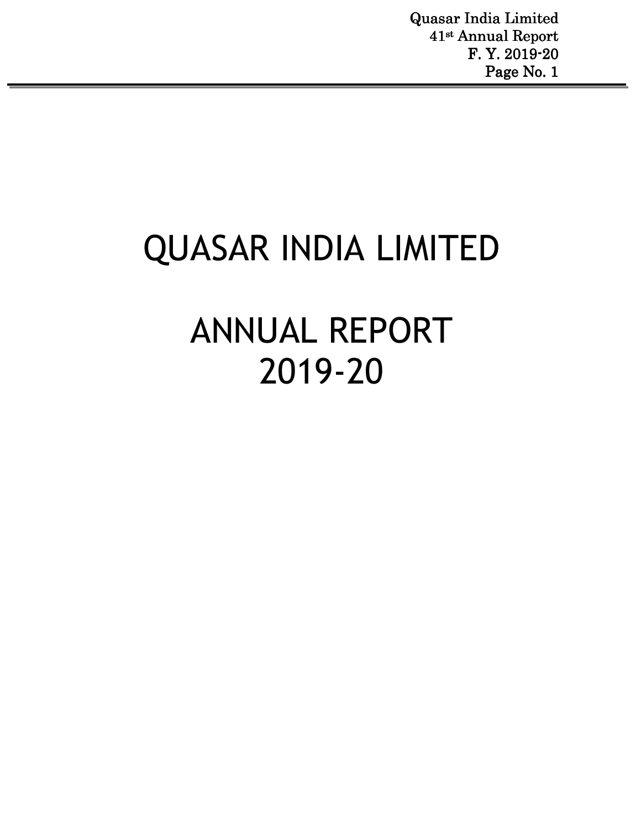i,

# QUASAR INDIA LIMITED

# ANNUAL REPORT 2019-20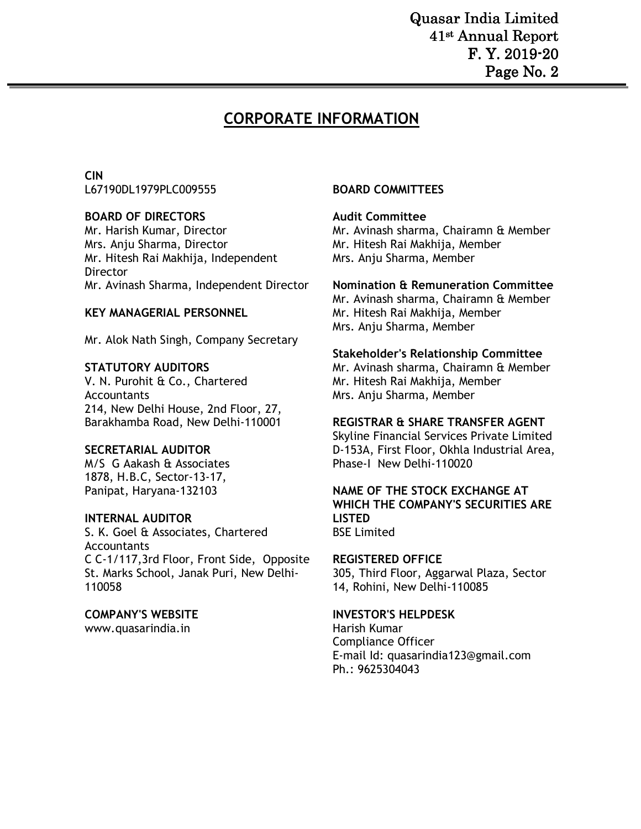i,

## <u>CORPORATE INFORMATION</u>

**-** L67190DL1979PLC009555

#### **BOARD OF DIRECTORS**

Mr. Harish Kumar, Director Mrs. Anju Sharma, Director Mr. Hitesh Rai Makhija, Independent **Director** Mr. Avinash Sharma, Independent Director

#### KEY MANAGERIAL PERSONNEL

Mr. Alok Nath Singh, Company Secretary

#### **STATUTORY AUDITORS**

V. N. Purohit & Co., Chartered **Accountants** 214, New Delhi House, 2nd Floor, 27, Barakhamba Road, New Delhi-110001

#### SECRETARIAL AUDITOR

M/S G Aakash & Associates 1878, H.B.C, Sector-13-17, Panipat, Haryana-132103

#### **INTERNAL AUDITOR**

S. K. Goel & Associates, Chartered Accountants C C1/117,3rd Floor, Front Side, Opposite St. Marks School, Janak Puri, New Delhi 110058

# COMPANY'S WEBSITE

www.quasarindia.in

#### **BOARD COMMITTEES**

#### Audit Committee

Mr. Avinash sharma, Chairamn & Member Mr. Hitesh Rai Makhija, Member Mrs. Anju Sharma, Member

#### **Nomination & Remuneration Committee**

Mr. Avinash sharma, Chairamn & Member Mr. Hitesh Rai Makhija, Member Mrs. Anju Sharma, Member

#### **Stakeholder's Relationship Committee**

Mr. Avinash sharma, Chairamn & Member Mr. Hitesh Rai Makhija, Member Mrs. Anju Sharma, Member

#### **REGISTRAR & SHARE TRANSFER AGENT**

Skyline Financial Services Private Limited D153A, First Floor, Okhla Industrial Area, Phase-I New Delhi-110020

#### NAME OF THE STOCK EXCHANGE AT WHICH THE COMPANY'S SECURITIES ARE **LISTED** BSE Limited

**REGISTERED OFFICE** 305, Third Floor, Aggarwal Plaza, Sector 14, Rohini, New Delhi-110085

#### **INVESTOR'S HELPDESK**

Harish Kumar Compliance Officer Email Id: quasarindia123@gmail.com Ph.: 9625304043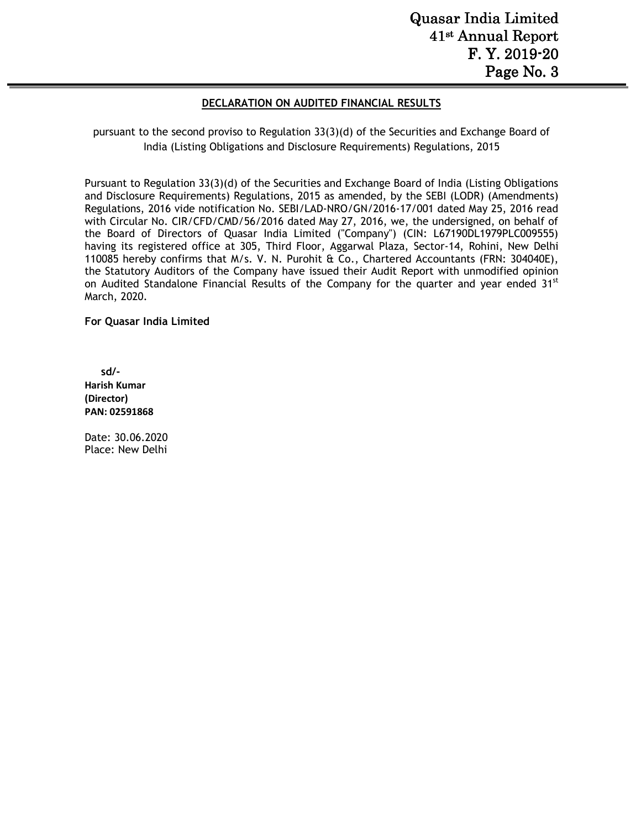i,

#### <u>**DECLARATION ON AUDITED FINANCIAL RESULTS </u>**</u>

pursuant to the second proviso to Regulation 33(3)(d) of the Securities and Exchange Board of India (Listing Obligations and Disclosure Requirements) Regulations, 2015

Pursuant to Regulation 33(3)(d) of the Securities and Exchange Board of India (Listing Obligations and Disclosure Requirements) Regulations, 2015 as amended, by the SEBI (LODR) (Amendments) Regulations, 2016 vide notification No. SEBI/LAD-NRO/GN/2016-17/001 dated May 25, 2016 read with Circular No. CIR/CFD/CMD/56/2016 dated May 27, 2016, we, the undersigned, on behalf of the Board of Directors of Quasar India Limited ("Company") (CIN: L67190DL1979PLC009555) having its registered office at 305, Third Floor, Aggarwal Plaza, Sector-14, Rohini, New Delhi 110085 hereby confirms that M/s. V. N. Purohit & Co., Chartered Accountants (FRN: 304040E), the Statutory Auditors of the Company have issued their Audit Report with unmodified opinion on Audited Standalone Financial Results of the Company for the quarter and year ended  $31<sup>st</sup>$ March, 2020.

**For Quasar India Limited** 

**%+, Harish Kumar (Director) PAN: 02591868**

Date: 30.06.2020 Place: New Delhi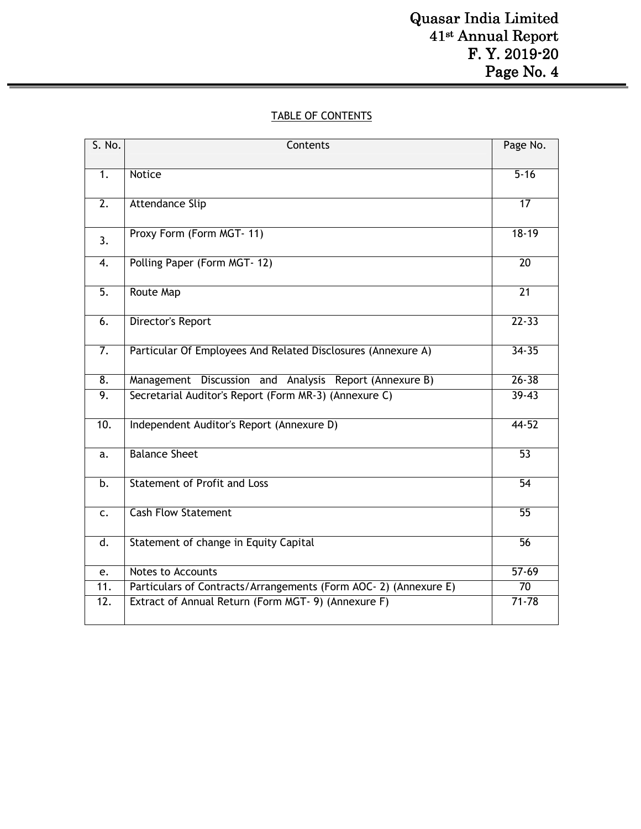i,

#### TABLE OF CONTENTS

| S. No.            | Contents                                                        | Page No.        |
|-------------------|-----------------------------------------------------------------|-----------------|
|                   |                                                                 |                 |
| 1.                | <b>Notice</b>                                                   | $5 - 16$        |
| 2.                | <b>Attendance Slip</b>                                          | 17              |
|                   |                                                                 |                 |
| 3.                | Proxy Form (Form MGT-11)                                        | $18 - 19$       |
| 4.                | Polling Paper (Form MGT-12)                                     | 20              |
| $\overline{5}$ .  | <b>Route Map</b>                                                | $\overline{21}$ |
| $\overline{6}$ .  | Director's Report                                               | $22 - 33$       |
| $\overline{7}$ .  | Particular Of Employees And Related Disclosures (Annexure A)    | $34 - 35$       |
| 8.                | Management Discussion and Analysis Report (Annexure B)          | $26 - 38$       |
| 9.                | Secretarial Auditor's Report (Form MR-3) (Annexure C)           | $39 - 43$       |
| 10.               | Independent Auditor's Report (Annexure D)                       | $44 - 52$       |
| a.                | <b>Balance Sheet</b>                                            | 53              |
| b.                | <b>Statement of Profit and Loss</b>                             | 54              |
| c.                | <b>Cash Flow Statement</b>                                      | 55              |
| d.                | Statement of change in Equity Capital                           | 56              |
| e.                | Notes to Accounts                                               | $57-69$         |
| $\overline{11}$ . | Particulars of Contracts/Arrangements (Form AOC-2) (Annexure E) | $\overline{70}$ |
| $\overline{12.}$  | Extract of Annual Return (Form MGT- 9) (Annexure F)             | $71 - 78$       |
|                   |                                                                 |                 |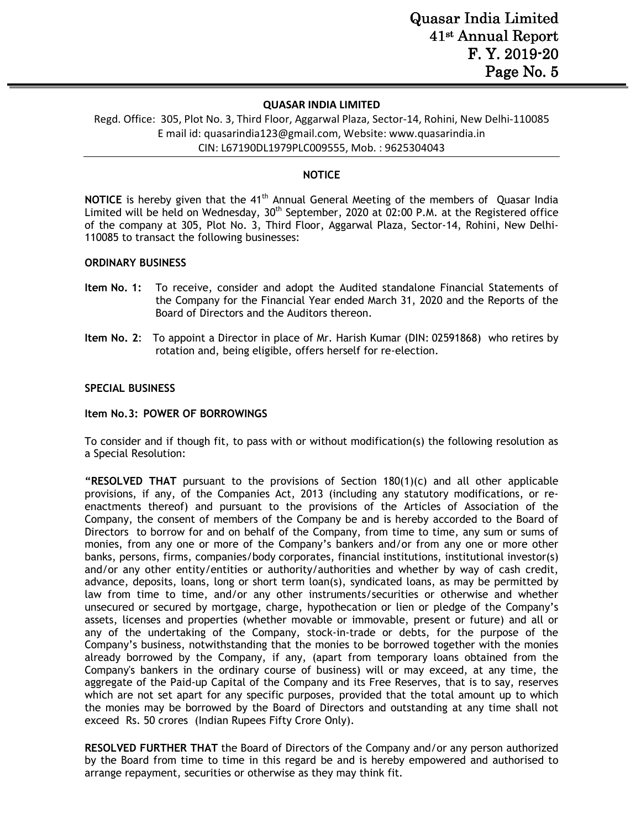i,

#### **QUASAR INDIA LIMITED**

Regd. Office: 305, Plot No. 3, Third Floor, Aggarwal Plaza, Sector-14, Rohini, New Delhi-110085 E mail id: quasarindia123@gmail.com, Website: www.quasarindia.in CIN: L67190DL1979PLC009555, Mob. : 9625304043

#### **NOTICE**

**NOTICE** is hereby given that the 41<sup>th</sup> Annual General Meeting of the members of Quasar India Limited will be held on Wednesday, 30<sup>th</sup> September, 2020 at 02:00 P.M. at the Registered office of the company at 305, Plot No. 3, Third Floor, Aggarwal Plaza, Sector-14, Rohini, New Delhi-110085 to transact the following businesses:

#### **ORDINARY BUSINESS**

- **Item No. 1:** To receive, consider and adopt the Audited standalone Financial Statements of the Company for the Financial Year ended March 31, 2020 and the Reports of the Board of Directors and the Auditors thereon.
- **Item No. 2:** To appoint a Director in place of Mr. Harish Kumar (DIN: 02591868) who retires by rotation and, being eligible, offers herself for re-election.

#### SPECIAL BUSINESS

#### **Item No.3: POWER OF BORROWINGS**

To consider and if though fit, to pass with or without modification(s) the following resolution as a Special Resolution:

**PRESOLVED THAT** pursuant to the provisions of Section  $180(1)(c)$  and all other applicable provisions, if any, of the Companies Act, 2013 (including any statutory modifications, or re enactments thereof) and pursuant to the provisions of the Articles of Association of the Company, the consent of members of the Company be and is hereby accorded to the Board of Directors to borrow for and on behalf of the Company, from time to time, any sum or sums of monies, from any one or more of the Company's bankers and/or from any one or more other banks, persons, firms, companies/body corporates, financial institutions, institutional investor(s) and/or any other entity/entities or authority/authorities and whether by way of cash credit, advance, deposits, loans, long or short term loan(s), syndicated loans, as may be permitted by law from time to time, and/or any other instruments/securities or otherwise and whether unsecured or secured by mortgage, charge, hypothecation or lien or pledge of the Company's assets, licenses and properties (whether movable or immovable, present or future) and all or any of the undertaking of the Company, stock-in-trade or debts, for the purpose of the Company's business, notwithstanding that the monies to be borrowed together with the monies already borrowed by the Company, if any, (apart from temporary loans obtained from the Company's bankers in the ordinary course of business) will or may exceed, at any time, the aggregate of the Paid-up Capital of the Company and its Free Reserves, that is to say, reserves which are not set apart for any specific purposes, provided that the total amount up to which the monies may be borrowed by the Board of Directors and outstanding at any time shall not exceed Rs. 50 crores (Indian Rupees Fifty Crore Only).

**RESOLVED FURTHER THAT** the Board of Directors of the Company and/or any person authorized by the Board from time to time in this regard be and is hereby empowered and authorised to arrange repayment, securities or otherwise as they may think fit.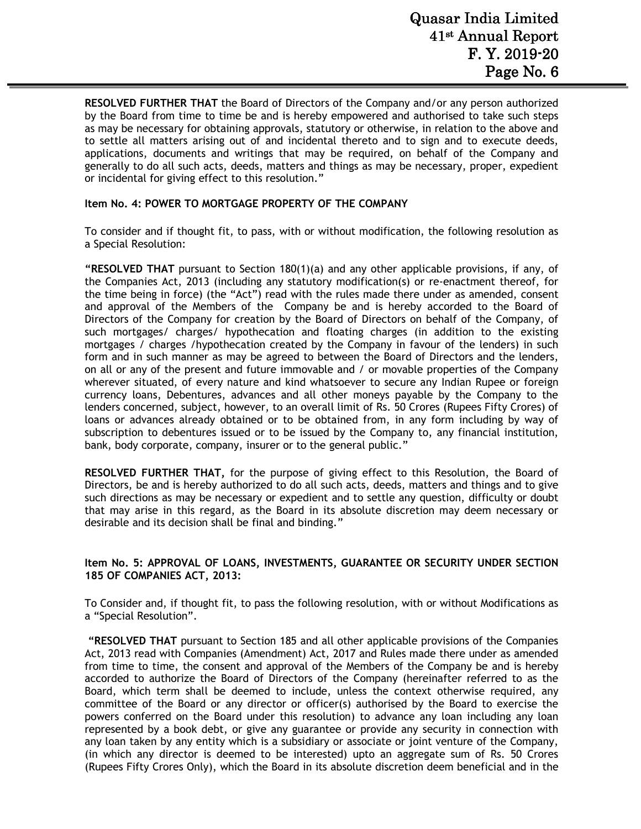i,

RESOLVED FURTHER THAT the Board of Directors of the Company and/or any person authorized by the Board from time to time be and is hereby empowered and authorised to take such steps as may be necessary for obtaining approvals, statutory or otherwise, in relation to the above and to settle all matters arising out of and incidental thereto and to sign and to execute deeds, applications, documents and writings that may be required, on behalf of the Company and generally to do all such acts, deeds, matters and things as may be necessary, proper, expedient or incidental for giving effect to this resolution."

#### Item No. 4: POWER TO MORTGAGE PROPERTY OF THE COMPANY

To consider and if thought fit, to pass, with or without modification, the following resolution as a Special Resolution:

**2)'** pursuant to Section 180(1)(a) and any other applicable provisions, if any, of the Companies Act, 2013 (including any statutory modification(s) or re-enactment thereof, for the time being in force) (the "Act") read with the rules made there under as amended, consent and approval of the Members of the Company be and is hereby accorded to the Board of Directors of the Company for creation by the Board of Directors on behalf of the Company, of such mortgages/ charges/ hypothecation and floating charges (in addition to the existing mortgages / charges /hypothecation created by the Company in favour of the lenders) in such form and in such manner as may be agreed to between the Board of Directors and the lenders, on all or any of the present and future immovable and / or movable properties of the Company wherever situated, of every nature and kind whatsoever to secure any Indian Rupee or foreign currency loans, Debentures, advances and all other moneys payable by the Company to the lenders concerned, subject, however, to an overall limit of Rs. 50 Crores (Rupees Fifty Crores) of loans or advances already obtained or to be obtained from, in any form including by way of subscription to debentures issued or to be issued by the Company to, any financial institution, bank, body corporate, company, insurer or to the general public."

**RESOLVED FURTHER THAT, for the purpose of giving effect to this Resolution, the Board of** Directors, be and is hereby authorized to do all such acts, deeds, matters and things and to give such directions as may be necessary or expedient and to settle any question, difficulty or doubt that may arise in this regard, as the Board in its absolute discretion may deem necessary or desirable and its decision shall be final and binding."

#### Item No. 5: APPROVAL OF LOANS, INVESTMENTS, GUARANTEE OR SECURITY UNDER SECTION **185 OF COMPANIES ACT, 2013:**

To Consider and, if thought fit, to pass the following resolution, with or without Modifications as a "Special Resolution".

**2)'** pursuant to Section 185 and all other applicable provisions of the Companies Act, 2013 read with Companies (Amendment) Act, 2017 and Rules made there under as amended from time to time, the consent and approval of the Members of the Company be and is hereby accorded to authorize the Board of Directors of the Company (hereinafter referred to as the Board, which term shall be deemed to include, unless the context otherwise required, any committee of the Board or any director or officer(s) authorised by the Board to exercise the powers conferred on the Board under this resolution) to advance any loan including any loan represented by a book debt, or give any guarantee or provide any security in connection with any loan taken by any entity which is a subsidiary or associate or joint venture of the Company, (in which any director is deemed to be interested) upto an aggregate sum of Rs. 50 Crores (Rupees Fifty Crores Only), which the Board in its absolute discretion deem beneficial and in the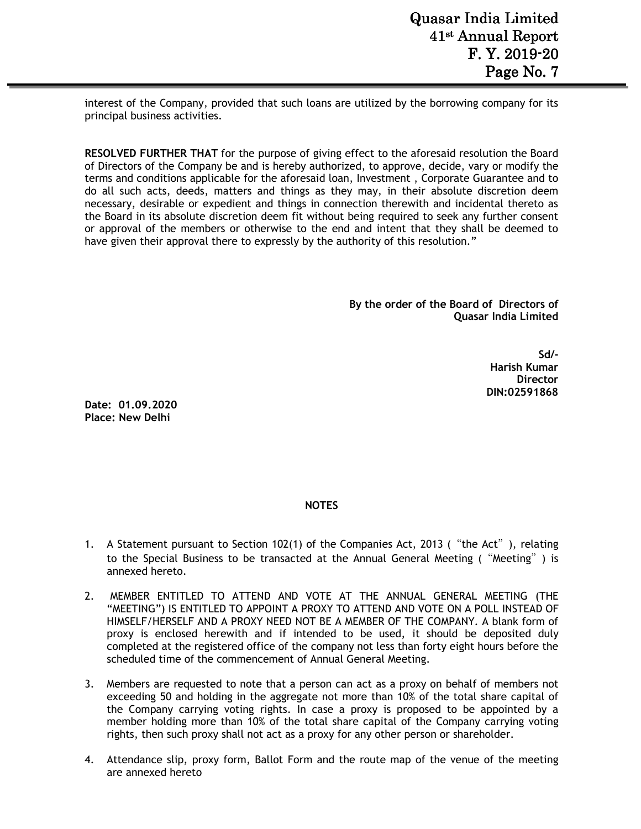interest of the Company, provided that such loans are utilized by the borrowing company for its principal business activities.

**RESOLVED FURTHER THAT** for the purpose of giving effect to the aforesaid resolution the Board of Directors of the Company be and is hereby authorized, to approve, decide, vary or modify the terms and conditions applicable for the aforesaid loan, Investment , Corporate Guarantee and to do all such acts, deeds, matters and things as they may, in their absolute discretion deem necessary, desirable or expedient and things in connection therewith and incidental thereto as the Board in its absolute discretion deem fit without being required to seek any further consent or approval of the members or otherwise to the end and intent that they shall be deemed to have given their approval there to expressly by the authority of this resolution."

> By the order of the Board of Directors of **Quasar India Limited**

> > **+, '!%#!** Director **DIN:02591868**

Date: 01.09.2020 **Place: New Delhi** 

#### **NOTES**

- 1. A Statement pursuant to Section 102(1) of the Companies Act, 2013 ("the Act"), relating to the Special Business to be transacted at the Annual General Meeting ("Meeting") is annexed hereto.
- 2. MEMBER ENTITLED TO ATTEND AND VOTE AT THE ANNUAL GENERAL MEETING (THE "MEETING") IS ENTITLED TO APPOINT A PROXY TO ATTEND AND VOTE ON A POLL INSTEAD OF HIMSELF/HERSELF AND A PROXY NEED NOT BE A MEMBER OF THE COMPANY. A blank form of proxy is enclosed herewith and if intended to be used, it should be deposited duly completed at the registered office of the company not less than forty eight hours before the scheduled time of the commencement of Annual General Meeting.
- 3. Members are requested to note that a person can act as a proxy on behalf of members not exceeding 50 and holding in the aggregate not more than 10% of the total share capital of the Company carrying voting rights. In case a proxy is proposed to be appointed by a member holding more than 10% of the total share capital of the Company carrying voting rights, then such proxy shall not act as a proxy for any other person or shareholder.
- 4. Attendance slip, proxy form, Ballot Form and the route map of the venue of the meeting are annexed hereto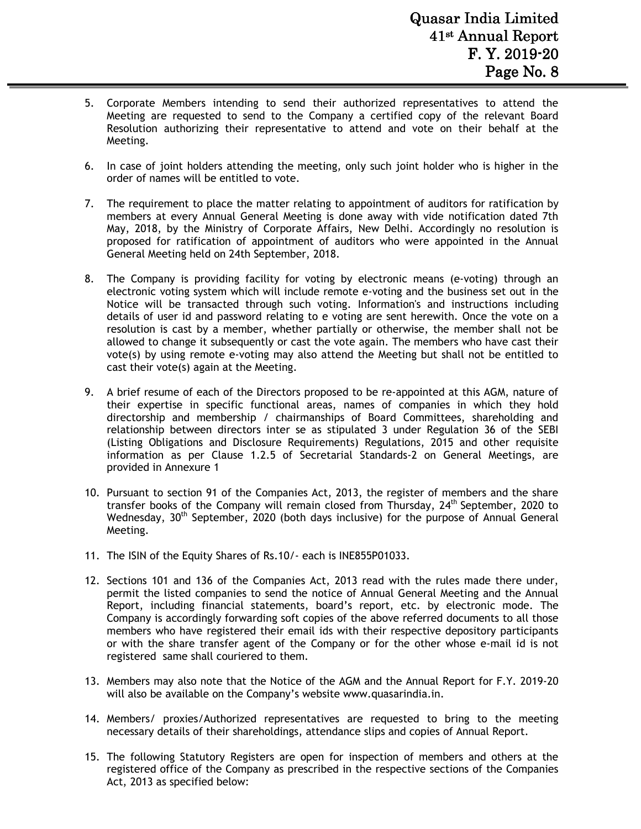- 5. Corporate Members intending to send their authorized representatives to attend the Meeting are requested to send to the Company a certified copy of the relevant Board Resolution authorizing their representative to attend and vote on their behalf at the Meeting.
- 6. In case of joint holders attending the meeting, only such joint holder who is higher in the order of names will be entitled to vote.
- 7. The requirement to place the matter relating to appointment of auditors for ratification by members at every Annual General Meeting is done away with vide notification dated 7th May, 2018, by the Ministry of Corporate Affairs, New Delhi. Accordingly no resolution is proposed for ratification of appointment of auditors who were appointed in the Annual General Meeting held on 24th September, 2018.
- 8. The Company is providing facility for voting by electronic means (evoting) through an electronic voting system which will include remote e-voting and the business set out in the Notice will be transacted through such voting. Information's and instructions including details of user id and password relating to e voting are sent herewith. Once the vote on a resolution is cast by a member, whether partially or otherwise, the member shall not be allowed to change it subsequently or cast the vote again. The members who have cast their vote(s) by using remote e-voting may also attend the Meeting but shall not be entitled to cast their vote(s) again at the Meeting.
- 9. A brief resume of each of the Directors proposed to be re-appointed at this AGM, nature of their expertise in specific functional areas, names of companies in which they hold directorship and membership / chairmanships of Board Committees, shareholding and relationship between directors inter se as stipulated 3 under Regulation 36 of the SEBI (Listing Obligations and Disclosure Requirements) Regulations, 2015 and other requisite information as per Clause 1.2.5 of Secretarial Standards-2 on General Meetings, are provided in Annexure 1
- 10. Pursuant to section 91 of the Companies Act, 2013, the register of members and the share transfer books of the Company will remain closed from Thursday, 24<sup>th</sup> September, 2020 to Wednesday, 30<sup>th</sup> September, 2020 (both days inclusive) for the purpose of Annual General Meeting.
- 11. The ISIN of the Equity Shares of Rs.10/- each is INE855P01033.
- 12. Sections 101 and 136 of the Companies Act, 2013 read with the rules made there under, permit the listed companies to send the notice of Annual General Meeting and the Annual Report, including financial statements, board's report, etc. by electronic mode. The Company is accordingly forwarding soft copies of the above referred documents to all those members who have registered their email ids with their respective depository participants or with the share transfer agent of the Company or for the other whose e-mail id is not registered same shall couriered to them.
- 13. Members may also note that the Notice of the AGM and the Annual Report for F.Y. 201920 will also be available on the Company's website www.quasarindia.in.
- 14. Members/ proxies/Authorized representatives are requested to bring to the meeting necessary details of their shareholdings, attendance slips and copies of Annual Report.
- 15. The following Statutory Registers are open for inspection of members and others at the registered office of the Company as prescribed in the respective sections of the Companies Act, 2013 as specified below: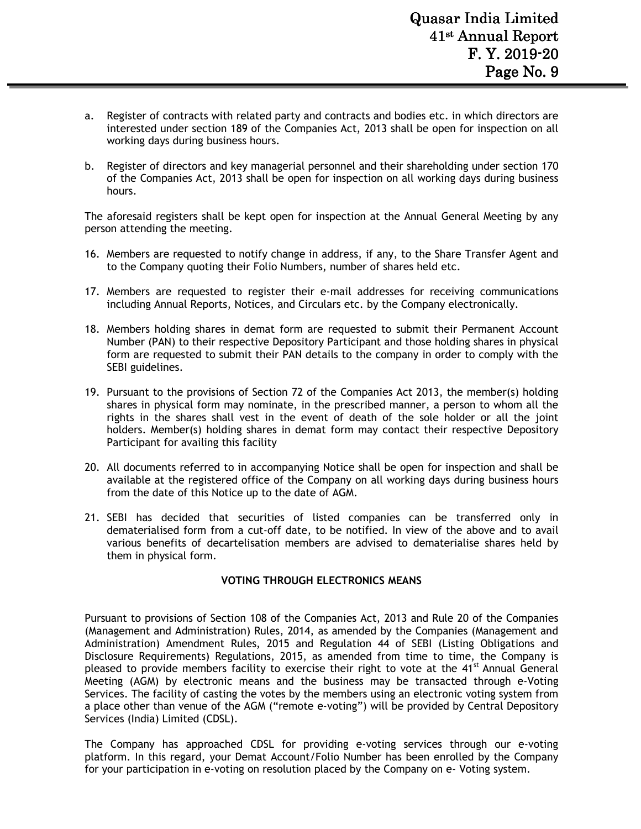- a. Register of contracts with related party and contracts and bodies etc. in which directors are interested under section 189 of the Companies Act, 2013 shall be open for inspection on all working days during business hours.
- b. Register of directors and key managerial personnel and their shareholding under section 170 of the Companies Act, 2013 shall be open for inspection on all working days during business hours.

The aforesaid registers shall be kept open for inspection at the Annual General Meeting by any person attending the meeting.

- 16. Members are requested to notify change in address, if any, to the Share Transfer Agent and to the Company quoting their Folio Numbers, number of shares held etc.
- 17. Members are requested to register their e-mail addresses for receiving communications including Annual Reports, Notices, and Circulars etc. by the Company electronically.
- 18. Members holding shares in demat form are requested to submit their Permanent Account Number (PAN) to their respective Depository Participant and those holding shares in physical form are requested to submit their PAN details to the company in order to comply with the SEBI guidelines.
- 19. Pursuant to the provisions of Section 72 of the Companies Act 2013, the member(s) holding shares in physical form may nominate, in the prescribed manner, a person to whom all the rights in the shares shall vest in the event of death of the sole holder or all the joint holders. Member(s) holding shares in demat form may contact their respective Depository Participant for availing this facility
- 20. All documents referred to in accompanying Notice shall be open for inspection and shall be available at the registered office of the Company on all working days during business hours from the date of this Notice up to the date of AGM.
- 21. SEBI has decided that securities of listed companies can be transferred only in dematerialised form from a cut-off date, to be notified. In view of the above and to avail various benefits of decartelisation members are advised to dematerialise shares held by them in physical form.

#### **VOTING THROUGH ELECTRONICS MEANS**

Pursuant to provisions of Section 108 of the Companies Act, 2013 and Rule 20 of the Companies (Management and Administration) Rules, 2014, as amended by the Companies (Management and Administration) Amendment Rules, 2015 and Regulation 44 of SEBI (Listing Obligations and Disclosure Requirements) Regulations, 2015, as amended from time to time, the Company is pleased to provide members facility to exercise their right to vote at the 41<sup>st</sup> Annual General Meeting (AGM) by electronic means and the business may be transacted through e-Voting Services. The facility of casting the votes by the members using an electronic voting system from a place other than venue of the AGM ("remote e-voting") will be provided by Central Depository Services (India) Limited (CDSL).

The Company has approached CDSL for providing e-voting services through our e-voting platform. In this regard, your Demat Account/Folio Number has been enrolled by the Company for your participation in e-voting on resolution placed by the Company on e- Voting system.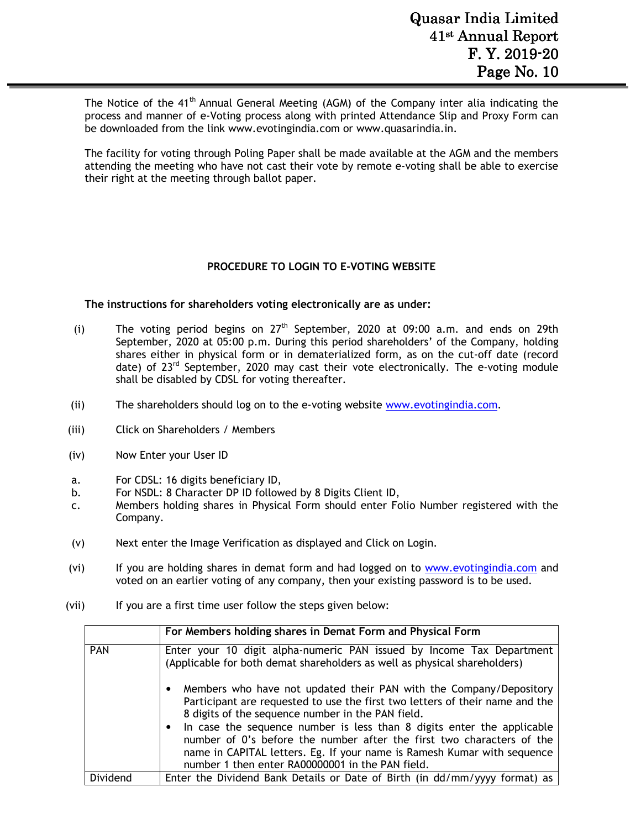The Notice of the  $41<sup>th</sup>$  Annual General Meeting (AGM) of the Company inter alia indicating the process and manner of e-Voting process along with printed Attendance Slip and Proxy Form can be downloaded from the link www.evotingindia.com or www.quasarindia.in.

The facility for voting through Poling Paper shall be made available at the AGM and the members attending the meeting who have not cast their vote by remote e-voting shall be able to exercise their right at the meeting through ballot paper.

#### PROCEDURE TO LOGIN TO E-VOTING WEBSITE

The instructions for shareholders voting electronically are as under:

- (i) The voting period begins on  $27<sup>th</sup>$  September, 2020 at 09:00 a.m. and ends on 29th September, 2020 at 05:00 p.m. During this period shareholders' of the Company, holding shares either in physical form or in dematerialized form, as on the cut-off date (record date) of  $23<sup>rd</sup>$  September, 2020 may cast their vote electronically. The e-voting module shall be disabled by CDSL for voting thereafter.
- $(i)$  The shareholders should log on to the e-voting website www.evotingindia.com.
- (iii) Click on Shareholders / Members
- (iv) Now Enter your User ID
- a. For CDSL: 16 digits beneficiary ID,
- b. For NSDL: 8 Character DP ID followed by 8 Digits Client ID,
- c. Members holding shares in Physical Form should enter Folio Number registered with the Company.
- (v) Next enter the Image Verification as displayed and Click on Login.
- (vi) If you are holding shares in demat form and had logged on to www.evotingindia.com and voted on an earlier voting of any company, then your existing password is to be used.
- (vii) If you are a first time user follow the steps given below:

|            | For Members holding shares in Demat Form and Physical Form                                                                                                                                                                                                                       |  |  |  |
|------------|----------------------------------------------------------------------------------------------------------------------------------------------------------------------------------------------------------------------------------------------------------------------------------|--|--|--|
| <b>PAN</b> | Enter your 10 digit alpha-numeric PAN issued by Income Tax Department<br>(Applicable for both demat shareholders as well as physical shareholders)                                                                                                                               |  |  |  |
|            | Members who have not updated their PAN with the Company/Depository<br>٠<br>Participant are requested to use the first two letters of their name and the<br>8 digits of the sequence number in the PAN field.                                                                     |  |  |  |
|            | • In case the sequence number is less than 8 digits enter the applicable<br>number of 0's before the number after the first two characters of the<br>name in CAPITAL letters. Eg. If your name is Ramesh Kumar with sequence<br>number 1 then enter RA00000001 in the PAN field. |  |  |  |
| Dividend   | Enter the Dividend Bank Details or Date of Birth (in dd/mm/yyyy format) as                                                                                                                                                                                                       |  |  |  |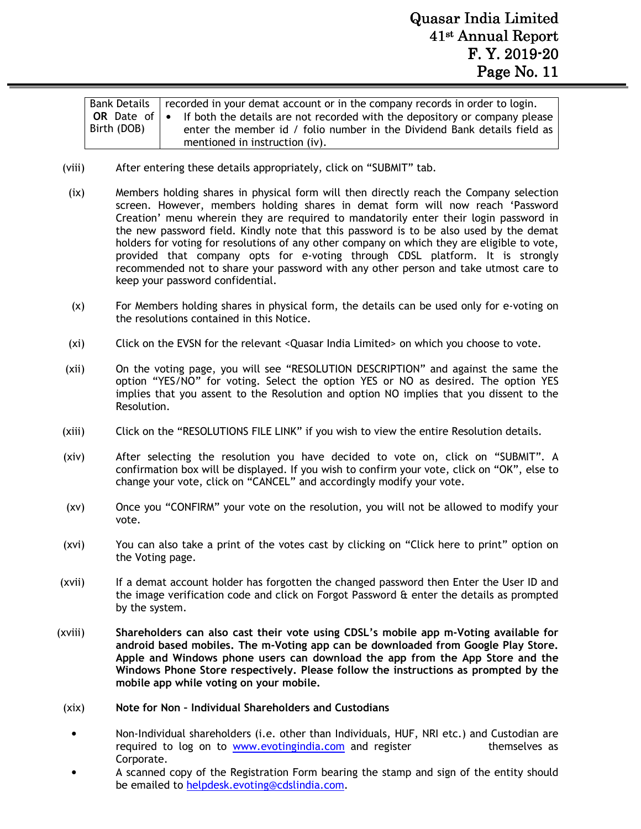i,

|             | Bank Details   recorded in your demat account or in the company records in order to login.      |
|-------------|-------------------------------------------------------------------------------------------------|
|             | OR Date of $\bullet$ If both the details are not recorded with the depository or company please |
| Birth (DOB) | enter the member id / folio number in the Dividend Bank details field as                        |
|             | mentioned in instruction (iv).                                                                  |

- (viii) After entering these details appropriately, click on "SUBMIT" tab.
- (ix) Members holding shares in physical form will then directly reach the Company selection screen. However, members holding shares in demat form will now reach 'Password Creation' menu wherein they are required to mandatorily enter their login password in the new password field. Kindly note that this password is to be also used by the demat holders for voting for resolutions of any other company on which they are eligible to vote, provided that company opts for evoting through CDSL platform. It is strongly recommended not to share your password with any other person and take utmost care to keep your password confidential.
- $(x)$  For Members holding shares in physical form, the details can be used only for e-voting on the resolutions contained in this Notice.
- (xi) Click on the EVSN for the relevant <Quasar India Limited> on which you choose to vote.
- (xii) On the voting page, you will see "RESOLUTION DESCRIPTION" and against the same the option "YES/NO" for voting. Select the option YES or NO as desired. The option YES implies that you assent to the Resolution and option NO implies that you dissent to the Resolution.
- (xiii) Click on the "RESOLUTIONS FILE LINK" if you wish to view the entire Resolution details.
- (xiv) After selecting the resolution you have decided to vote on, click on "SUBMIT". A confirmation box will be displayed. If you wish to confirm your vote, click on "OK", else to change your vote, click on "CANCEL" and accordingly modify your vote.
- (xv) Once you "CONFIRM" your vote on the resolution, you will not be allowed to modify your vote.
- (xvi) You can also take a print of the votes cast by clicking on "Click here to print" option on the Voting page.
- (xvii) If a demat account holder has forgotten the changed password then Enter the User ID and the image verification code and click on Forgot Password & enter the details as prompted by the system.
- (xviii) Shareholders can also cast their vote using CDSL's mobile app m-Voting available for android based mobiles. The m-Voting app can be downloaded from Google Play Store. Apple and Windows phone users can download the app from the App Store and the **Windows Phone Store respectively. Please follow the instructions as prompted by the** mobile app while voting on your mobile.
- (xix) ote for Non - Individual Shareholders and Custodians
- Non-Individual shareholders (i.e. other than Individuals, HUF, NRI etc.) and Custodian are required to log on to www.evotingindia.com and register themselves as Corporate.
- A scanned copy of the Registration Form bearing the stamp and sign of the entity should be emailed to helpdesk.evoting@cdslindia.com.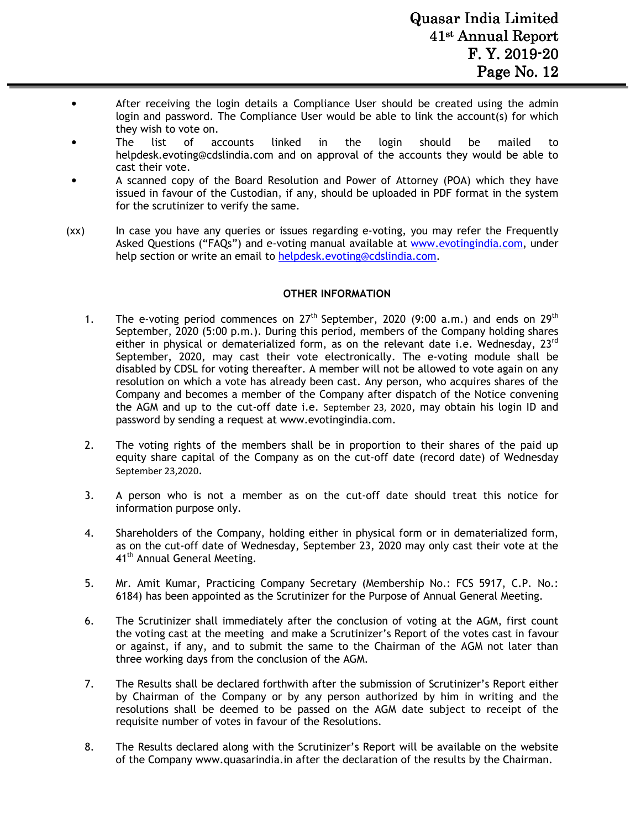- After receiving the login details a Compliance User should be created using the admin login and password. The Compliance User would be able to link the account(s) for which they wish to vote on.
- The list of accounts linked in the login should be mailed to helpdesk.evoting@cdslindia.com and on approval of the accounts they would be able to cast their vote.
- A scanned copy of the Board Resolution and Power of Attorney (POA) which they have issued in favour of the Custodian, if any, should be uploaded in PDF format in the system for the scrutinizer to verify the same.
- (xx) In case you have any queries or issues regarding e-voting, you may refer the Frequently Asked Questions ("FAQs") and e-voting manual available at www.evotingindia.com, under help section or write an email to helpdesk.evoting@cdslindia.com.

#### OTHER INFORMATION

- 1. The e-voting period commences on  $27<sup>th</sup>$  September, 2020 (9:00 a.m.) and ends on  $29<sup>th</sup>$ September, 2020 (5:00 p.m.). During this period, members of the Company holding shares either in physical or dematerialized form, as on the relevant date i.e. Wednesday,  $23<sup>rd</sup>$ September, 2020, may cast their vote electronically. The e-voting module shall be disabled by CDSL for voting thereafter. A member will not be allowed to vote again on any resolution on which a vote has already been cast. Any person, who acquires shares of the Company and becomes a member of the Company after dispatch of the Notice convening the AGM and up to the cut-off date i.e. September 23, 2020, may obtain his login ID and password by sending a request at www.evotingindia.com.
- 2. The voting rights of the members shall be in proportion to their shares of the paid up equity share capital of the Company as on the cut-off date (record date) of Wednesday September 23,2020.
- 3. A person who is not a member as on the cut-off date should treat this notice for information purpose only.
- 4. Shareholders of the Company, holding either in physical form or in dematerialized form, as on the cut-off date of Wednesday, September 23, 2020 may only cast their vote at the 41<sup>th</sup> Annual General Meeting.
- 5. Mr. Amit Kumar, Practicing Company Secretary (Membership No.: FCS 5917, C.P. No.: 6184) has been appointed as the Scrutinizer for the Purpose of Annual General Meeting.
- 6. The Scrutinizer shall immediately after the conclusion of voting at the AGM, first count the voting cast at the meeting and make a Scrutinizer's Report of the votes cast in favour or against, if any, and to submit the same to the Chairman of the AGM not later than three working days from the conclusion of the AGM.
- 7. The Results shall be declared forthwith after the submission of Scrutinizer's Report either by Chairman of the Company or by any person authorized by him in writing and the resolutions shall be deemed to be passed on the AGM date subject to receipt of the requisite number of votes in favour of the Resolutions.
- 8. The Results declared along with the Scrutinizer's Report will be available on the website of the Company www.quasarindia.in after the declaration of the results by the Chairman.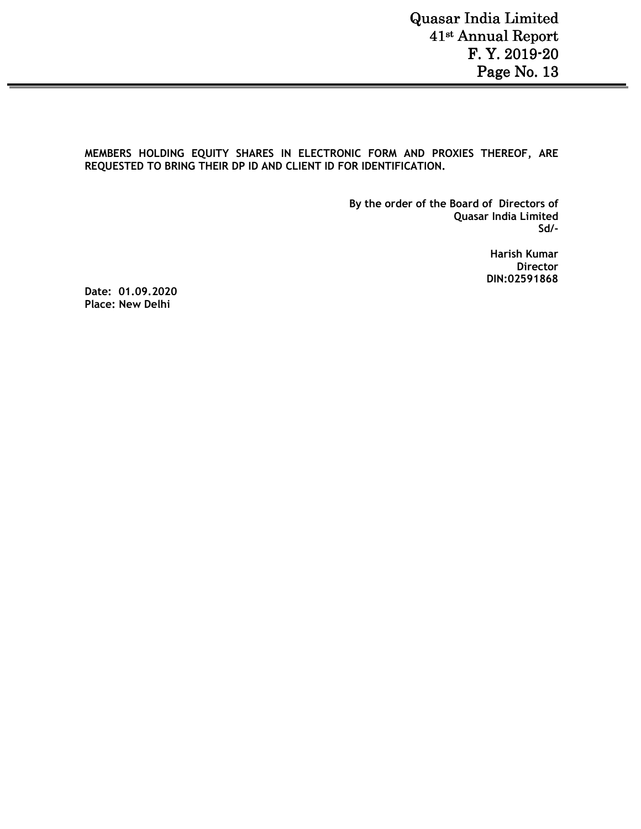#### MEMBERS HOLDING EQUITY SHARES IN ELECTRONIC FORM AND PROXIES THEREOF, ARE REQUESTED TO BRING THEIR DP ID AND CLIENT ID FOR IDENTIFICATION.

By the order of the Board of Directors of<br>Quasar India Limited  $Sd$ 

> **Harish Kumar Director** DIN:02591868

Date: 01.09.2020 **Place: New Delhi**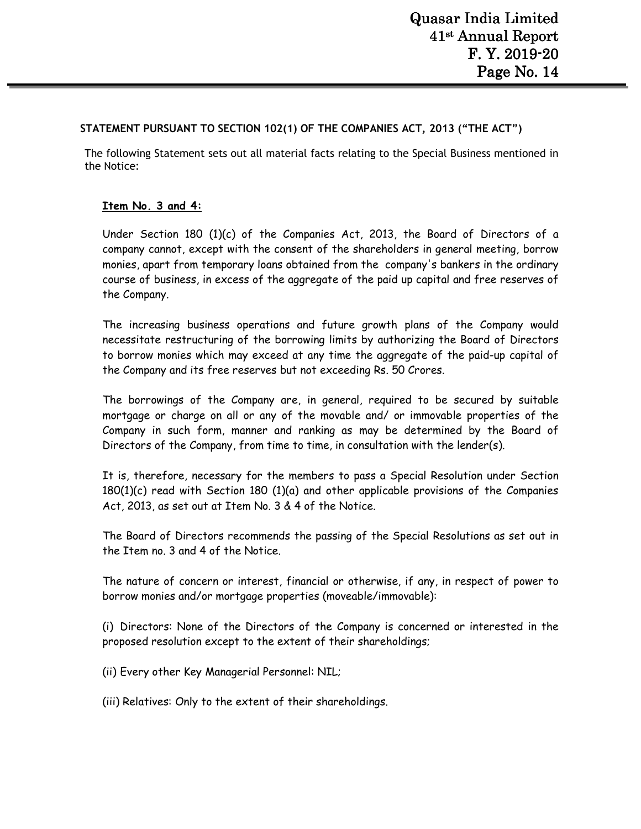#### STATEMENT PURSUANT TO SECTION 102(1) OF THE COMPANIES ACT, 2013 ("THE ACT")

The following Statement sets out all material facts relating to the Special Business mentioned in the Notice:

#### Item No. 3 and 4:

Under Section 180  $(1)(c)$  of the Companies Act, 2013, the Board of Directors of a company cannot, except with the consent of the shareholders in general meeting, borrow monies, apart from temporary loans obtained from the company's bankers in the ordinary course of business, in excess of the aggregate of the paid up capital and free reserves of the Company.

The increasing business operations and future growth plans of the Company would necessitate restructuring of the borrowing limits by authorizing the Board of Directors to borrow monies which may exceed at any time the aggregate of the paid-up capital of the Company and its free reserves but not exceeding Rs. 50 Crores.

The borrowings of the Company are, in general, required to be secured by suitable mortgage or charge on all or any of the movable and/ or immovable properties of the Company in such form, manner and ranking as may be determined by the Board of Directors of the Company, from time to time, in consultation with the lender(s).

It is, therefore, necessary for the members to pass a Special Resolution under Section  $180(1)(c)$  read with Section 180  $(1)(a)$  and other applicable provisions of the Companies Act, 2013, as set out at Item No. 3 & 4 of the Notice.

The Board of Directors recommends the passing of the Special Resolutions as set out in the Item no. 3 and 4 of the Notice.

The nature of concern or interest, financial or otherwise, if any, in respect of power to borrow monies and/or mortgage properties (moveable/immovable):

(i) Directors: None of the Directors of the Company is concerned or interested in the proposed resolution except to the extent of their shareholdings;

(ii) Every other Key Managerial Personnel: NIL;

(iii) Relatives: Only to the extent of their shareholdings.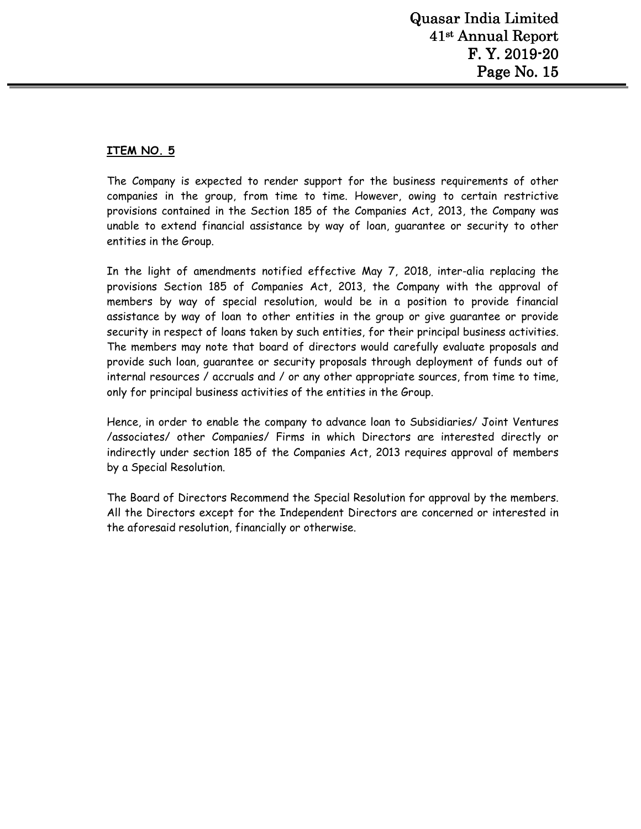#### ITEM NO. 5

The Company is expected to render support for the business requirements of other companies in the group, from time to time. However, owing to certain restrictive provisions contained in the Section 185 of the Companies Act, 2013, the Company was unable to extend financial assistance by way of loan, quarantee or security to other entities in the Group.

In the light of amendments notified effective May 7, 2018, inter-alia replacing the provisions Section 185 of Companies Act, 2013, the Company with the approval of members by way of special resolution, would be in a position to provide financial assistance by way of loan to other entities in the group or give quarantee or provide security in respect of loans taken by such entities, for their principal business activities. The members may note that board of directors would carefully evaluate proposals and provide such loan, quarantee or security proposals through deployment of funds out of internal resources / accruals and / or any other appropriate sources, from time to time, only for principal business activities of the entities in the Group.

Hence, in order to enable the company to advance loan to Subsidiaries/ Joint Ventures /associates/ other Companies/ Firms in which Directors are interested directly or indirectly under section 185 of the Companies Act, 2013 requires approval of members by a Special Resolution.

The Board of Directors Recommend the Special Resolution for approval by the members. All the Directors except for the Independent Directors are concerned or interested in the aforesaid resolution, financially or otherwise.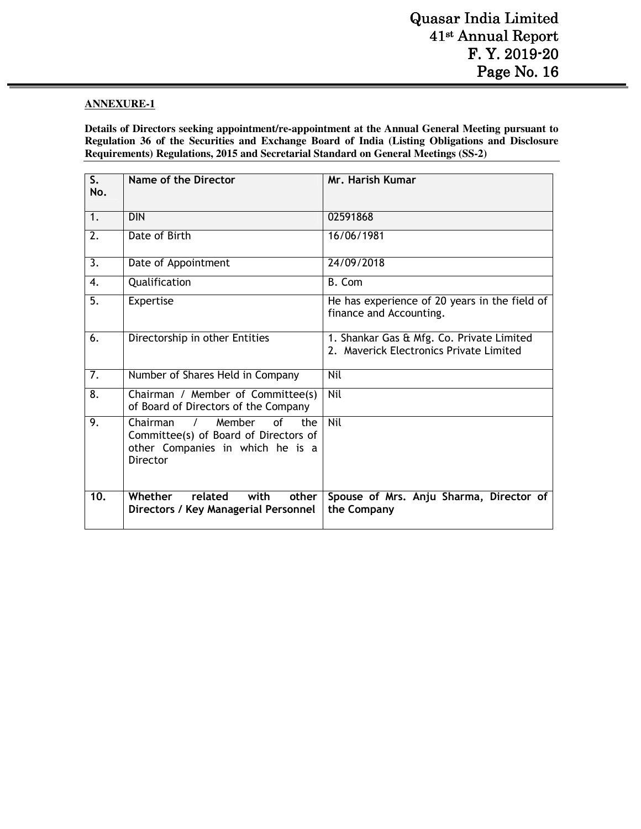#### **ANNEXURE-1**

Details of Directors seeking appointment/re-appointment at the Annual General Meeting pursuant to Regulation 36 of the Securities and Exchange Board of India (Listing Obligations and Disclosure Requirements) Regulations, 2015 and Secretarial Standard on General Meetings (SS-2)

| $\overline{\mathsf{S}}$ .<br>No. | Name of the Director                                                                                                                      | Mr. Harish Kumar                                                                     |
|----------------------------------|-------------------------------------------------------------------------------------------------------------------------------------------|--------------------------------------------------------------------------------------|
|                                  |                                                                                                                                           |                                                                                      |
| 1.                               | <b>DIN</b>                                                                                                                                | 02591868                                                                             |
| 2.                               | Date of Birth                                                                                                                             | 16/06/1981                                                                           |
| 3.                               | Date of Appointment                                                                                                                       | 24/09/2018                                                                           |
| 4.                               | Qualification                                                                                                                             | B. Com                                                                               |
| 5.                               | Expertise                                                                                                                                 | He has experience of 20 years in the field of<br>finance and Accounting.             |
| 6.                               | Directorship in other Entities                                                                                                            | 1. Shankar Gas & Mfg. Co. Private Limited<br>2. Maverick Electronics Private Limited |
| 7.                               | Number of Shares Held in Company                                                                                                          | Nil                                                                                  |
| $\overline{\delta}$ .            | Chairman / Member of Committee(s)<br>of Board of Directors of the Company                                                                 | <b>Nil</b>                                                                           |
| 9.                               | Member<br>Chairman<br>of<br>the<br>$\int$<br>Committee(s) of Board of Directors of<br>other Companies in which he is a<br><b>Director</b> | Nil                                                                                  |
| 10.                              | Whether<br>related<br>with<br>other<br>Directors / Key Managerial Personnel                                                               | Spouse of Mrs. Anju Sharma, Director of<br>the Company                               |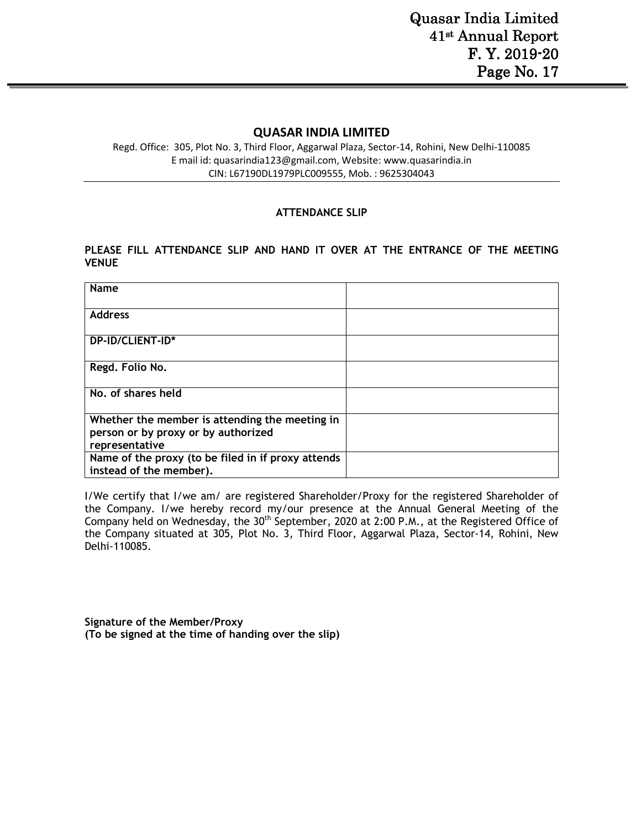#### **QUASAR INDIA LIMITED**

Regd. Office: 305, Plot No. 3, Third Floor, Aggarwal Plaza, Sector-14, Rohini, New Delhi-110085 E mail id: quasarindia123@gmail.com, Website: www.quasarindia.in CIN: L67190DL1979PLC009555, Mob. : 9625304043

#### ATTENDANCE SLIP

#### PLEASE FILL ATTENDANCE SLIP AND HAND IT OVER AT THE ENTRANCE OF THE MEETING **)**

| <b>Name</b>                                                                                             |  |
|---------------------------------------------------------------------------------------------------------|--|
| <b>Address</b>                                                                                          |  |
| DP-ID/CLIENT-ID*                                                                                        |  |
| Regd. Folio No.                                                                                         |  |
| No. of shares held                                                                                      |  |
| Whether the member is attending the meeting in<br>person or by proxy or by authorized<br>representative |  |
| Name of the proxy (to be filed in if proxy attends<br>instead of the member).                           |  |

I/We certify that I/we am/ are registered Shareholder/Proxy for the registered Shareholder of the Company. I/we hereby record my/our presence at the Annual General Meeting of the Company held on Wednesday, the 30<sup>th</sup> September, 2020 at 2:00 P.M., at the Registered Office of the Company situated at 305, Plot No. 3, Third Floor, Aggarwal Plaza, Sector-14, Rohini, New Delhi-110085.

Signature of the Member/Proxy (To be signed at the time of handing over the slip)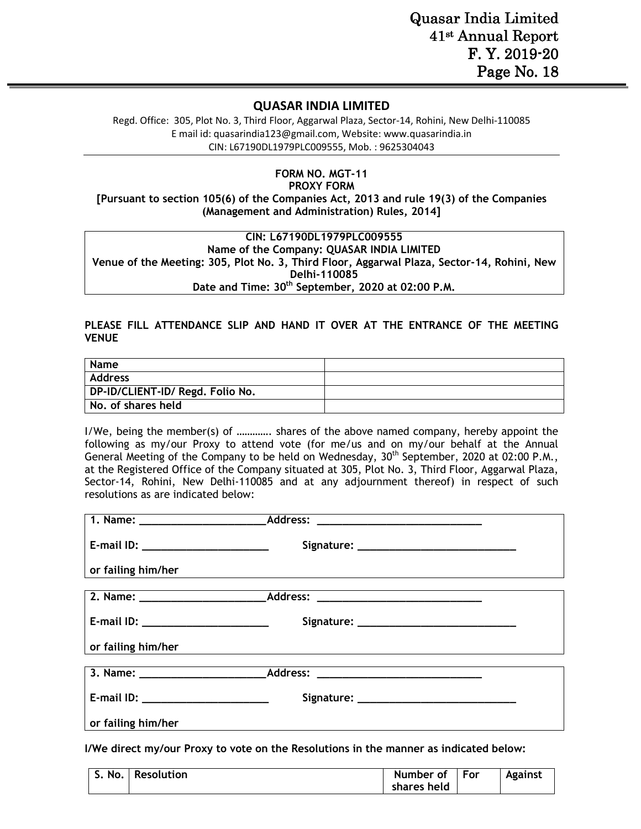i,

#### **QUASAR INDIA LIMITED**

Regd. Office: 305, Plot No. 3, Third Floor, Aggarwal Plaza, Sector-14, Rohini, New Delhi-110085 E mail id: quasarindia123@gmail.com, Website: www.quasarindia.in CIN: L67190DL1979PLC009555, Mob. : 9625304043

> **FORM NO. MGT-11 PROXY FORM**

[Pursuant to section 105(6) of the Companies Act, 2013 and rule 19(3) of the Companies (Management and Administration) Rules, 2014]

**- /<L.;7.;L;-77;555** Name of the Company: QUASAR INDIA LIMITED Venue of the Meeting: 305, Plot No. 3, Third Floor, Aggarwal Plaza, Sector-14, Rohini, New **Delhi-110085** Date and Time: 30<sup>th</sup> September, 2020 at 02:00 P.M.

#### PLEASE FILL ATTENDANCE SLIP AND HAND IT OVER AT THE ENTRANCE OF THE MEETING **)**

| Name                             |  |
|----------------------------------|--|
| Address                          |  |
| DP-ID/CLIENT-ID/ Regd. Folio No. |  |
| No. of shares held               |  |

I/We, being the member(s) of …………. shares of the above named company, hereby appoint the following as my/our Proxy to attend vote (for me/us and on my/our behalf at the Annual General Meeting of the Company to be held on Wednesday,  $30<sup>th</sup>$  September, 2020 at 02:00 P.M., at the Registered Office of the Company situated at 305, Plot No. 3, Third Floor, Aggarwal Plaza, Sector-14, Rohini, New Delhi-110085 and at any adjournment thereof) in respect of such resolutions as are indicated below:

| E-mail ID: ________________________ |  |
|-------------------------------------|--|
| or failing him/her                  |  |
|                                     |  |
|                                     |  |
| or failing him/her                  |  |
|                                     |  |
|                                     |  |
| or failing him/her                  |  |

**I/We direct my/our Proxy to vote on the Resolutions in the manner as indicated below:** 

| S. No.   Resolution | Number of   | $\parallel$ For | Against |
|---------------------|-------------|-----------------|---------|
|                     | shares held |                 |         |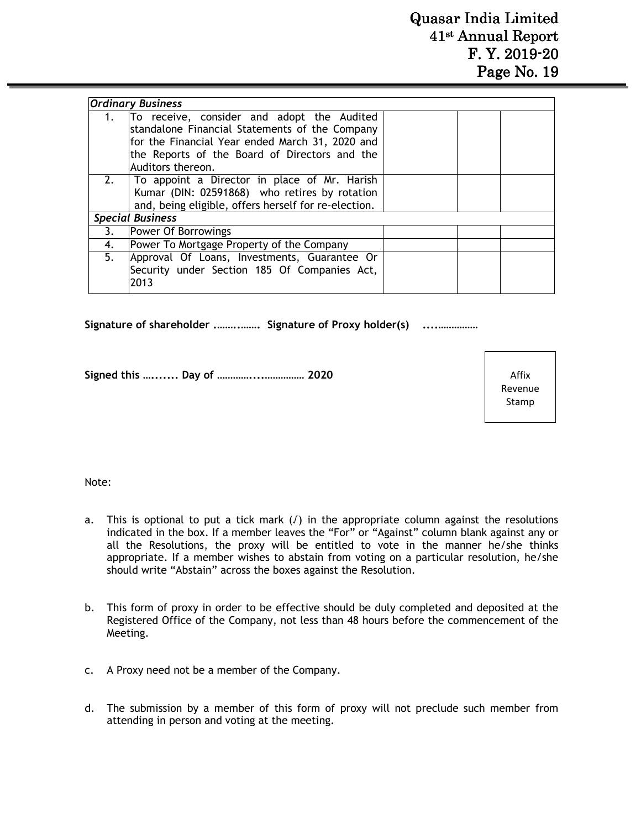|    | <b>Ordinary Business</b>                                                                                                                                                                                              |  |  |
|----|-----------------------------------------------------------------------------------------------------------------------------------------------------------------------------------------------------------------------|--|--|
| 1. | To receive, consider and adopt the Audited<br>standalone Financial Statements of the Company<br>for the Financial Year ended March 31, 2020 and<br>the Reports of the Board of Directors and the<br>Auditors thereon. |  |  |
| 2. | To appoint a Director in place of Mr. Harish<br>Kumar (DIN: 02591868) who retires by rotation<br>and, being eligible, offers herself for re-election.                                                                 |  |  |
|    | <b>Special Business</b>                                                                                                                                                                                               |  |  |
| 3. | Power Of Borrowings                                                                                                                                                                                                   |  |  |
| 4. | Power To Mortgage Property of the Company                                                                                                                                                                             |  |  |
| 5. | Approval Of Loans, Investments, Guarantee Or<br>Security under Section 185 Of Companies Act,<br>2013                                                                                                                  |  |  |

Signature of shareholder ................. Signature of Proxy holder(s) ...................

Signed this .......... Day of ............................... 2020

Affix Revenue Stamp

Note:

- a. This is optional to put a tick mark  $(f)$  in the appropriate column against the resolutions indicated in the box. If a member leaves the "For" or "Against" column blank against any or all the Resolutions, the proxy will be entitled to vote in the manner he/she thinks appropriate. If a member wishes to abstain from voting on a particular resolution, he/she should write "Abstain" across the boxes against the Resolution.
- b. This form of proxy in order to be effective should be duly completed and deposited at the Registered Office of the Company, not less than 48 hours before the commencement of the Meeting.
- c. A Proxy need not be a member of the Company.
- d. The submission by a member of this form of proxy will not preclude such member from attending in person and voting at the meeting.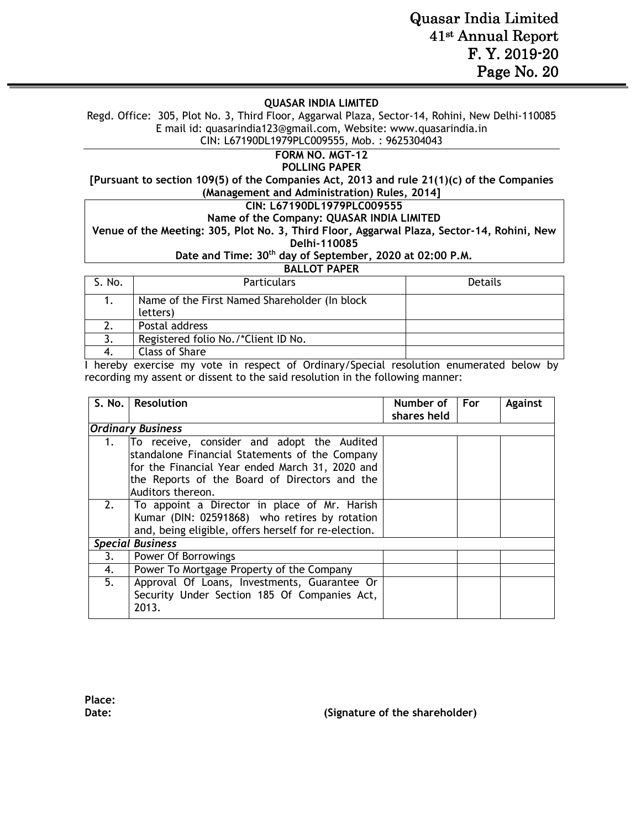i,

#### QUASAR INDIA LIMITED

Regd. Office: 305, Plot No. 3, Third Floor, Aggarwal Plaza, Sector-14, Rohini, New Delhi-110085 E mail id: quasarindia123@gmail.com, Website: www.quasarindia.in CIN: L67190DL1979PLC009555, Mob. : 9625304043

#### **FORM NO. MGT-12 POLLING PAPER**

## [Pursuant to section 109(5) of the Companies Act, 2013 and rule 21(1)(c) of the Companies

(Management and Administration) Rules, 2014]

#### **- /<L.;7.;L;-77;555**

Name of the Company: QUASAR INDIA LIMITED

Venue of the Meeting: 305, Plot No. 3, Third Floor, Aggarwal Plaza, Sector-14, Rohini, New **Delhi-110085** 

#### Date and Time: 30<sup>th</sup> day of September, 2020 at 02:00 P.M.

| <b>BALLOT PAPER</b> |                                                           |                |  |  |
|---------------------|-----------------------------------------------------------|----------------|--|--|
| S. No.              | <b>Particulars</b>                                        | <b>Details</b> |  |  |
|                     | Name of the First Named Shareholder (In block<br>letters) |                |  |  |
|                     | Postal address                                            |                |  |  |
|                     | Registered folio No./*Client ID No.                       |                |  |  |
|                     | Class of Share                                            |                |  |  |

I hereby exercise my vote in respect of Ordinary/Special resolution enumerated below by recording my assent or dissent to the said resolution in the following manner:

|                         | S. No.   Resolution                                                                                                                                                                                                   | Number of<br>shares held | For | Against |
|-------------------------|-----------------------------------------------------------------------------------------------------------------------------------------------------------------------------------------------------------------------|--------------------------|-----|---------|
|                         | <b>Ordinary Business</b>                                                                                                                                                                                              |                          |     |         |
| 1.                      | To receive, consider and adopt the Audited<br>standalone Financial Statements of the Company<br>for the Financial Year ended March 31, 2020 and<br>the Reports of the Board of Directors and the<br>Auditors thereon. |                          |     |         |
| 2.                      | To appoint a Director in place of Mr. Harish<br>Kumar (DIN: 02591868) who retires by rotation<br>and, being eligible, offers herself for re-election.                                                                 |                          |     |         |
| <b>Special Business</b> |                                                                                                                                                                                                                       |                          |     |         |
| 3.                      | Power Of Borrowings                                                                                                                                                                                                   |                          |     |         |
| 4.                      | Power To Mortgage Property of the Company                                                                                                                                                                             |                          |     |         |
| 5.                      | Approval Of Loans, Investments, Guarantee Or<br>Security Under Section 185 Of Companies Act,<br>2013.                                                                                                                 |                          |     |         |

| Place: |  |
|--------|--|
| Date:  |  |

**(Signature of the shareholder)**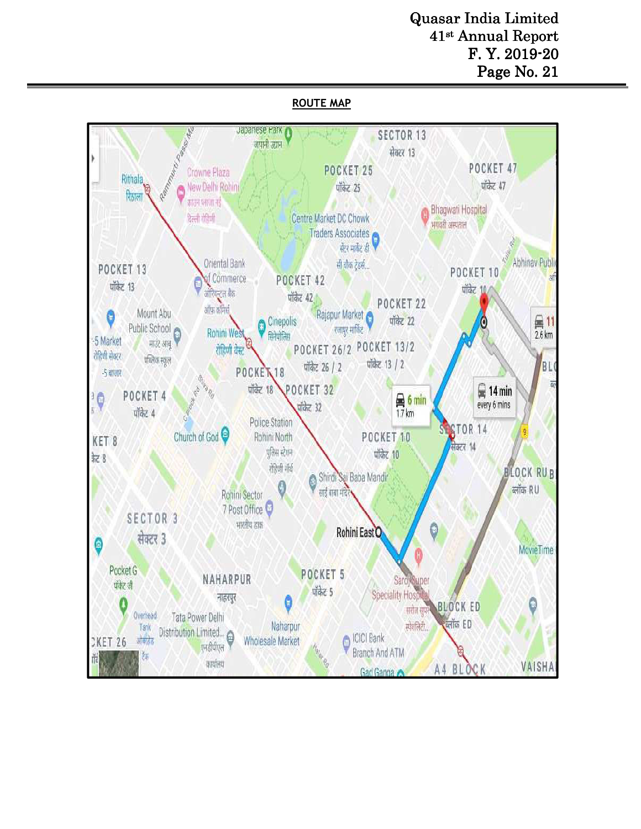**ROUTE MAP** 

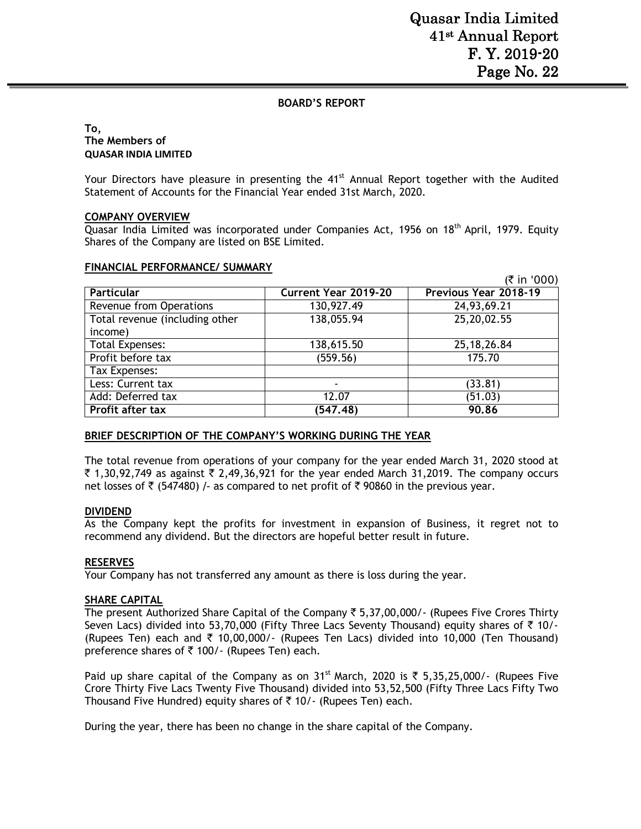#### **BOARD'S REPORT**

#### **10. The Members of QUASAR INDIA LIMITED**

Your Directors have pleasure in presenting the 41<sup>st</sup> Annual Report together with the Audited Statement of Accounts for the Financial Year ended 31st March, 2020.

#### <u>COMPANY OVERVIEW</u>

Quasar India Limited was incorporated under Companies Act, 1956 on 18th April, 1979. Equity Shares of the Company are listed on BSE Limited.

#### **FINANCIAL PERFORMANCE/ SUMMARY**

|                                |                             | (₹ in '000)           |
|--------------------------------|-----------------------------|-----------------------|
| <b>Particular</b>              | <b>Current Year 2019-20</b> | Previous Year 2018-19 |
| Revenue from Operations        | 130,927.49                  | 24,93,69.21           |
| Total revenue (including other | 138,055.94                  | 25,20,02.55           |
| income)                        |                             |                       |
| <b>Total Expenses:</b>         | 138,615.50                  | 25, 18, 26.84         |
| Profit before tax              | (559.56)                    | 175.70                |
| Tax Expenses:                  |                             |                       |
| Less: Current tax              | -                           | (33.81)               |
| Add: Deferred tax              | 12.07                       | (51.03)               |
| Profit after tax               | (547.48)                    | 90.86                 |

#### <u>BRIEF DESCRIPTION OF THE COMPANY'S WORKING DURING THE YEAR</u>

The total revenue from operations of your company for the year ended March 31, 2020 stood at ₹ 1,30,92,749 as against ₹ 2,49,36,921 for the year ended March 31,2019. The company occurs net losses of ₹ (547480) /- as compared to net profit of ₹ 90860 in the previous year.

#### <u>DIVIDEND</u>

As the Company kept the profits for investment in expansion of Business, it regret not to recommend any dividend. But the directors are hopeful better result in future.

#### **)**

Your Company has not transferred any amount as there is loss during the year.

#### <u>SHARE CAPITAL</u>

The present Authorized Share Capital of the Company  $\bar{\tau}$  5,37,00,000/- (Rupees Five Crores Thirty Seven Lacs) divided into 53,70,000 (Fifty Three Lacs Seventy Thousand) equity shares of  $\bar{\tau}$  10/-(Rupees Ten) each and  $\overline{\xi}$  10,00,000/- (Rupees Ten Lacs) divided into 10,000 (Ten Thousand) preference shares of  $\bar{\tau}$  100/- (Rupees Ten) each.

Paid up share capital of the Company as on 31<sup>st</sup> March, 2020 is  $\bar{\tau}$  5,35,25,000/- (Rupees Five Crore Thirty Five Lacs Twenty Five Thousand) divided into 53,52,500 (Fifty Three Lacs Fifty Two Thousand Five Hundred) equity shares of  $\bar{\tau}$  10/- (Rupees Ten) each.

During the year, there has been no change in the share capital of the Company.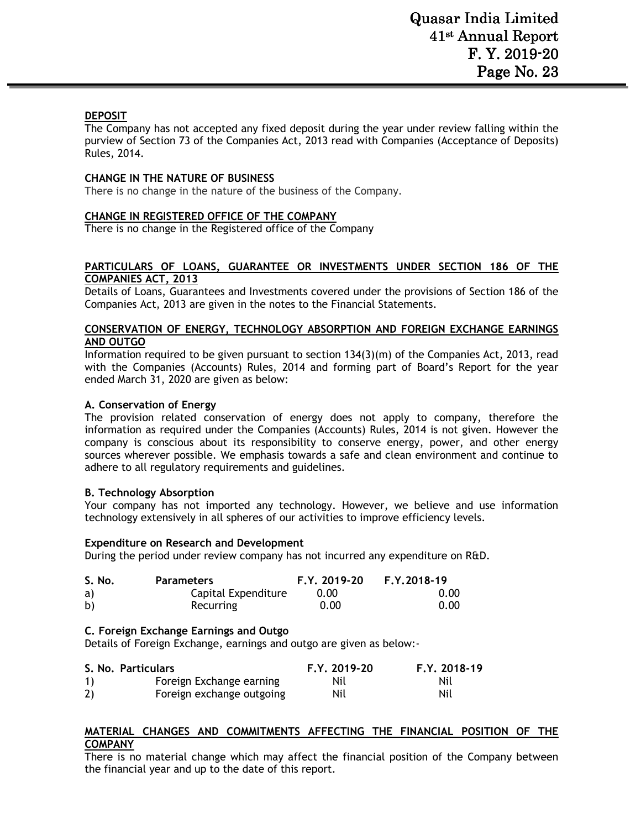#### **DEPOSIT**

The Company has not accepted any fixed deposit during the year under review falling within the purview of Section 73 of the Companies Act, 2013 read with Companies (Acceptance of Deposits) Rules, 2014.

#### <u>CHANGE IN THE NATURE OF BUSINESS</u>

There is no change in the nature of the business of the Company.

#### <u>CHANGE IN REGISTERED OFFICE OF THE COMPANY</u>

There is no change in the Registered office of the Company

#### <u>PARTICULARS OF LOANS, GUARANTEE OR INVESTMENTS UNDER SECTION 186 OF THE </u> <u>COMPANIES ACT, 2013</u>

Details of Loans, Guarantees and Investments covered under the provisions of Section 186 of the Companies Act, 2013 are given in the notes to the Financial Statements.

#### <u>**CONSERVATION OF ENERGY, TECHNOLOGY ABSORPTION AND FOREIGN EXCHANGE EARNINGS ( ) A HOT A MODEL ARRINGS ( ) A MODEL ARRINGS ( ) ) A MODEL ARRINGS ( ) ) A MODEL ARRING ( ) )**  $\overline{\phantom{a}}$ **</u>** <u>AND OUTGO</u>

Information required to be given pursuant to section 134(3)(m) of the Companies Act, 2013, read with the Companies (Accounts) Rules, 2014 and forming part of Board's Report for the year ended March 31, 2020 are given as below:

#### **A. Conservation of Energy**

The provision related conservation of energy does not apply to company, therefore the information as required under the Companies (Accounts) Rules, 2014 is not given. However the company is conscious about its responsibility to conserve energy, power, and other energy sources wherever possible. We emphasis towards a safe and clean environment and continue to adhere to all regulatory requirements and guidelines.

#### **B. Technology Absorption**

Your company has not imported any technology. However, we believe and use information technology extensively in all spheres of our activities to improve efficiency levels.

#### **Expenditure on Research and Development**

During the period under review company has not incurred any expenditure on R&D.

| S. No. | <b>Parameters</b>   | F.Y. 2019-20 | F.Y.2018-19 |
|--------|---------------------|--------------|-------------|
| a)     | Capital Expenditure | 0.00         | 0.00        |
| b)     | Recurring           | 0.00         | 0.00        |

#### **C. Foreign Exchange Earnings and Outgo**

Details of Foreign Exchange, earnings and outgo are given as below:

|          | S. No. Particulars        | F.Y. 2019-20 | F.Y. 2018-19 |
|----------|---------------------------|--------------|--------------|
| <b>1</b> | Foreign Exchange earning  | Nil          | Nil          |
| 2)       | Foreign exchange outgoing | Nil          | Nil          |

#### **MATERIAL CHANGES AND COMMITMENTS AFFECTING THE FINANCIAL POSITION OF THE** <u>COMPANY</u>

There is no material change which may affect the financial position of the Company between the financial year and up to the date of this report.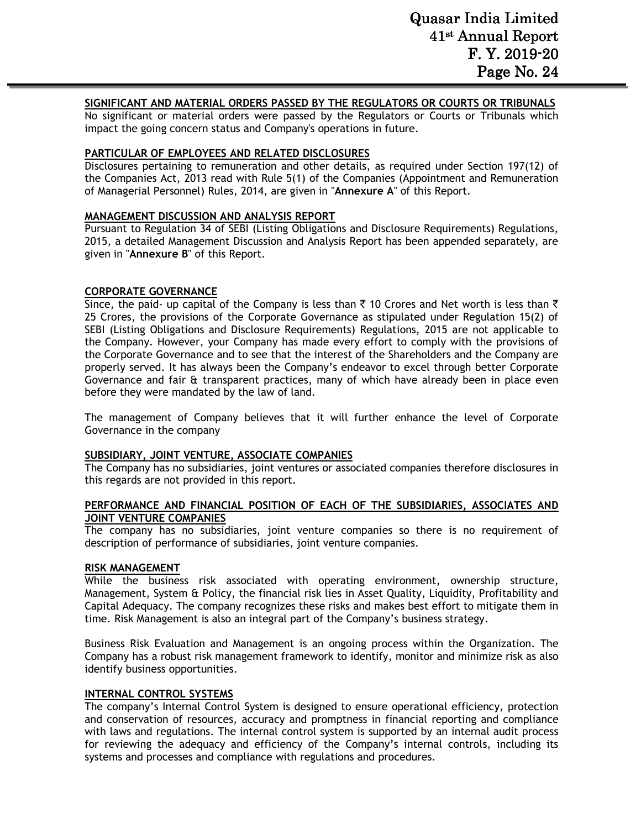#### <u>**SIGNIFICANT AND MATERIAL ORDERS PASSED BY THE REGULATORS OR COURTS OR TRIBUNALS </u></u>**

No significant or material orders were passed by the Regulators or Courts or Tribunals which impact the going concern status and Company's operations in future.

#### <u>PARTICULAR OF EMPLOYEES AND RELATED DISCLOSURES</u>

Disclosures pertaining to remuneration and other details, as required under Section 197(12) of the Companies Act, 2013 read with Rule 5(1) of the Companies (Appointment and Remuneration of Managerial Personnel) Rules, 2014, are given in "Annexure A" of this Report.

#### <u><code>MANAGEMENT DISCUSSION AND ANALYSIS REPORT</u></code>

Pursuant to Regulation 34 of SEBI (Listing Obligations and Disclosure Requirements) Regulations, 2015, a detailed Management Discussion and Analysis Report has been appended separately, are given in "Annexure B" of this Report.

#### <u>CORPORATE GOVERNANCE</u>

Since, the paid- up capital of the Company is less than  $\bar{\tau}$  10 Crores and Net worth is less than  $\bar{\tau}$ 25 Crores, the provisions of the Corporate Governance as stipulated under Regulation 15(2) of SEBI (Listing Obligations and Disclosure Requirements) Regulations, 2015 are not applicable to the Company. However, your Company has made every effort to comply with the provisions of the Corporate Governance and to see that the interest of the Shareholders and the Company are properly served. It has always been the Company's endeavor to excel through better Corporate Governance and fair & transparent practices, many of which have already been in place even before they were mandated by the law of land.

The management of Company believes that it will further enhance the level of Corporate Governance in the company

#### <u>**SUBSIDIARY, JOINT VENTURE, ASSOCIATE COMPANIES**</u>

The Company has no subsidiaries, joint ventures or associated companies therefore disclosures in this regards are not provided in this report.

#### <u>PERFORMANCE AND FINANCIAL POSITION OF EACH OF THE SUBSIDIARIES, ASSOCIATES AND</u> <u> JOINT VENTURE COMPANIES</u>

The company has no subsidiaries, joint venture companies so there is no requirement of description of performance of subsidiaries, joint venture companies.

#### <u>RISK MANAGEMENT</u>

While the business risk associated with operating environment, ownership structure, Management, System & Policy, the financial risk lies in Asset Quality, Liquidity, Profitability and Capital Adequacy. The company recognizes these risks and makes best effort to mitigate them in time. Risk Management is also an integral part of the Company's business strategy.

Business Risk Evaluation and Management is an ongoing process within the Organization. The Company has a robust risk management framework to identify, monitor and minimize risk as also identify business opportunities.

#### <u>INTERNAL CONTROL SYSTEMS</u>

The company's Internal Control System is designed to ensure operational efficiency, protection and conservation of resources, accuracy and promptness in financial reporting and compliance with laws and regulations. The internal control system is supported by an internal audit process for reviewing the adequacy and efficiency of the Company's internal controls, including its systems and processes and compliance with regulations and procedures.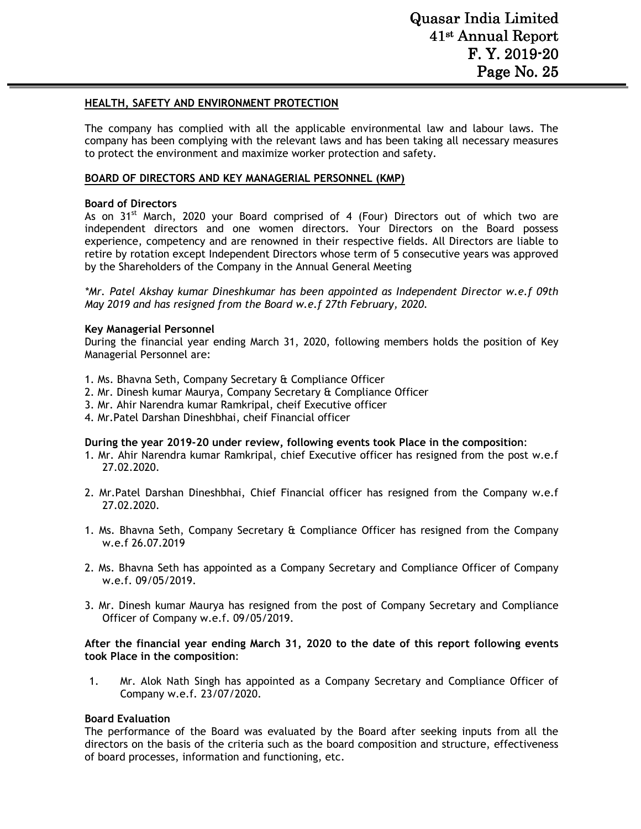#### <u>HEALTH, SAFETY AND ENVIRONMENT PROTECTION</u>

The company has complied with all the applicable environmental law and labour laws. The company has been complying with the relevant laws and has been taking all necessary measures to protect the environment and maximize worker protection and safety.

#### <u>BOARD OF DIRECTORS AND KEY MANAGERIAL PERSONNEL (KMP)</u>

#### **Board of Directors**

As on 31<sup>st</sup> March. 2020 your Board comprised of 4 (Four) Directors out of which two are independent directors and one women directors. Your Directors on the Board possess experience, competency and are renowned in their respective fields. All Directors are liable to retire by rotation except Independent Directors whose term of 5 consecutive years was approved by the Shareholders of the Company in the Annual General Meeting

\*Mr. Patel Akshay kumar Dineshkumar has been appointed as Independent Director w.e.f 09th May 2019 and has resigned from the Board w.e.f 27th February, 2020.

#### **Key Managerial Personnel**

During the financial year ending March 31, 2020, following members holds the position of Key Managerial Personnel are:

- 1. Ms. Bhavna Seth, Company Secretary & Compliance Officer
- 2. Mr. Dinesh kumar Maurya, Company Secretary & Compliance Officer
- 3. Mr. Ahir Narendra kumar Ramkripal, cheif Executive officer
- 4. Mr.Patel Darshan Dineshbhai, cheif Financial officer

#### During the year 2019-20 under review, following events took Place in the composition:

- 1. Mr. Ahir Narendra kumar Ramkripal, chief Executive officer has resigned from the post w.e.f 27.02.2020.
- 2. Mr.Patel Darshan Dineshbhai, Chief Financial officer has resigned from the Company w.e.f 27.02.2020.
- 1. Ms. Bhavna Seth, Company Secretary & Compliance Officer has resigned from the Company w.e.f 26.07.2019
- 2. Ms. Bhavna Seth has appointed as a Company Secretary and Compliance Officer of Company w.e.f. 09/05/2019.
- 3. Mr. Dinesh kumar Maurya has resigned from the post of Company Secretary and Compliance Officer of Company w.e.f. 09/05/2019.

#### After the financial year ending March 31, 2020 to the date of this report following events took Place in the composition:

1. Mr. Alok Nath Singh has appointed as a Company Secretary and Compliance Officer of Company w.e.f. 23/07/2020.

#### **Board Evaluation**

The performance of the Board was evaluated by the Board after seeking inputs from all the directors on the basis of the criteria such as the board composition and structure, effectiveness of board processes, information and functioning, etc.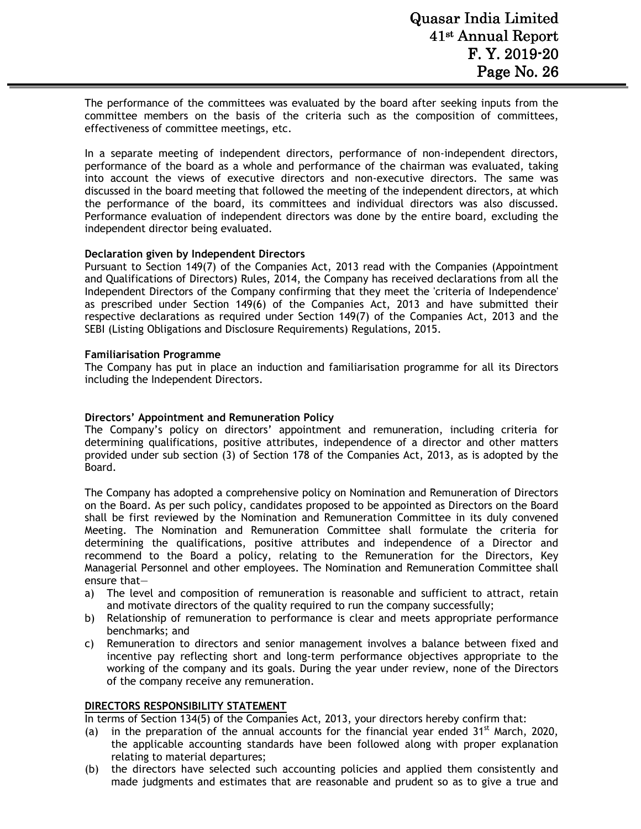The performance of the committees was evaluated by the board after seeking inputs from the committee members on the basis of the criteria such as the composition of committees, effectiveness of committee meetings, etc.

In a separate meeting of independent directors, performance of non-independent directors, performance of the board as a whole and performance of the chairman was evaluated, taking into account the views of executive directors and nonexecutive directors. The same was discussed in the board meeting that followed the meeting of the independent directors, at which the performance of the board, its committees and individual directors was also discussed. Performance evaluation of independent directors was done by the entire board, excluding the independent director being evaluated.

#### **Declaration given by Independent Directors**

Pursuant to Section 149(7) of the Companies Act, 2013 read with the Companies (Appointment and Qualifications of Directors) Rules, 2014, the Company has received declarations from all the Independent Directors of the Company confirming that they meet the 'criteria of Independence' as prescribed under Section 149(6) of the Companies Act, 2013 and have submitted their respective declarations as required under Section 149(7) of the Companies Act, 2013 and the SEBI (Listing Obligations and Disclosure Requirements) Regulations, 2015.

#### **Familiarisation Programme**

The Company has put in place an induction and familiarisation programme for all its Directors including the Independent Directors.

#### **Directors' Appointment and Remuneration Policy**

The Company's policy on directors' appointment and remuneration, including criteria for determining qualifications, positive attributes, independence of a director and other matters provided under sub section (3) of Section 178 of the Companies Act, 2013, as is adopted by the Board.

The Company has adopted a comprehensive policy on Nomination and Remuneration of Directors on the Board. As per such policy, candidates proposed to be appointed as Directors on the Board shall be first reviewed by the Nomination and Remuneration Committee in its duly convened Meeting. The Nomination and Remuneration Committee shall formulate the criteria for determining the qualifications, positive attributes and independence of a Director and recommend to the Board a policy, relating to the Remuneration for the Directors, Key Managerial Personnel and other employees. The Nomination and Remuneration Committee shall ensure that—

- a) The level and composition of remuneration is reasonable and sufficient to attract, retain and motivate directors of the quality required to run the company successfully;
- b) Relationship of remuneration to performance is clear and meets appropriate performance benchmarks; and
- c) Remuneration to directors and senior management involves a balance between fixed and incentive pay reflecting short and long-term performance objectives appropriate to the working of the company and its goals. During the year under review, none of the Directors of the company receive any remuneration.

#### <u>DIRECTORS RESPONSIBILITY STATEMENT</u>

In terms of Section 134(5) of the Companies Act, 2013, your directors hereby confirm that:

- (a) in the preparation of the annual accounts for the financial year ended  $31<sup>st</sup>$  March, 2020, the applicable accounting standards have been followed along with proper explanation relating to material departures;
- (b) the directors have selected such accounting policies and applied them consistently and made judgments and estimates that are reasonable and prudent so as to give a true and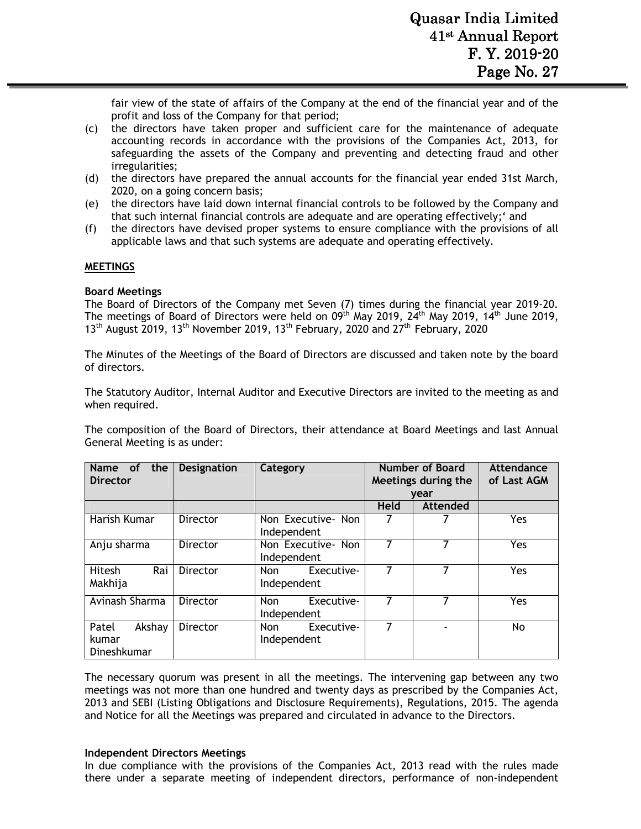fair view of the state of affairs of the Company at the end of the financial year and of the profit and loss of the Company for that period;

- (c) the directors have taken proper and sufficient care for the maintenance of adequate accounting records in accordance with the provisions of the Companies Act, 2013, for safeguarding the assets of the Company and preventing and detecting fraud and other irregularities;
- (d) the directors have prepared the annual accounts for the financial year ended 31st March, 2020, on a going concern basis;
- (e) the directors have laid down internal financial controls to be followed by the Company and that such internal financial controls are adequate and are operating effectively;' and
- (f) the directors have devised proper systems to ensure compliance with the provisions of all applicable laws and that such systems are adequate and operating effectively.

#### <u>MEETINGS</u>

#### **Board Meetings**

The Board of Directors of the Company met Seven (7) times during the financial year 201920. The meetings of Board of Directors were held on 09<sup>th</sup> May 2019,  $24<sup>th</sup>$  May 2019,  $14<sup>th</sup>$  June 2019,  $13<sup>th</sup>$  August 2019, 13<sup>th</sup> November 2019, 13<sup>th</sup> February, 2020 and 27<sup>th</sup> February, 2020

The Minutes of the Meetings of the Board of Directors are discussed and taken note by the board of directors.

The Statutory Auditor, Internal Auditor and Executive Directors are invited to the meeting as and when required.

The composition of the Board of Directors, their attendance at Board Meetings and last Annual General Meeting is as under:

| Name of<br>the<br><b>Director</b>       | <b>Designation</b> | <b>Number of Board</b><br>Category<br>Meetings during the |             |                 | Attendance<br>of Last AGM |
|-----------------------------------------|--------------------|-----------------------------------------------------------|-------------|-----------------|---------------------------|
|                                         |                    |                                                           |             | year            |                           |
|                                         |                    |                                                           | <b>Held</b> | <b>Attended</b> |                           |
| Harish Kumar                            | Director           | Non Executive- Non<br>Independent                         |             |                 | Yes                       |
| Anju sharma                             | Director           | Non Executive - Non<br>Independent                        |             |                 | Yes                       |
| Rai<br><b>Hitesh</b><br>Makhija         | Director           | Executive-<br>Non<br>Independent                          | 7           | 7               | Yes                       |
| Avinash Sharma<br>Director              |                    | Executive-<br>Non<br>Independent                          | 7           | 7               | Yes                       |
| Patel<br>Akshay<br>kumar<br>Dineshkumar | Director           | Executive-<br>Non<br>Independent                          | 7           |                 | No                        |

The necessary quorum was present in all the meetings. The intervening gap between any two meetings was not more than one hundred and twenty days as prescribed by the Companies Act, 2013 and SEBI (Listing Obligations and Disclosure Requirements), Regulations, 2015. The agenda and Notice for all the Meetings was prepared and circulated in advance to the Directors.

#### **Independent Directors Meetings**

In due compliance with the provisions of the Companies Act, 2013 read with the rules made there under a separate meeting of independent directors, performance of non-independent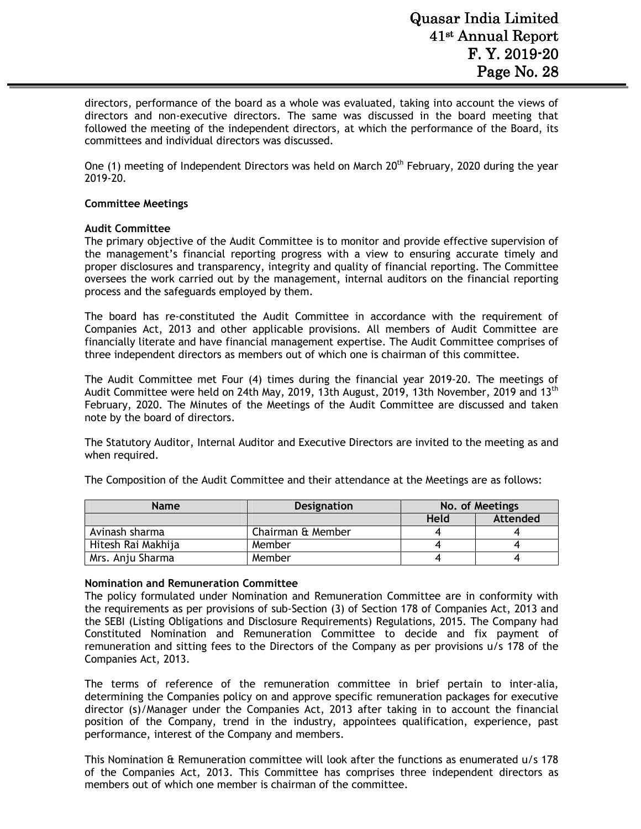directors, performance of the board as a whole was evaluated, taking into account the views of directors and nonexecutive directors. The same was discussed in the board meeting that followed the meeting of the independent directors, at which the performance of the Board, its committees and individual directors was discussed.

One (1) meeting of Independent Directors was held on March 20<sup>th</sup> February, 2020 during the year 2019-20.

#### **Committee Meetings**

#### Audit Committee

The primary objective of the Audit Committee is to monitor and provide effective supervision of the management's financial reporting progress with a view to ensuring accurate timely and proper disclosures and transparency, integrity and quality of financial reporting. The Committee oversees the work carried out by the management, internal auditors on the financial reporting process and the safeguards employed by them.

The board has reconstituted the Audit Committee in accordance with the requirement of Companies Act, 2013 and other applicable provisions. All members of Audit Committee are financially literate and have financial management expertise. The Audit Committee comprises of three independent directors as members out of which one is chairman of this committee.

The Audit Committee met Four (4) times during the financial year 2019-20. The meetings of Audit Committee were held on 24th May, 2019, 13th August, 2019, 13th November, 2019 and 13<sup>th</sup> February, 2020. The Minutes of the Meetings of the Audit Committee are discussed and taken note by the board of directors.

The Statutory Auditor, Internal Auditor and Executive Directors are invited to the meeting as and when required.

| <b>Name</b>        | <b>Designation</b> | No. of Meetings |                 |  |
|--------------------|--------------------|-----------------|-----------------|--|
|                    |                    | Held            | <b>Attended</b> |  |
| Avinash sharma     | Chairman & Member  |                 |                 |  |
| Hitesh Rai Makhija | Member             |                 |                 |  |
| Mrs. Anju Sharma   | Member             |                 |                 |  |

The Composition of the Audit Committee and their attendance at the Meetings are as follows:

#### **Nomination and Remuneration Committee**

The policy formulated under Nomination and Remuneration Committee are in conformity with the requirements as per provisions of sub-Section (3) of Section 178 of Companies Act, 2013 and the SEBI (Listing Obligations and Disclosure Requirements) Regulations, 2015. The Company had Constituted Nomination and Remuneration Committee to decide and fix payment of remuneration and sitting fees to the Directors of the Company as per provisions u/s 178 of the Companies Act, 2013.

The terms of reference of the remuneration committee in brief pertain to inter-alia, determining the Companies policy on and approve specific remuneration packages for executive director (s)/Manager under the Companies Act, 2013 after taking in to account the financial position of the Company, trend in the industry, appointees qualification, experience, past performance, interest of the Company and members.

This Nomination & Remuneration committee will look after the functions as enumerated u/s 178 of the Companies Act, 2013. This Committee has comprises three independent directors as members out of which one member is chairman of the committee.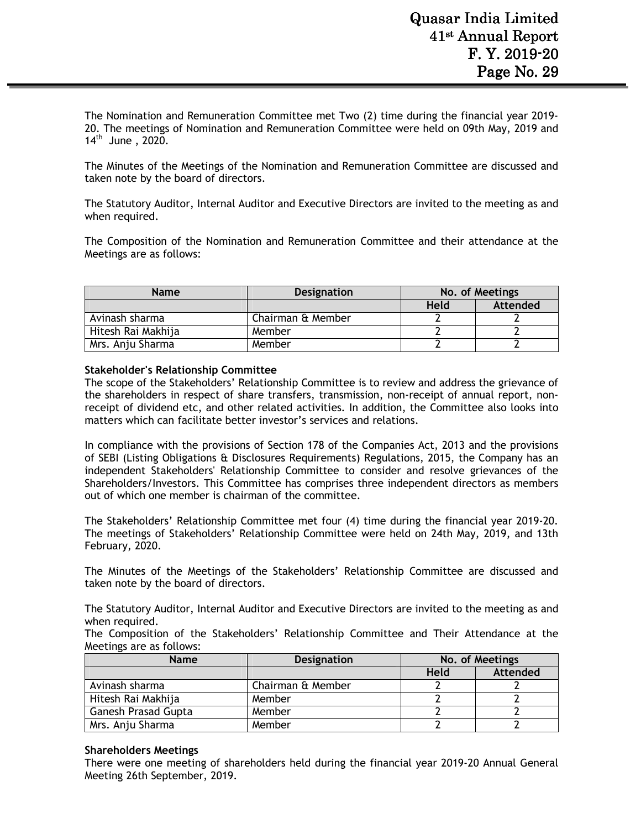The Nomination and Remuneration Committee met Two (2) time during the financial year 2019 20. The meetings of Nomination and Remuneration Committee were held on 09th May, 2019 and 14th June , 2020.

The Minutes of the Meetings of the Nomination and Remuneration Committee are discussed and taken note by the board of directors.

The Statutory Auditor, Internal Auditor and Executive Directors are invited to the meeting as and when required.

The Composition of the Nomination and Remuneration Committee and their attendance at the Meetings are as follows:

| <b>Name</b>        | <b>Designation</b> | No. of Meetings |          |  |
|--------------------|--------------------|-----------------|----------|--|
|                    |                    | Held            | Attended |  |
| Avinash sharma     | Chairman & Member  |                 |          |  |
| Hitesh Rai Makhija | Member             |                 |          |  |
| Mrs. Anju Sharma   | Member             |                 |          |  |

#### Stakeholder's Relationship Committee

The scope of the Stakeholders' Relationship Committee is to review and address the grievance of the shareholders in respect of share transfers, transmission, non-receipt of annual report, nonreceipt of dividend etc, and other related activities. In addition, the Committee also looks into matters which can facilitate better investor's services and relations.

In compliance with the provisions of Section 178 of the Companies Act, 2013 and the provisions of SEBI (Listing Obligations & Disclosures Requirements) Regulations, 2015, the Company has an independent Stakeholders' Relationship Committee to consider and resolve grievances of the Shareholders/Investors. This Committee has comprises three independent directors as members out of which one member is chairman of the committee.

The Stakeholders' Relationship Committee met four (4) time during the financial year 201920. The meetings of Stakeholders' Relationship Committee were held on 24th May, 2019, and 13th February, 2020.

The Minutes of the Meetings of the Stakeholders' Relationship Committee are discussed and taken note by the board of directors.

The Statutory Auditor, Internal Auditor and Executive Directors are invited to the meeting as and when required.

The Composition of the Stakeholders' Relationship Committee and Their Attendance at the Meetings are as follows:

| <b>Name</b>                | <b>Designation</b> | No. of Meetings |                 |  |
|----------------------------|--------------------|-----------------|-----------------|--|
|                            |                    | <b>Held</b>     | <b>Attended</b> |  |
| Avinash sharma             | Chairman & Member  |                 |                 |  |
| Hitesh Rai Makhija         | Member             |                 |                 |  |
| <b>Ganesh Prasad Gupta</b> | Member             |                 |                 |  |
| Mrs. Anju Sharma           | Member             |                 |                 |  |

#### **Shareholders Meetings**

There were one meeting of shareholders held during the financial year 201920 Annual General Meeting 26th September, 2019.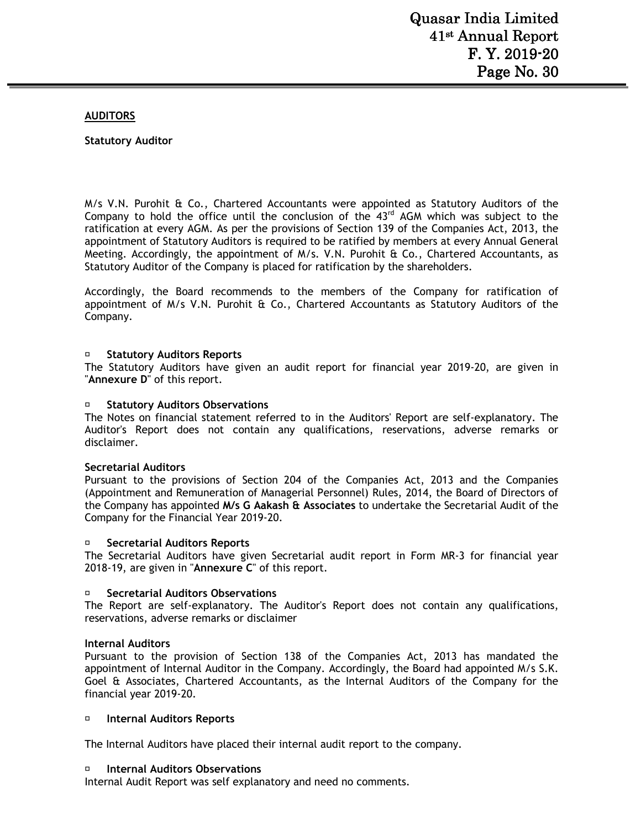i,

#### **AUDITORS**

**Statutory Auditor** 

M/s V.N. Purohit & Co., Chartered Accountants were appointed as Statutory Auditors of the Company to hold the office until the conclusion of the  $43<sup>rd</sup>$  AGM which was subject to the ratification at every AGM. As per the provisions of Section 139 of the Companies Act, 2013, the appointment of Statutory Auditors is required to be ratified by members at every Annual General Meeting. Accordingly, the appointment of M/s. V.N. Purohit & Co., Chartered Accountants, as Statutory Auditor of the Company is placed for ratification by the shareholders.

Accordingly, the Board recommends to the members of the Company for ratification of appointment of M/s V.N. Purohit & Co., Chartered Accountants as Statutory Auditors of the Company.

#### **P** Statutory Auditors Reports

The Statutory Auditors have given an audit report for financial year 2019-20, are given in "Annexure D" of this report.

#### **P** Statutory Auditors Observations

The Notes on financial statement referred to in the Auditors' Report are self-explanatory. The Auditor's Report does not contain any qualifications, reservations, adverse remarks or disclaimer.

#### **Secretarial Auditors**

Pursuant to the provisions of Section 204 of the Companies Act, 2013 and the Companies (Appointment and Remuneration of Managerial Personnel) Rules, 2014, the Board of Directors of the Company has appointed M/s G Aakash & Associates to undertake the Secretarial Audit of the Company for the Financial Year 2019-20.

#### **P** Secretarial Auditors Reports

The Secretarial Auditors have given Secretarial audit report in Form MR-3 for financial year 2018-19, are given in "**Annexure C**" of this report.

#### **P** Secretarial Auditors Observations

The Report are self-explanatory. The Auditor's Report does not contain any qualifications, reservations, adverse remarks or disclaimer

#### **Internal Auditors**

Pursuant to the provision of Section 138 of the Companies Act, 2013 has mandated the appointment of Internal Auditor in the Company. Accordingly, the Board had appointed M/s S.K. Goel & Associates, Chartered Accountants, as the Internal Auditors of the Company for the financial year 2019-20.

#### **P** Internal Auditors Reports

The Internal Auditors have placed their internal audit report to the company.

#### **P** Internal Auditors Observations

Internal Audit Report was self explanatory and need no comments.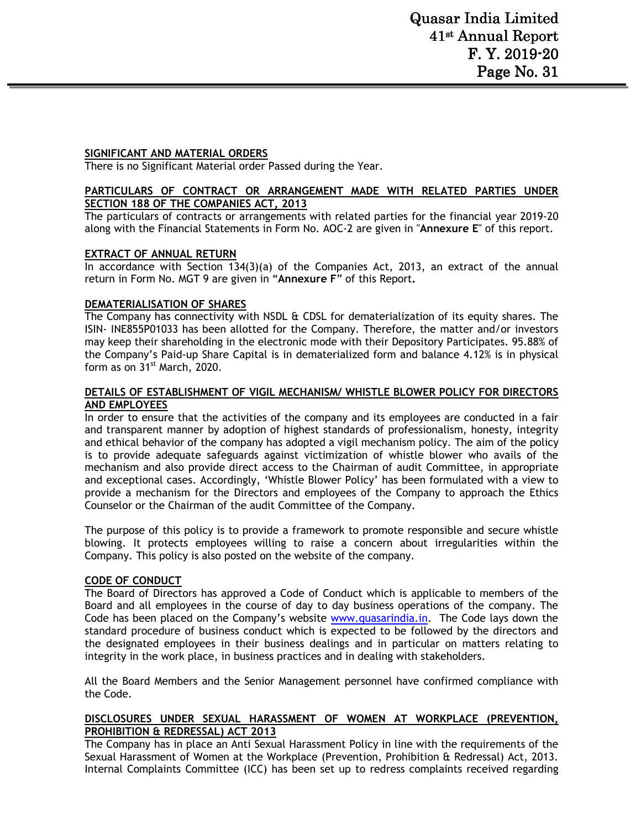#### <u>SIGNIFICANT AND MATERIAL ORDERS</u>

There is no Significant Material order Passed during the Year.

#### <u>PARTICULARS OF CONTRACT OR ARRANGEMENT MADE WITH RELATED PARTIES UNDER </u> <u>**SECTION 188 OF THE COMPANIES ACT, 2013**</u>

The particulars of contracts or arrangements with related parties for the financial year 2019-20 along with the Financial Statements in Form No. AOC-2 are given in "Annexure E" of this report.

#### <u>EXTRACT OF ANNUAL RETURN</u>

In accordance with Section 134(3)(a) of the Companies Act, 2013, an extract of the annual return in Form No. MGT 9 are given in "Annexure F" of this Report.

#### <u>DEMATERIALISATION OF SHARES</u>

The Company has connectivity with NSDL & CDSL for dematerialization of its equity shares. The ISIN- INE855P01033 has been allotted for the Company. Therefore, the matter and/or investors may keep their shareholding in the electronic mode with their Depository Participates. 95.88% of the Company's Paid-up Share Capital is in dematerialized form and balance 4.12% is in physical form as on  $31<sup>st</sup>$  March, 2020.

#### <u>DETAILS OF ESTABLISHMENT OF VIGIL MECHANISM/ WHISTLE BLOWER POLICY FOR DIRECTORS</u> <u>AND EMPLOYEES</u>

In order to ensure that the activities of the company and its employees are conducted in a fair and transparent manner by adoption of highest standards of professionalism, honesty, integrity and ethical behavior of the company has adopted a vigil mechanism policy. The aim of the policy is to provide adequate safeguards against victimization of whistle blower who avails of the mechanism and also provide direct access to the Chairman of audit Committee, in appropriate and exceptional cases. Accordingly, 'Whistle Blower Policy' has been formulated with a view to provide a mechanism for the Directors and employees of the Company to approach the Ethics Counselor or the Chairman of the audit Committee of the Company.

The purpose of this policy is to provide a framework to promote responsible and secure whistle blowing. It protects employees willing to raise a concern about irregularities within the Company. This policy is also posted on the website of the company.

#### <u>CODE OF CONDUCT</u>

The Board of Directors has approved a Code of Conduct which is applicable to members of the Board and all employees in the course of day to day business operations of the company. The Code has been placed on the Company's website www.quasarindia.in. The Code lays down the standard procedure of business conduct which is expected to be followed by the directors and the designated employees in their business dealings and in particular on matters relating to integrity in the work place, in business practices and in dealing with stakeholders.

All the Board Members and the Senior Management personnel have confirmed compliance with the Code.

#### <u>DISCLOSURES UNDER SEXUAL HARASSMENT OF WOMEN AT WORKPLACE (PREVENTION, </u> <u>PROHIBITION & REDRESSAL) ACT 2013</u>

The Company has in place an Anti Sexual Harassment Policy in line with the requirements of the Sexual Harassment of Women at the Workplace (Prevention, Prohibition & Redressal) Act, 2013. Internal Complaints Committee (ICC) has been set up to redress complaints received regarding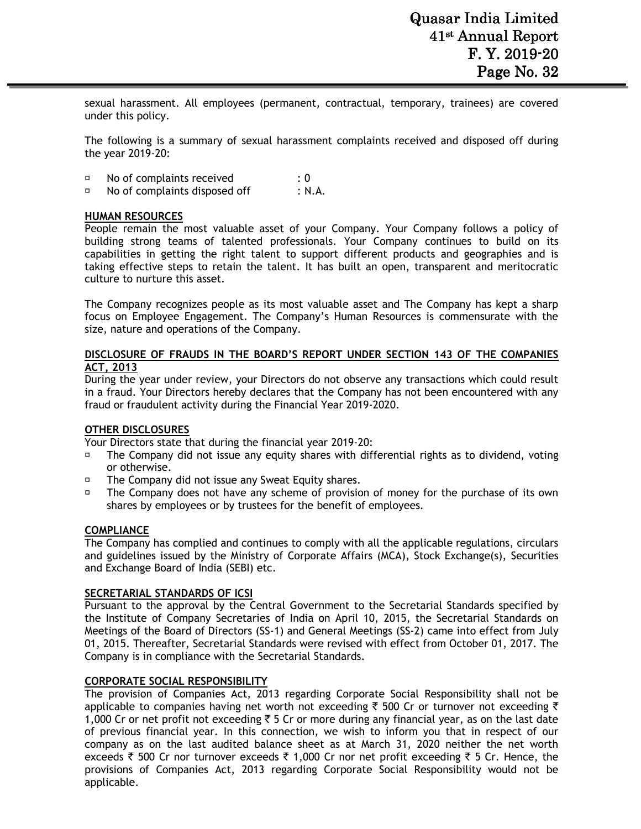sexual harassment. All employees (permanent, contractual, temporary, trainees) are covered under this policy.

The following is a summary of sexual harassment complaints received and disposed off during the year 2019-20:

- □ No of complaints received : 0<br>□ No of complaints disposed off : N.A.
- $\Box$  No of complaints disposed off

#### <u>HUMAN RESOURCES</u>

People remain the most valuable asset of your Company. Your Company follows a policy of building strong teams of talented professionals. Your Company continues to build on its capabilities in getting the right talent to support different products and geographies and is taking effective steps to retain the talent. It has built an open, transparent and meritocratic culture to nurture this asset.

The Company recognizes people as its most valuable asset and The Company has kept a sharp focus on Employee Engagement. The Company's Human Resources is commensurate with the size, nature and operations of the Company.

#### <u>**DISCLOSURE OF FRAUDS IN THE BOARD'S REPORT UNDER SECTION 143 OF THE COMPANIES**</u> <u>ACT, 2013</u>

During the year under review, your Directors do not observe any transactions which could result in a fraud. Your Directors hereby declares that the Company has not been encountered with any fraud or fraudulent activity during the Financial Year 2019-2020.

#### <u>OTHER DISCLOSURES</u>

Your Directors state that during the financial year 2019-20:

- The Company did not issue any equity shares with differential rights as to dividend, voting or otherwise.
- The Company did not issue any Sweat Equity shares.
- $\Box$  The Company does not have any scheme of provision of money for the purchase of its own shares by employees or by trustees for the benefit of employees.

#### <u>COMPLIANCE</u>

The Company has complied and continues to comply with all the applicable regulations, circulars and guidelines issued by the Ministry of Corporate Affairs (MCA), Stock Exchange(s), Securities and Exchange Board of India (SEBI) etc.

#### <u>SECRETARIAL STANDARDS OF ICSI</u>

Pursuant to the approval by the Central Government to the Secretarial Standards specified by the Institute of Company Secretaries of India on April 10, 2015, the Secretarial Standards on Meetings of the Board of Directors (SS-1) and General Meetings (SS-2) came into effect from July 01, 2015. Thereafter, Secretarial Standards were revised with effect from October 01, 2017. The Company is in compliance with the Secretarial Standards.

#### <u>CORPORATE SOCIAL RESPONSIBILITY</u>

The provision of Companies Act, 2013 regarding Corporate Social Responsibility shall not be applicable to companies having net worth not exceeding  $\bar{\tau}$  500 Cr or turnover not exceeding  $\bar{\tau}$ 1,000 Cr or net profit not exceeding  $\bar{\tau}$  5 Cr or more during any financial year, as on the last date of previous financial year. In this connection, we wish to inform you that in respect of our company as on the last audited balance sheet as at March 31, 2020 neither the net worth exceeds ₹ 500 Cr nor turnover exceeds ₹ 1,000 Cr nor net profit exceeding ₹ 5 Cr. Hence, the provisions of Companies Act, 2013 regarding Corporate Social Responsibility would not be applicable.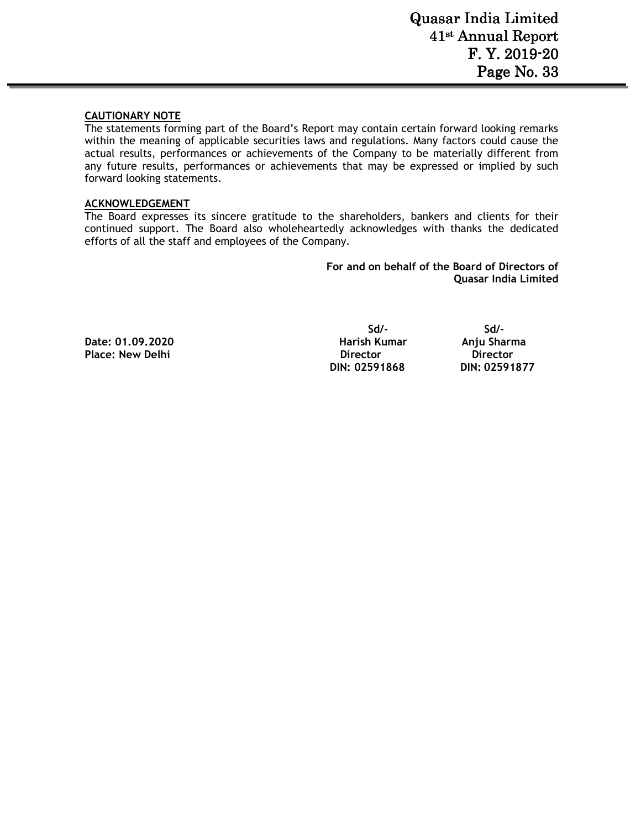#### **CAUTIONARY NOTE**

The statements forming part of the Board's Report may contain certain forward looking remarks within the meaning of applicable securities laws and regulations. Many factors could cause the actual results, performances or achievements of the Company to be materially different from any future results, performances or achievements that may be expressed or implied by such forward looking statements.

#### **ACKNOWLEDGEMENT**

The Board expresses its sincere gratitude to the shareholders, bankers and clients for their continued support. The Board also wholeheartedly acknowledges with thanks the dedicated efforts of all the staff and employees of the Company.

> For and on behalf of the Board of Directors of **Quasar India Limited**

Date: 01.09.2020 **Place: New Delhi** 

 $Sd/-$ **Harish Kumar Director** DIN: 02591868

 $Sd$ /-Anju Sharma **Director** DIN: 02591877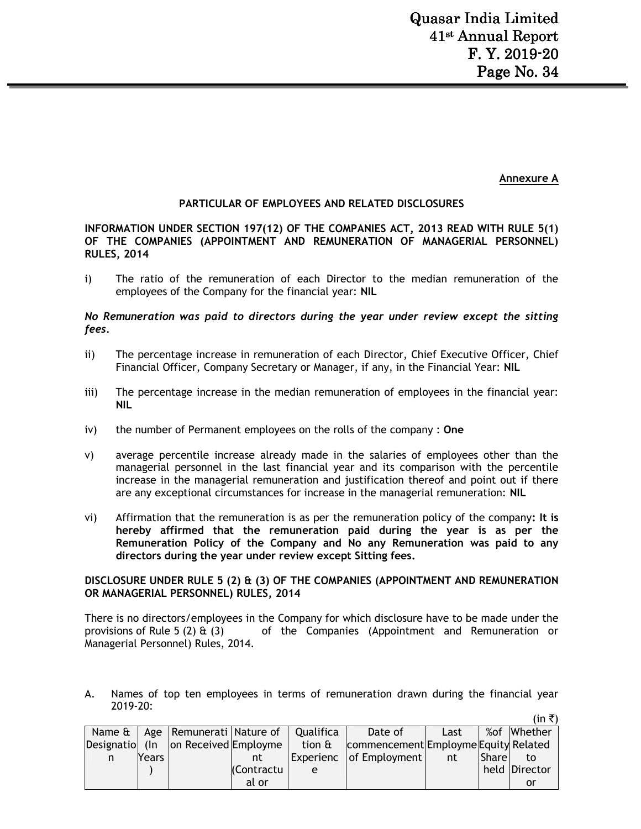**Annexure A** 

#### PARTICULAR OF EMPLOYEES AND RELATED DISCLOSURES

INFORMATION UNDER SECTION 197(12) OF THE COMPANIES ACT, 2013 READ WITH RULE 5(1) OF THE COMPANIES (APPOINTMENT AND REMUNERATION OF MANAGERIAL PERSONNEL) **RULES, 2014** 

The ratio of the remuneration of each Director to the median remuneration of the  $\mathbf{i}$ employees of the Company for the financial year: NIL

#### No Remuneration was paid to directors during the year under review except the sitting fees.

- $\mathbf{ii}$ The percentage increase in remuneration of each Director, Chief Executive Officer, Chief Financial Officer, Company Secretary or Manager, if any, in the Financial Year: NIL
- iii) The percentage increase in the median remuneration of employees in the financial year: **NIL**
- the number of Permanent employees on the rolls of the company: One iv)
- $V)$ average percentile increase already made in the salaries of employees other than the managerial personnel in the last financial year and its comparison with the percentile increase in the managerial remuneration and justification thereof and point out if there are any exceptional circumstances for increase in the managerial remuneration: NIL
- Affirmation that the remuneration is as per the remuneration policy of the company: It is  $vi)$ hereby affirmed that the remuneration paid during the year is as per the Remuneration Policy of the Company and No any Remuneration was paid to any directors during the year under review except Sitting fees.

#### DISCLOSURE UNDER RULE 5 (2) & (3) OF THE COMPANIES (APPOINTMENT AND REMUNERATION OR MANAGERIAL PERSONNEL) RULES, 2014

There is no directors/employees in the Company for which disclosure have to be made under the of the Companies (Appointment and Remuneration or provisions of Rule  $5(2)$  &  $(3)$ Managerial Personnel) Rules, 2014.

А. Names of top ten employees in terms of remuneration drawn during the financial year 2019-20:  $(in \overline{\mathcal{F}})$ 

|              |                                          |           |           |                                      |      |              | UU NI         |
|--------------|------------------------------------------|-----------|-----------|--------------------------------------|------|--------------|---------------|
|              | Name $\&$   Age   Remunerati   Nature of |           | Qualifica | Date of                              | Last |              | %of Whether   |
|              | Designatio (In   on Received Employme    |           | tion &    | commencement Employme Equity Related |      |              |               |
| <b>Nears</b> |                                          | nt        |           | Experienc   of Employment            | nt   | <b>Share</b> | to            |
|              |                                          | Contractu | e         |                                      |      |              | held Director |
|              |                                          | al or     |           |                                      |      |              | Οľ            |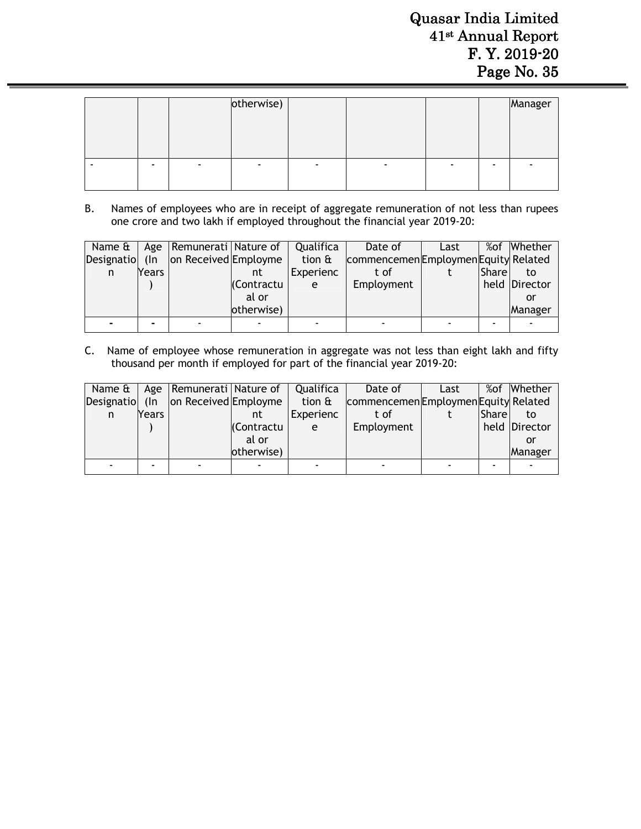i,

|  | otherwise) |   |  | Manager |
|--|------------|---|--|---------|
|  |            |   |  |         |
|  |            |   |  |         |
|  |            | - |  |         |
|  |            |   |  |         |

B. Names of employees who are in receipt of aggregate remuneration of not less than rupees one crore and two lakh if employed throughout the financial year 2019-20:

| Name &         |       | Age   Remunerati   Nature of |            | Qualifica | Date of                              | Last |              | %of Whether   |
|----------------|-------|------------------------------|------------|-----------|--------------------------------------|------|--------------|---------------|
| Designatio (In |       | on Received Employme         |            | tion &    | commencemen Employmen Equity Related |      |              |               |
| n              | Years |                              | nt         | Experienc | t of                                 |      | <b>Share</b> | to            |
|                |       |                              | (Contractu | e         | Employment                           |      |              | held Director |
|                |       |                              | al or      |           |                                      |      |              | or            |
|                |       |                              | otherwise) |           |                                      |      |              | Manager       |
| -              |       |                              |            |           |                                      |      |              |               |

C. Name of employee whose remuneration in aggregate was not less than eight lakh and fifty thousand per month if employed for part of the financial year 2019-20:

| Name &         |       | Age   Remunerati   Nature of |            | Qualifica | Date of                              | Last |              | %of Whether   |
|----------------|-------|------------------------------|------------|-----------|--------------------------------------|------|--------------|---------------|
| Designatio (In |       | on Received Employme         |            | tion &    | commencemen Employmen Equity Related |      |              |               |
| n              | Years |                              | nt         | Experienc | t of                                 |      | <b>Share</b> | to            |
|                |       |                              | (Contractu | e         | Employment                           |      |              | held Director |
|                |       |                              | al or      |           |                                      |      |              | or            |
|                |       |                              | otherwise) |           |                                      |      |              | Manager       |
|                |       |                              |            |           |                                      |      |              |               |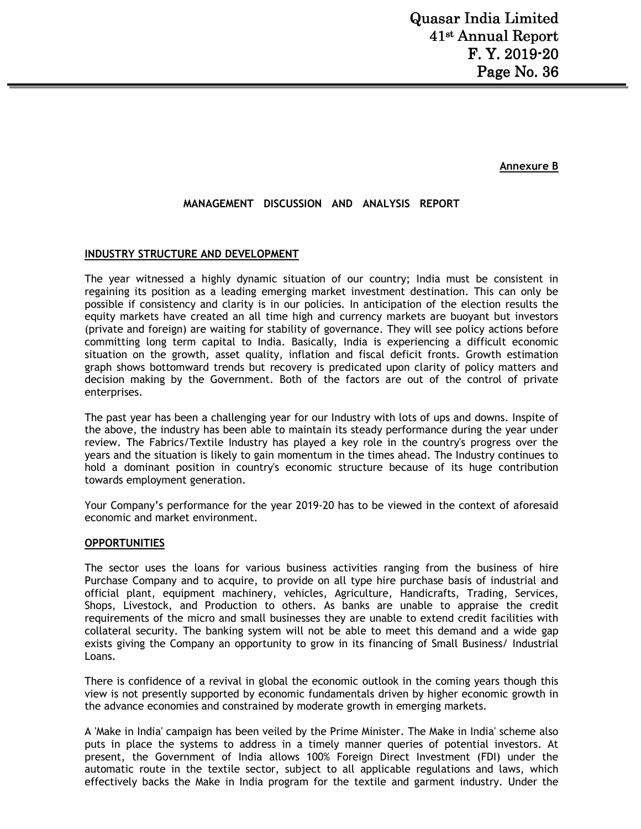Annexure B

i,

# MANAGEMENT DISCUSSION AND ANALYSIS REPORT

# <u>INDUSTRY STRUCTURE AND DEVELOPMENT</u>

The year witnessed a highly dynamic situation of our country; India must be consistent in regaining its position as a leading emerging market investment destination. This can only be possible if consistency and clarity is in our policies. In anticipation of the election results the equity markets have created an all time high and currency markets are buoyant but investors (private and foreign) are waiting for stability of governance. They will see policy actions before committing long term capital to India. Basically, India is experiencing a difficult economic situation on the growth, asset quality, inflation and fiscal deficit fronts. Growth estimation graph shows bottomward trends but recovery is predicated upon clarity of policy matters and decision making by the Government. Both of the factors are out of the control of private enterprises.

The past year has been a challenging year for our Industry with lots of ups and downs. Inspite of the above, the industry has been able to maintain its steady performance during the year under review. The Fabrics/Textile Industry has played a key role in the country's progress over the years and the situation is likely to gain momentum in the times ahead. The Industry continues to hold a dominant position in country's economic structure because of its huge contribution towards employment generation.

Your Company's performance for the year 2019-20 has to be viewed in the context of aforesaid economic and market environment.

# <u>
OPPORTUNITIES</u>

The sector uses the loans for various business activities ranging from the business of hire Purchase Company and to acquire, to provide on all type hire purchase basis of industrial and official plant, equipment machinery, vehicles, Agriculture, Handicrafts, Trading, Services, Shops, Livestock, and Production to others. As banks are unable to appraise the credit requirements of the micro and small businesses they are unable to extend credit facilities with collateral security. The banking system will not be able to meet this demand and a wide gap exists giving the Company an opportunity to grow in its financing of Small Business/ Industrial Loans.

There is confidence of a revival in global the economic outlook in the coming years though this view is not presently supported by economic fundamentals driven by higher economic growth in the advance economies and constrained by moderate growth in emerging markets.

A 'Make in India' campaign has been veiled by the Prime Minister. The Make in India' scheme also puts in place the systems to address in a timely manner queries of potential investors. At present, the Government of India allows 100% Foreign Direct Investment (FDI) under the automatic route in the textile sector, subject to all applicable regulations and laws, which effectively backs the Make in India program for the textile and garment industry. Under the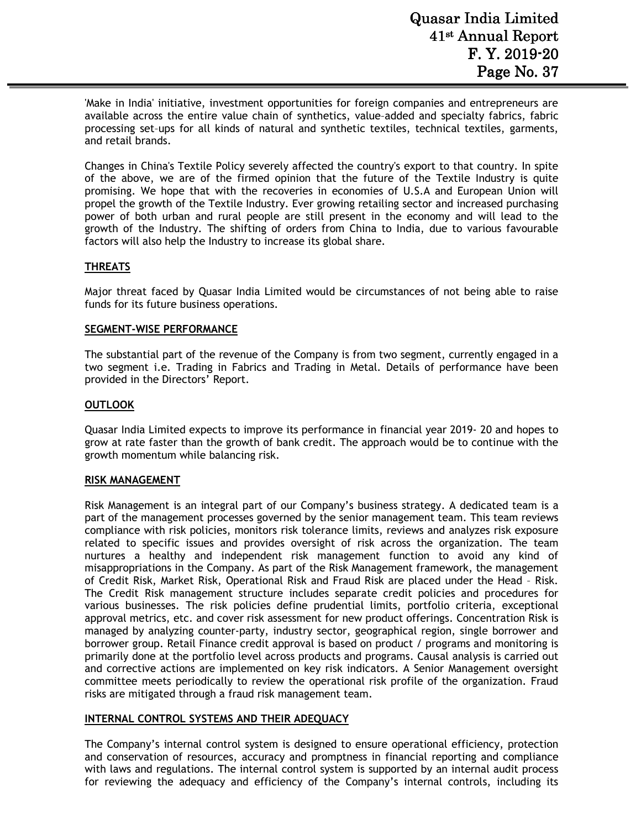'Make in India' initiative, investment opportunities for foreign companies and entrepreneurs are available across the entire value chain of synthetics, value–added and specialty fabrics, fabric processing set–ups for all kinds of natural and synthetic textiles, technical textiles, garments, and retail brands.

Changes in China's Textile Policy severely affected the country's export to that country. In spite of the above, we are of the firmed opinion that the future of the Textile Industry is quite promising. We hope that with the recoveries in economies of U.S.A and European Union will propel the growth of the Textile Industry. Ever growing retailing sector and increased purchasing power of both urban and rural people are still present in the economy and will lead to the growth of the Industry. The shifting of orders from China to India, due to various favourable factors will also help the Industry to increase its global share.

# **'**

Major threat faced by Quasar India Limited would be circumstances of not being able to raise funds for its future business operations.

# <u>SEGMENT-WISE PERFORMANCE</u>

The substantial part of the revenue of the Company is from two segment, currently engaged in a two segment i.e. Trading in Fabrics and Trading in Metal. Details of performance have been provided in the Directors' Report.

# **OUTLOOK**

Quasar India Limited expects to improve its performance in financial year 2019-20 and hopes to grow at rate faster than the growth of bank credit. The approach would be to continue with the growth momentum while balancing risk.

# <u>RISK MANAGEMENT</u>

Risk Management is an integral part of our Company's business strategy. A dedicated team is a part of the management processes governed by the senior management team. This team reviews compliance with risk policies, monitors risk tolerance limits, reviews and analyzes risk exposure related to specific issues and provides oversight of risk across the organization. The team nurtures a healthy and independent risk management function to avoid any kind of misappropriations in the Company. As part of the Risk Management framework, the management of Credit Risk, Market Risk, Operational Risk and Fraud Risk are placed under the Head – Risk. The Credit Risk management structure includes separate credit policies and procedures for various businesses. The risk policies define prudential limits, portfolio criteria, exceptional approval metrics, etc. and cover risk assessment for new product offerings. Concentration Risk is managed by analyzing counter-party, industry sector, geographical region, single borrower and borrower group. Retail Finance credit approval is based on product / programs and monitoring is primarily done at the portfolio level across products and programs. Causal analysis is carried out and corrective actions are implemented on key risk indicators. A Senior Management oversight committee meets periodically to review the operational risk profile of the organization. Fraud risks are mitigated through a fraud risk management team.

# <u>INTERNAL CONTROL SYSTEMS AND THEIR ADEQUACY</u>

The Company's internal control system is designed to ensure operational efficiency, protection and conservation of resources, accuracy and promptness in financial reporting and compliance with laws and regulations. The internal control system is supported by an internal audit process for reviewing the adequacy and efficiency of the Company's internal controls, including its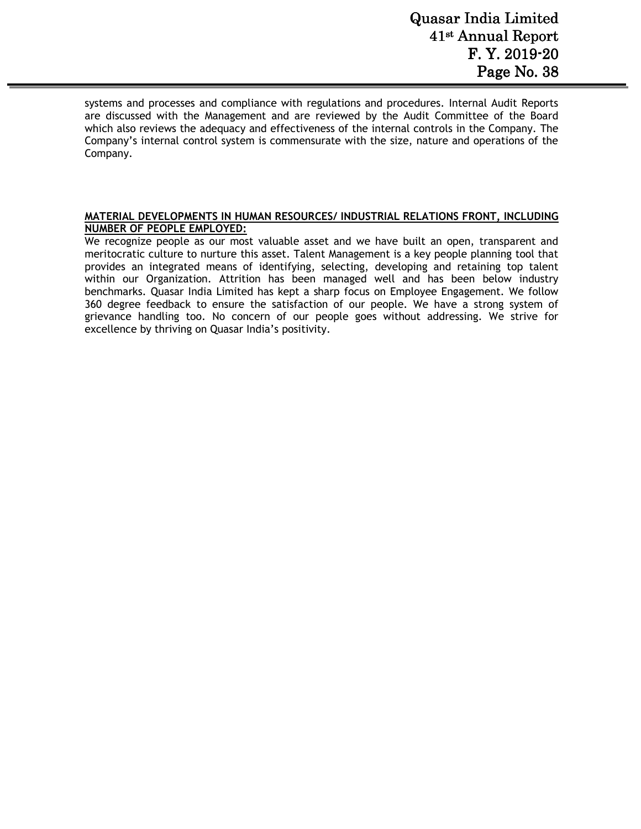Quasar India Limited 41<sup>st</sup> Annual Report F.Y. 2019-20 Page No. 38

i,

systems and processes and compliance with regulations and procedures. Internal Audit Reports are discussed with the Management and are reviewed by the Audit Committee of the Board which also reviews the adequacy and effectiveness of the internal controls in the Company. The Company's internal control system is commensurate with the size, nature and operations of the Company.

# **MATERIAL DEVELOPMENTS IN HUMAN RESOURCES/ INDUSTRIAL RELATIONS FRONT, INCLUDING** <u>NUMBER OF PEOPLE EMPLOYED:</u>

We recognize people as our most valuable asset and we have built an open, transparent and meritocratic culture to nurture this asset. Talent Management is a key people planning tool that provides an integrated means of identifying, selecting, developing and retaining top talent within our Organization. Attrition has been managed well and has been below industry benchmarks. Quasar India Limited has kept a sharp focus on Employee Engagement. We follow 360 degree feedback to ensure the satisfaction of our people. We have a strong system of grievance handling too. No concern of our people goes without addressing. We strive for excellence by thriving on Quasar India's positivity.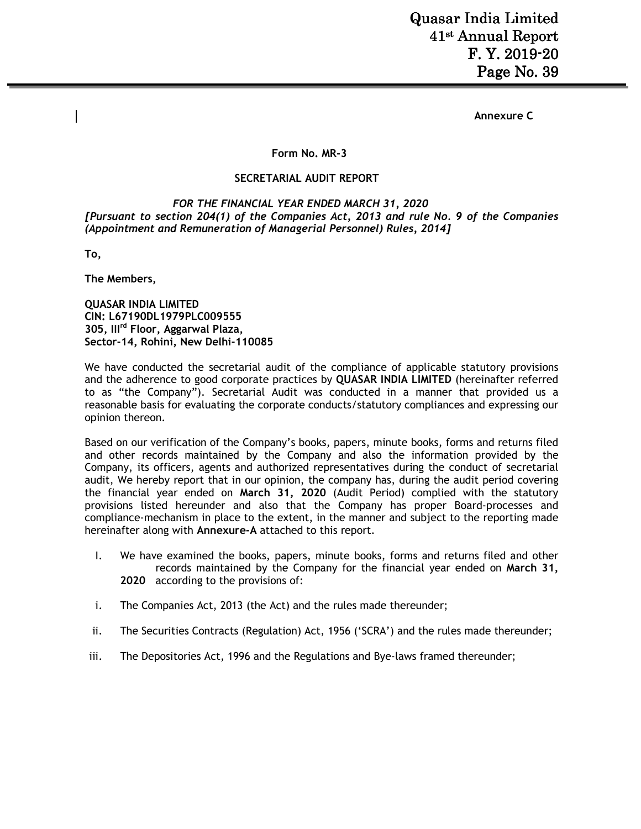Annexure C

i,

# **! -,1**

#### **-SECRETARIAL AUDIT REPORT**

# **FOR THE FINANCIAL YEAR ENDED MARCH 31, 2020** [Pursuant to section 204(1) of the Companies Act, 2013 and rule No. 9 of the Companies (Appointment and Remuneration of Managerial Personnel) Rules, 2014]

**To.** 

The Members.

QUASAR INDIA LIMITED CIN: L67190DL1979PLC009555 **1755**, Ill<sup>rd</sup> Floor, Aggarwal Plaza, Sector-14, Rohini, New Delhi-110085

We have conducted the secretarial audit of the compliance of applicable statutory provisions and the adherence to good corporate practices by **QUASAR INDIA LIMITED** (hereinafter referred to as "the Company"). Secretarial Audit was conducted in a manner that provided us a reasonable basis for evaluating the corporate conducts/statutory compliances and expressing our opinion thereon.

Based on our verification of the Company's books, papers, minute books, forms and returns filed and other records maintained by the Company and also the information provided by the Company, its officers, agents and authorized representatives during the conduct of secretarial audit, We hereby report that in our opinion, the company has, during the audit period covering the financial year ended on March 31, 2020 (Audit Period) complied with the statutory provisions listed hereunder and also that the Company has proper Board-processes and compliance-mechanism in place to the extent, in the manner and subject to the reporting made hereinafter along with Annexure-A attached to this report.

- I. We have examined the books, papers, minute books, forms and returns filed and other records maintained by the Company for the financial year ended on March 31, 2020 according to the provisions of:
- i. The Companies Act, 2013 (the Act) and the rules made thereunder;
- ii. The Securities Contracts (Regulation) Act, 1956 ('SCRA') and the rules made thereunder;
- iii. The Depositories Act, 1996 and the Regulations and Bye-laws framed thereunder;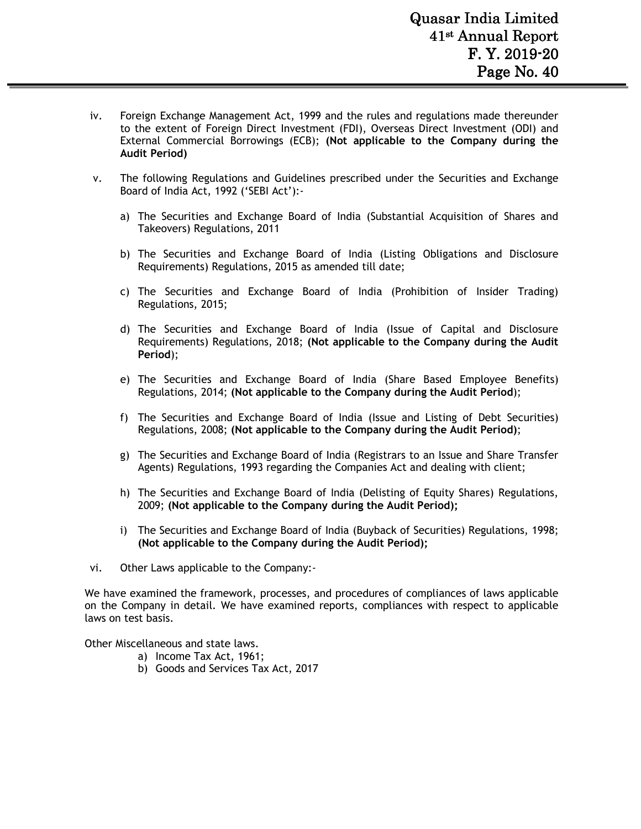- iv. Foreign Exchange Management Act, 1999 and the rules and regulations made thereunder to the extent of Foreign Direct Investment (FDI), Overseas Direct Investment (ODI) and External Commercial Borrowings (ECB); (Not applicable to the Company during the **Audit Period)**
- v. The following Regulations and Guidelines prescribed under the Securities and Exchange Board of India Act, 1992 ('SEBI Act'):
	- a) The Securities and Exchange Board of India (Substantial Acquisition of Shares and Takeovers) Regulations, 2011
	- b) The Securities and Exchange Board of India (Listing Obligations and Disclosure Requirements) Regulations, 2015 as amended till date;
	- c) The Securities and Exchange Board of India (Prohibition of Insider Trading) Regulations, 2015;
	- d) The Securities and Exchange Board of India (Issue of Capital and Disclosure Requirements) Regulations, 2018; (Not applicable to the Company during the Audit **!**);
	- e) The Securities and Exchange Board of India (Share Based Employee Benefits) Regulations, 2014; (Not applicable to the Company during the Audit Period);
	- f) The Securities and Exchange Board of India (Issue and Listing of Debt Securities) Regulations, 2008; (Not applicable to the Company during the Audit Period);
	- g) The Securities and Exchange Board of India (Registrars to an Issue and Share Transfer Agents) Regulations, 1993 regarding the Companies Act and dealing with client;
	- h) The Securities and Exchange Board of India (Delisting of Equity Shares) Regulations, 2009; (Not applicable to the Company during the Audit Period);
	- i) The Securities and Exchange Board of India (Buyback of Securities) Regulations, 1998; (Not applicable to the Company during the Audit Period);
- vi. Other Laws applicable to the Company:

We have examined the framework, processes, and procedures of compliances of laws applicable on the Company in detail. We have examined reports, compliances with respect to applicable laws on test basis.

Other Miscellaneous and state laws.

- a) Income Tax Act, 1961;
- b) Goods and Services Tax Act, 2017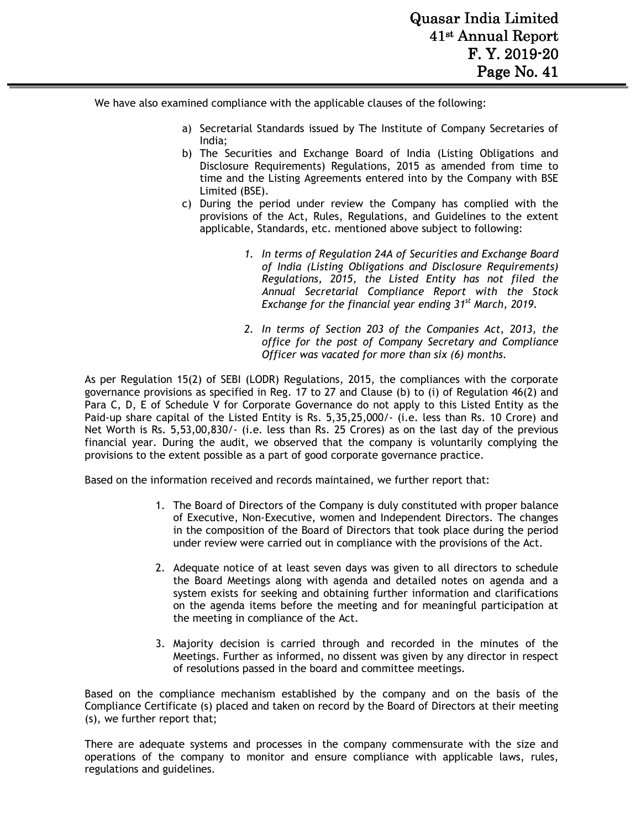We have also examined compliance with the applicable clauses of the following:

- a) Secretarial Standards issued by The Institute of Company Secretaries of India;
- b) The Securities and Exchange Board of India (Listing Obligations and Disclosure Requirements) Regulations, 2015 as amended from time to time and the Listing Agreements entered into by the Company with BSE Limited (BSE).
- c) During the period under review the Company has complied with the provisions of the Act, Rules, Regulations, and Guidelines to the extent applicable, Standards, etc. mentioned above subject to following:
	- 1. In terms of Regulation 24A of Securities and Exchange Board of India (Listing Obligations and Disclosure Requirements) Regulations, 2015, the Listed Entity has not filed the Annual Secretarial Compliance Report with the Stock Exchange for the financial year ending 31<sup>st</sup> March, 2019.
	- 2. In terms of Section 203 of the Companies Act, 2013, the office for the post of Company Secretary and Compliance Officer was vacated for more than six (6) months.

As per Regulation 15(2) of SEBI (LODR) Regulations, 2015, the compliances with the corporate governance provisions as specified in Reg. 17 to 27 and Clause (b) to (i) of Regulation 46(2) and Para C, D, E of Schedule V for Corporate Governance do not apply to this Listed Entity as the Paid-up share capital of the Listed Entity is Rs. 5,35,25,000/- (i.e. less than Rs. 10 Crore) and Net Worth is Rs. 5,53,00,830/- (i.e. less than Rs. 25 Crores) as on the last day of the previous financial year. During the audit, we observed that the company is voluntarily complying the provisions to the extent possible as a part of good corporate governance practice.

Based on the information received and records maintained, we further report that:

- 1. The Board of Directors of the Company is duly constituted with proper balance of Executive, Non-Executive, women and Independent Directors. The changes in the composition of the Board of Directors that took place during the period under review were carried out in compliance with the provisions of the Act.
- 2. Adequate notice of at least seven days was given to all directors to schedule the Board Meetings along with agenda and detailed notes on agenda and a system exists for seeking and obtaining further information and clarifications on the agenda items before the meeting and for meaningful participation at the meeting in compliance of the Act.
- 3. Majority decision is carried through and recorded in the minutes of the Meetings. Further as informed, no dissent was given by any director in respect of resolutions passed in the board and committee meetings.

Based on the compliance mechanism established by the company and on the basis of the Compliance Certificate (s) placed and taken on record by the Board of Directors at their meeting (s), we further report that;

There are adequate systems and processes in the company commensurate with the size and operations of the company to monitor and ensure compliance with applicable laws, rules, regulations and guidelines.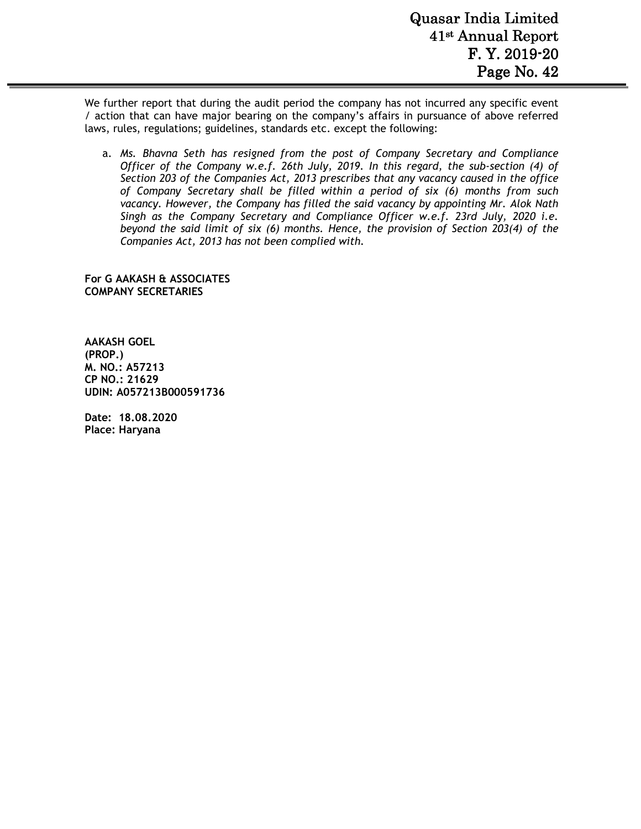We further report that during the audit period the company has not incurred any specific event / action that can have major bearing on the company's affairs in pursuance of above referred laws, rules, regulations; guidelines, standards etc. except the following:

a. Ms. Bhavna Seth has resigned from the post of Company Secretary and Compliance Officer of the Company w.e.f. 26th July, 2019. In this regard, the sub-section (4) of Section 203 of the Companies Act, 2013 prescribes that any vacancy caused in the office of Company Secretary shall be filled within a period of six (6) months from such vacancy. However, the Company has filled the said vacancy by appointing Mr. Alok Nath Singh as the Company Secretary and Compliance Officer w.e.f. 23rd July, 2020 i.e. beyond the said limit of six (6) months. Hence, the provision of Section 203(4) of the Companies Act, 2013 has not been complied with.

For G AAKASH & ASSOCIATES **COMPANY SECRETARIES** 

**AAKASH GOEL** (PROP.) M. NO.: A57213 CP NO.: 21629 UDIN: A057213B000591736

Date: 18.08.2020 Place: Haryana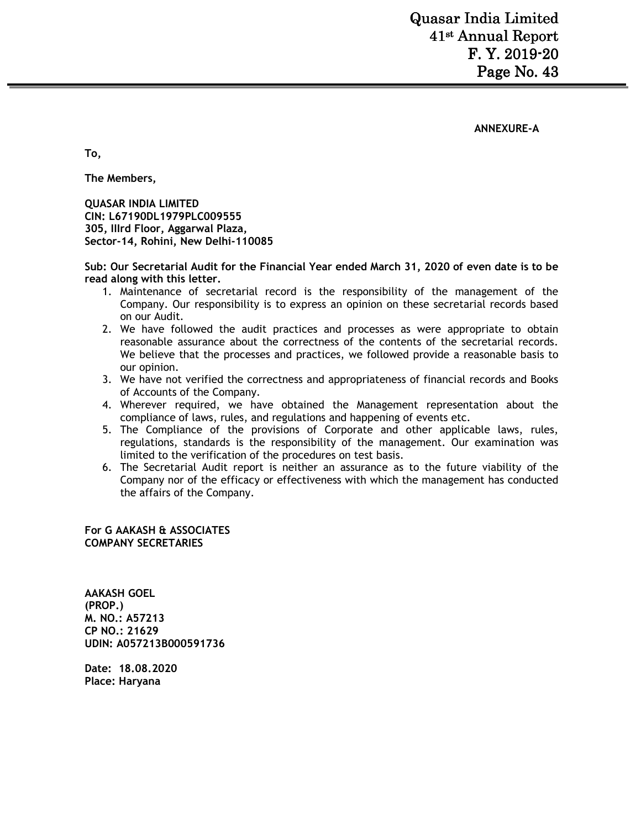**ANNEXURE-A** 

To,

The Members,

**QUASAR INDIA LIMITED** CIN: L67190DL1979PLC009555 305, Illrd Floor, Aggarwal Plaza, Sector-14, Rohini, New Delhi-110085

Sub: Our Secretarial Audit for the Financial Year ended March 31, 2020 of even date is to be read along with this letter.

- 1. Maintenance of secretarial record is the responsibility of the management of the Company. Our responsibility is to express an opinion on these secretarial records based on our Audit.
- 2. We have followed the audit practices and processes as were appropriate to obtain reasonable assurance about the correctness of the contents of the secretarial records. We believe that the processes and practices, we followed provide a reasonable basis to our opinion.
- 3. We have not verified the correctness and appropriateness of financial records and Books of Accounts of the Company.
- 4. Wherever required, we have obtained the Management representation about the compliance of laws, rules, and regulations and happening of events etc.
- 5. The Compliance of the provisions of Corporate and other applicable laws, rules, regulations, standards is the responsibility of the management. Our examination was limited to the verification of the procedures on test basis.
- 6. The Secretarial Audit report is neither an assurance as to the future viability of the Company nor of the efficacy or effectiveness with which the management has conducted the affairs of the Company.

For G AAKASH & ASSOCIATES **COMPANY SECRETARIES** 

**AAKASH GOEL** (PROP.) M. NO.: A57213 CP NO.: 21629 UDIN: A057213B000591736

Date: 18.08.2020 Place: Haryana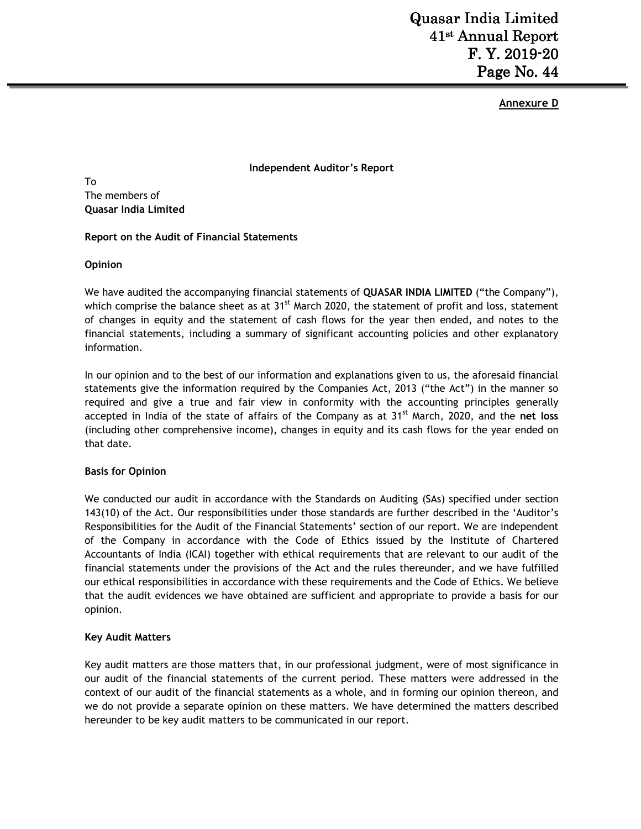Quasar India Limited 41<sup>st</sup> Annual Report F.Y. 2019-20 Page No. 44

Annexure D

i,

**Independent Auditor's Report** 

To The members of **Quasar India Limited** 

**Report on the Audit of Financial Statements** 

**Opinion** 

We have audited the accompanying financial statements of **QUASAR INDIA LIMITED** ("the Company"), which comprise the balance sheet as at  $31<sup>st</sup>$  March 2020, the statement of profit and loss, statement of changes in equity and the statement of cash flows for the year then ended, and notes to the financial statements, including a summary of significant accounting policies and other explanatory information.

In our opinion and to the best of our information and explanations given to us, the aforesaid financial statements give the information required by the Companies Act, 2013 ("the Act") in the manner so required and give a true and fair view in conformity with the accounting principles generally accepted in India of the state of affairs of the Company as at 31<sup>st</sup> March, 2020, and the net loss (including other comprehensive income), changes in equity and its cash flows for the year ended on that date.

# **Basis for Opinion**

We conducted our audit in accordance with the Standards on Auditing (SAs) specified under section 143(10) of the Act. Our responsibilities under those standards are further described in the 'Auditor's Responsibilities for the Audit of the Financial Statements' section of our report. We are independent of the Company in accordance with the Code of Ethics issued by the Institute of Chartered Accountants of India (ICAI) together with ethical requirements that are relevant to our audit of the financial statements under the provisions of the Act and the rules thereunder, and we have fulfilled our ethical responsibilities in accordance with these requirements and the Code of Ethics. We believe that the audit evidences we have obtained are sufficient and appropriate to provide a basis for our opinion.

# **Key Audit Matters**

Key audit matters are those matters that, in our professional judgment, were of most significance in our audit of the financial statements of the current period. These matters were addressed in the context of our audit of the financial statements as a whole, and in forming our opinion thereon, and we do not provide a separate opinion on these matters. We have determined the matters described hereunder to be key audit matters to be communicated in our report.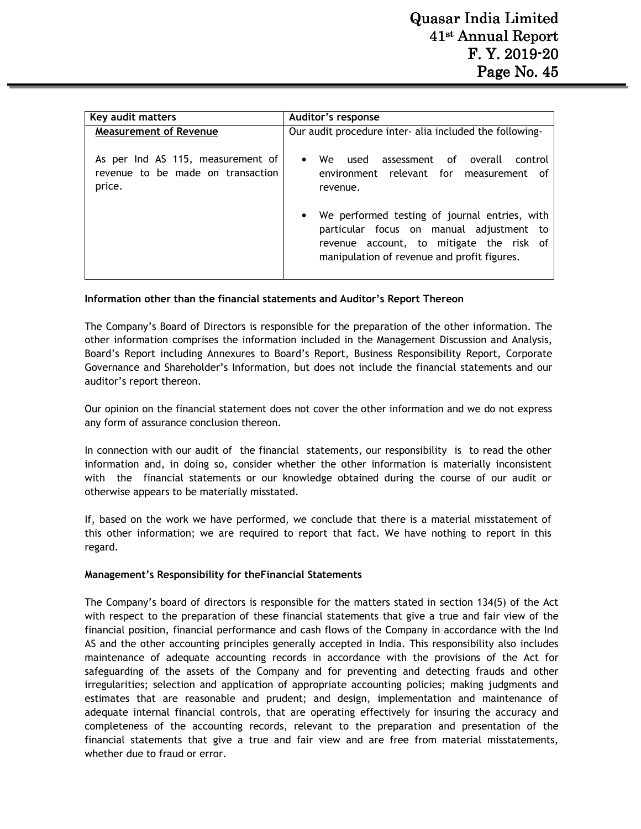| Key audit matters                                                                | Auditor's response                                                                                                                                                                                |  |  |
|----------------------------------------------------------------------------------|---------------------------------------------------------------------------------------------------------------------------------------------------------------------------------------------------|--|--|
| <b>Measurement of Revenue</b>                                                    | Our audit procedure inter- alia included the following-                                                                                                                                           |  |  |
| As per Ind AS 115, measurement of<br>revenue to be made on transaction<br>price. | used assessment of overall<br>We<br>control<br>environment relevant for measurement<br>Ωf<br>revenue.                                                                                             |  |  |
|                                                                                  | We performed testing of journal entries, with<br>$\bullet$<br>particular focus on manual adjustment to<br>revenue account, to mitigate the risk of<br>manipulation of revenue and profit figures. |  |  |

# Information other than the financial statements and Auditor's Report Thereon

The Company's Board of Directors is responsible for the preparation of the other information. The other information comprises the information included in the Management Discussion and Analysis, Board's Report including Annexures to Board's Report, Business Responsibility Report, Corporate Governance and Shareholder's Information, but does not include the financial statements and our auditor's report thereon.

Our opinion on the financial statement does not cover the other information and we do not express any form of assurance conclusion thereon.

In connection with our audit of the financial statements, our responsibility is to read the other information and, in doing so, consider whether the other information is materially inconsistent with the financial statements or our knowledge obtained during the course of our audit or otherwise appears to be materially misstated.

If, based on the work we have performed, we conclude that there is a material misstatement of this other information; we are required to report that fact. We have nothing to report in this regard.

# **Management's Responsibility for theFinancial Statements**

The Company's board of directors is responsible for the matters stated in section 134(5) of the Act with respect to the preparation of these financial statements that give a true and fair view of the financial position, financial performance and cash flows of the Company in accordance with the Ind AS and the other accounting principles generally accepted in India. This responsibility also includes maintenance of adequate accounting records in accordance with the provisions of the Act for safeguarding of the assets of the Company and for preventing and detecting frauds and other irregularities; selection and application of appropriate accounting policies; making judgments and estimates that are reasonable and prudent; and design, implementation and maintenance of adequate internal financial controls, that are operating effectively for insuring the accuracy and completeness of the accounting records, relevant to the preparation and presentation of the financial statements that give a true and fair view and are free from material misstatements, whether due to fraud or error.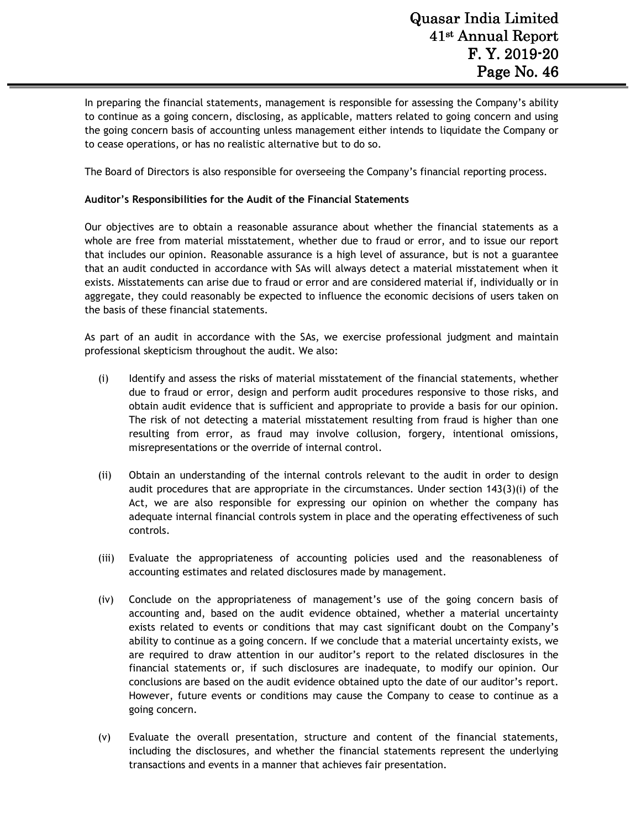In preparing the financial statements, management is responsible for assessing the Company's ability to continue as a going concern, disclosing, as applicable, matters related to going concern and using the going concern basis of accounting unless management either intends to liquidate the Company or to cease operations, or has no realistic alternative but to do so.

The Board of Directors is also responsible for overseeing the Company's financial reporting process.

# Auditor's Responsibilities for the Audit of the Financial Statements

Our objectives are to obtain a reasonable assurance about whether the financial statements as a whole are free from material misstatement, whether due to fraud or error, and to issue our report that includes our opinion. Reasonable assurance is a high level of assurance, but is not a guarantee that an audit conducted in accordance with SAs will always detect a material misstatement when it exists. Misstatements can arise due to fraud or error and are considered material if, individually or in aggregate, they could reasonably be expected to influence the economic decisions of users taken on the basis of these financial statements.

As part of an audit in accordance with the SAs, we exercise professional judgment and maintain professional skepticism throughout the audit. We also:

- (i) Identify and assess the risks of material misstatement of the financial statements, whether due to fraud or error, design and perform audit procedures responsive to those risks, and obtain audit evidence that is sufficient and appropriate to provide a basis for our opinion. The risk of not detecting a material misstatement resulting from fraud is higher than one resulting from error, as fraud may involve collusion, forgery, intentional omissions, misrepresentations or the override of internal control.
- (ii) Obtain an understanding of the internal controls relevant to the audit in order to design audit procedures that are appropriate in the circumstances. Under section 143(3)(i) of the Act, we are also responsible for expressing our opinion on whether the company has adequate internal financial controls system in place and the operating effectiveness of such controls.
- (iii) Evaluate the appropriateness of accounting policies used and the reasonableness of accounting estimates and related disclosures made by management.
- (iv) Conclude on the appropriateness of management's use of the going concern basis of accounting and, based on the audit evidence obtained, whether a material uncertainty exists related to events or conditions that may cast significant doubt on the Company's ability to continue as a going concern. If we conclude that a material uncertainty exists, we are required to draw attention in our auditor's report to the related disclosures in the financial statements or, if such disclosures are inadequate, to modify our opinion. Our conclusions are based on the audit evidence obtained upto the date of our auditor's report. However, future events or conditions may cause the Company to cease to continue as a going concern.
- (v) Evaluate the overall presentation, structure and content of the financial statements, including the disclosures, and whether the financial statements represent the underlying transactions and events in a manner that achieves fair presentation.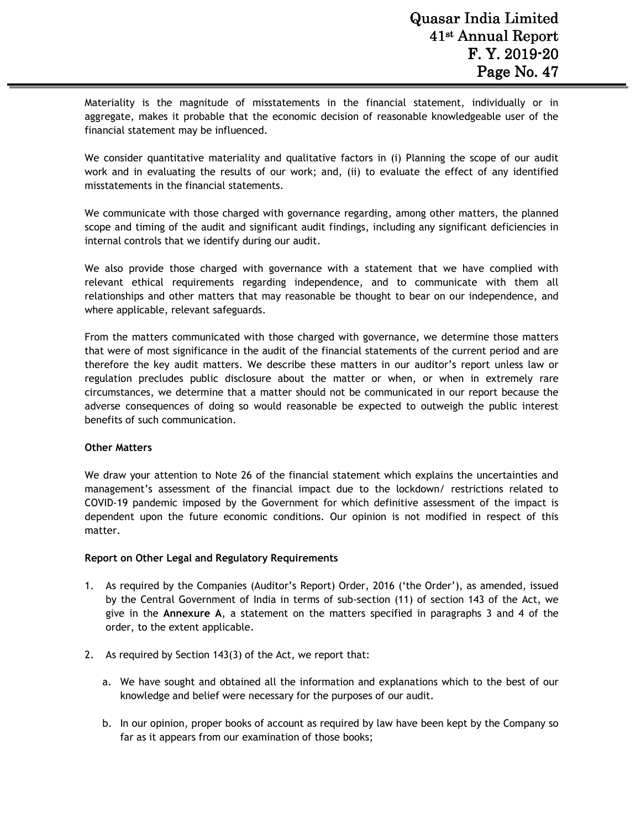Materiality is the magnitude of misstatements in the financial statement, individually or in aggregate, makes it probable that the economic decision of reasonable knowledgeable user of the financial statement may be influenced.

We consider quantitative materiality and qualitative factors in (i) Planning the scope of our audit work and in evaluating the results of our work; and, (ii) to evaluate the effect of any identified misstatements in the financial statements.

We communicate with those charged with governance regarding, among other matters, the planned scope and timing of the audit and significant audit findings, including any significant deficiencies in internal controls that we identify during our audit.

We also provide those charged with governance with a statement that we have complied with relevant ethical requirements regarding independence, and to communicate with them all relationships and other matters that may reasonable be thought to bear on our independence, and where applicable, relevant safeguards.

From the matters communicated with those charged with governance, we determine those matters that were of most significance in the audit of the financial statements of the current period and are therefore the key audit matters. We describe these matters in our auditor's report unless law or regulation precludes public disclosure about the matter or when, or when in extremely rare circumstances, we determine that a matter should not be communicated in our report because the adverse consequences of doing so would reasonable be expected to outweigh the public interest benefits of such communication.

# **Other Matters**

We draw your attention to Note 26 of the financial statement which explains the uncertainties and management's assessment of the financial impact due to the lockdown/ restrictions related to COVID-19 pandemic imposed by the Government for which definitive assessment of the impact is dependent upon the future economic conditions. Our opinion is not modified in respect of this matter.

# **Report on Other Legal and Regulatory Requirements**

- 1. As required by the Companies (Auditor's Report) Order, 2016 ('the Order'), as amended, issued by the Central Government of India in terms of sub-section (11) of section 143 of the Act, we give in the **Annexure A**, a statement on the matters specified in paragraphs 3 and 4 of the order, to the extent applicable.
- 2. As required by Section 143(3) of the Act, we report that:
	- a. We have sought and obtained all the information and explanations which to the best of our knowledge and belief were necessary for the purposes of our audit.
	- b. In our opinion, proper books of account as required by law have been kept by the Company so far as it appears from our examination of those books;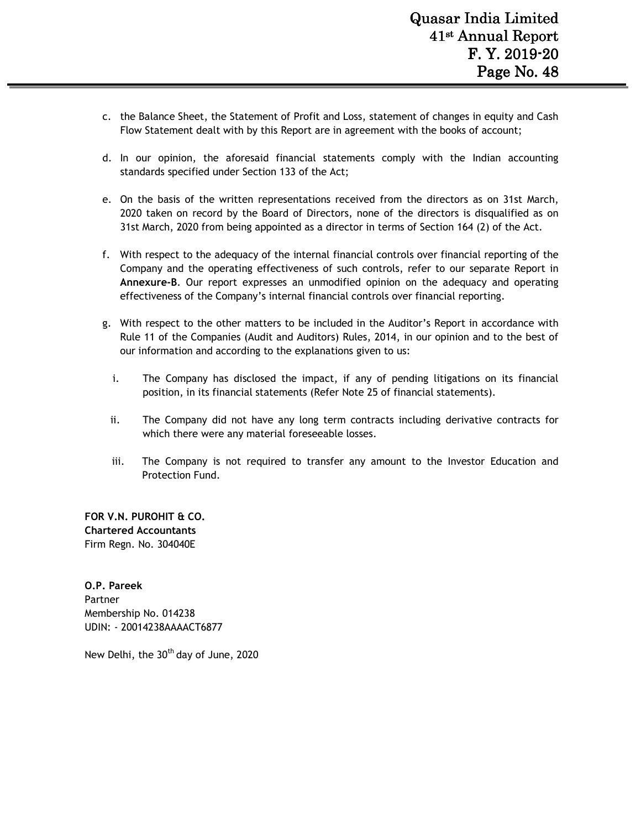- c. the Balance Sheet, the Statement of Profit and Loss, statement of changes in equity and Cash Flow Statement dealt with by this Report are in agreement with the books of account;
- d. In our opinion, the aforesaid financial statements comply with the Indian accounting standards specified under Section 133 of the Act;
- e. On the basis of the written representations received from the directors as on 31st March, 2020 taken on record by the Board of Directors, none of the directors is disqualified as on 31st March, 2020 from being appointed as a director in terms of Section 164 (2) of the Act.
- f. With respect to the adequacy of the internal financial controls over financial reporting of the Company and the operating effectiveness of such controls, refer to our separate Report in Annexure-B. Our report expresses an unmodified opinion on the adequacy and operating effectiveness of the Company's internal financial controls over financial reporting.
- g. With respect to the other matters to be included in the Auditor's Report in accordance with Rule 11 of the Companies (Audit and Auditors) Rules, 2014, in our opinion and to the best of our information and according to the explanations given to us:
	- i. The Company has disclosed the impact, if any of pending litigations on its financial position, in its financial statements (Refer Note 25 of financial statements).
	- ii. The Company did not have any long term contracts including derivative contracts for which there were any material foreseeable losses.
	- iii. The Company is not required to transfer any amount to the Investor Education and Protection Fund.

**FOR V.N. PUROHIT & CO. Chartered Accountants** Firm Regn. No. 304040E

**0.P. Pareek** Partner Membership No. 014238 UDIN: 20014238AAAACT6877

New Delhi, the 30<sup>th</sup> day of June, 2020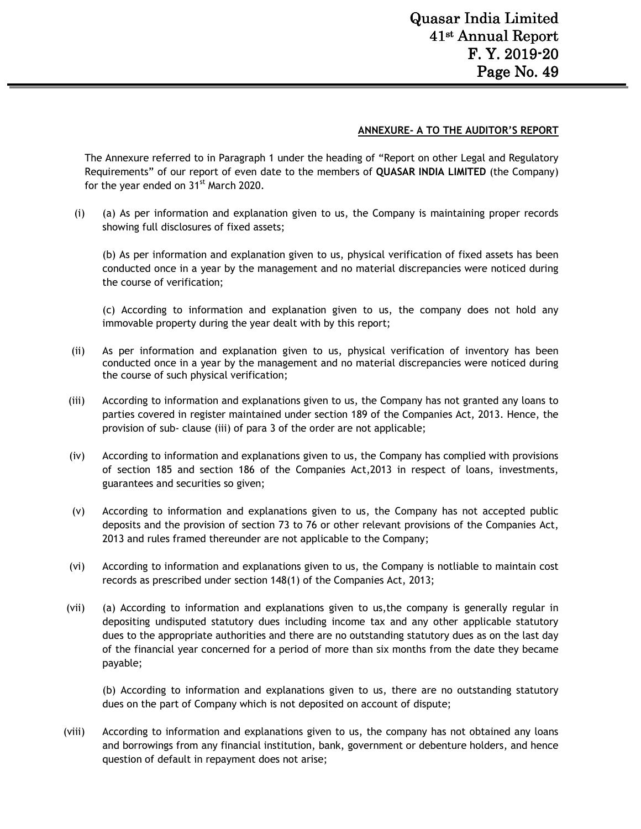# <u> ANNEXURE- A TO THE AUDITOR'S REPORT</u>

The Annexure referred to in Paragraph 1 under the heading of "Report on other Legal and Regulatory Requirements" of our report of even date to the members of **QUASAR INDIA LIMITED** (the Company) for the year ended on  $31<sup>st</sup>$  March 2020.

(i) (a) As per information and explanation given to us, the Company is maintaining proper records showing full disclosures of fixed assets;

(b) As per information and explanation given to us, physical verification of fixed assets has been conducted once in a year by the management and no material discrepancies were noticed during the course of verification;

(c) According to information and explanation given to us, the company does not hold any immovable property during the year dealt with by this report;

- (ii) As per information and explanation given to us, physical verification of inventory has been conducted once in a year by the management and no material discrepancies were noticed during the course of such physical verification;
- (iii) According to information and explanations given to us, the Company has not granted any loans to parties covered in register maintained under section 189 of the Companies Act, 2013. Hence, the provision of sub-clause (iii) of para 3 of the order are not applicable;
- (iv) According to information and explanations given to us, the Company has complied with provisions of section 185 and section 186 of the Companies Act,2013 in respect of loans, investments, guarantees and securities so given;
- (v) According to information and explanations given to us, the Company has not accepted public deposits and the provision of section 73 to 76 or other relevant provisions of the Companies Act, 2013 and rules framed thereunder are not applicable to the Company;
- (vi) According to information and explanations given to us, the Company is notliable to maintain cost records as prescribed under section 148(1) of the Companies Act, 2013;
- (vii) (a) According to information and explanations given to us,the company is generally regular in depositing undisputed statutory dues including income tax and any other applicable statutory dues to the appropriate authorities and there are no outstanding statutory dues as on the last day of the financial year concerned for a period of more than six months from the date they became payable;

(b) According to information and explanations given to us, there are no outstanding statutory dues on the part of Company which is not deposited on account of dispute;

(viii) According to information and explanations given to us, the company has not obtained any loans and borrowings from any financial institution, bank, government or debenture holders, and hence question of default in repayment does not arise;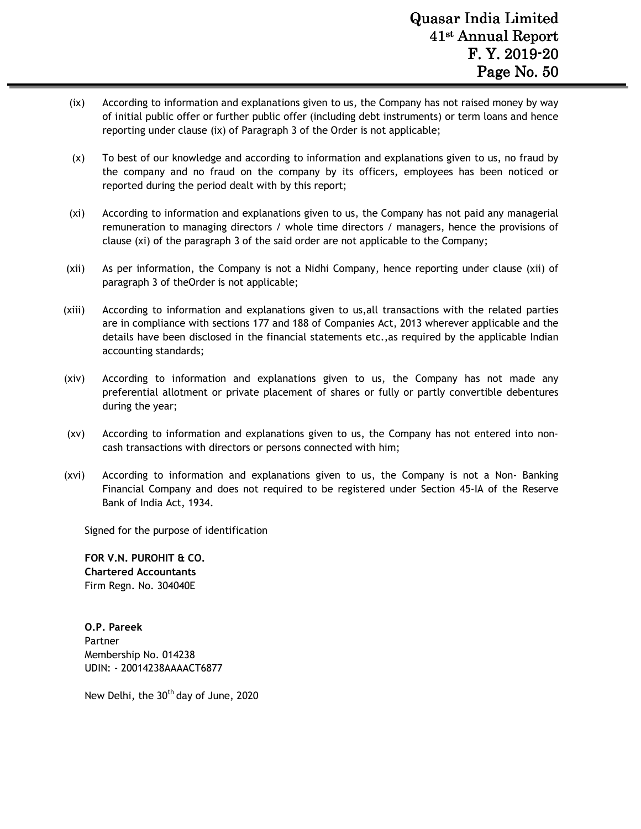- (ix) According to information and explanations given to us, the Company has not raised money by way of initial public offer or further public offer (including debt instruments) or term loans and hence reporting under clause (ix) of Paragraph 3 of the Order is not applicable;
- (x) To best of our knowledge and according to information and explanations given to us, no fraud by the company and no fraud on the company by its officers, employees has been noticed or reported during the period dealt with by this report;
- (xi) According to information and explanations given to us, the Company has not paid any managerial remuneration to managing directors / whole time directors / managers, hence the provisions of clause (xi) of the paragraph 3 of the said order are not applicable to the Company;
- (xii) As per information, the Company is not a Nidhi Company, hence reporting under clause (xii) of paragraph 3 of theOrder is not applicable;
- (xiii) According to information and explanations given to us,all transactions with the related parties are in compliance with sections 177 and 188 of Companies Act, 2013 wherever applicable and the details have been disclosed in the financial statements etc.,as required by the applicable Indian accounting standards;
- (xiv) According to information and explanations given to us, the Company has not made any preferential allotment or private placement of shares or fully or partly convertible debentures during the year;
- (xv) According to information and explanations given to us, the Company has not entered into non cash transactions with directors or persons connected with him;
- (xvi) According to information and explanations given to us, the Company is not a Non- Banking Financial Company and does not required to be registered under Section 45-IA of the Reserve Bank of India Act, 1934.

Signed for the purpose of identification

**FOR V.N. PUROHIT & CO. Chartered Accountants** Firm Regn. No. 304040E

0.P. Pareek Partner Membership No. 014238 UDIN: 20014238AAAACT6877

New Delhi, the 30<sup>th</sup> day of June, 2020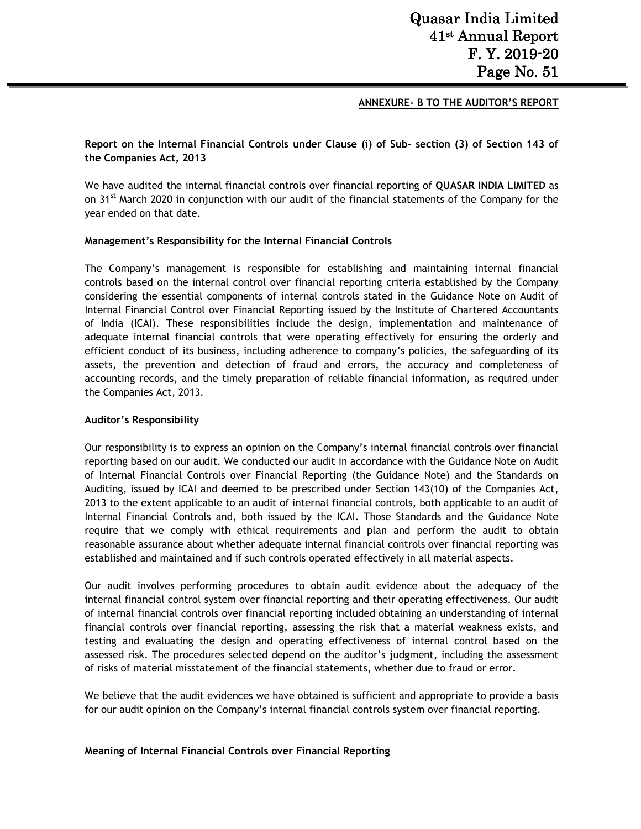# <u> ANNEXURE- B TO THE AUDITOR'S REPORT</u>

Report on the Internal Financial Controls under Clause (i) of Sub- section (3) of Section 143 of the Companies Act, 2013

We have audited the internal financial controls over financial reporting of **QUASAR INDIA LIMITED** as on 31<sup>st</sup> March 2020 in conjunction with our audit of the financial statements of the Company for the year ended on that date.

# **Management's Responsibility for the Internal Financial Controls**

The Company's management is responsible for establishing and maintaining internal financial controls based on the internal control over financial reporting criteria established by the Company considering the essential components of internal controls stated in the Guidance Note on Audit of Internal Financial Control over Financial Reporting issued by the Institute of Chartered Accountants of India (ICAI). These responsibilities include the design, implementation and maintenance of adequate internal financial controls that were operating effectively for ensuring the orderly and efficient conduct of its business, including adherence to company's policies, the safeguarding of its assets, the prevention and detection of fraud and errors, the accuracy and completeness of accounting records, and the timely preparation of reliable financial information, as required under the Companies Act, 2013.

# **Auditor's Responsibility**

Our responsibility is to express an opinion on the Company's internal financial controls over financial reporting based on our audit. We conducted our audit in accordance with the Guidance Note on Audit of Internal Financial Controls over Financial Reporting (the Guidance Note) and the Standards on Auditing, issued by ICAI and deemed to be prescribed under Section 143(10) of the Companies Act, 2013 to the extent applicable to an audit of internal financial controls, both applicable to an audit of Internal Financial Controls and, both issued by the ICAI. Those Standards and the Guidance Note require that we comply with ethical requirements and plan and perform the audit to obtain reasonable assurance about whether adequate internal financial controls over financial reporting was established and maintained and if such controls operated effectively in all material aspects.

Our audit involves performing procedures to obtain audit evidence about the adequacy of the internal financial control system over financial reporting and their operating effectiveness. Our audit of internal financial controls over financial reporting included obtaining an understanding of internal financial controls over financial reporting, assessing the risk that a material weakness exists, and testing and evaluating the design and operating effectiveness of internal control based on the assessed risk. The procedures selected depend on the auditor's judgment, including the assessment of risks of material misstatement of the financial statements, whether due to fraud or error.

We believe that the audit evidences we have obtained is sufficient and appropriate to provide a basis for our audit opinion on the Company's internal financial controls system over financial reporting.

# **Meaning of Internal Financial Controls over Financial Reporting**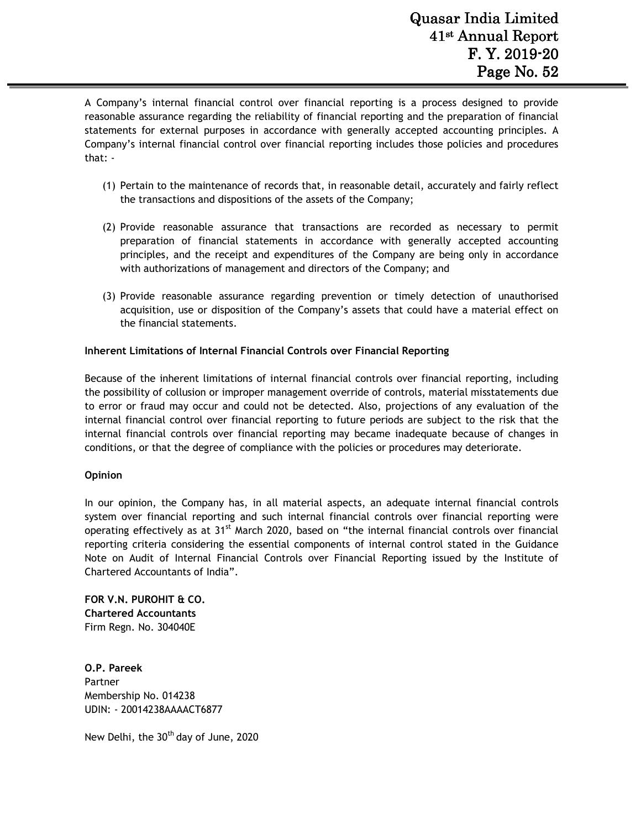A Company's internal financial control over financial reporting is a process designed to provide reasonable assurance regarding the reliability of financial reporting and the preparation of financial statements for external purposes in accordance with generally accepted accounting principles. A Company's internal financial control over financial reporting includes those policies and procedures that:

- (1) Pertain to the maintenance of records that, in reasonable detail, accurately and fairly reflect the transactions and dispositions of the assets of the Company;
- (2) Provide reasonable assurance that transactions are recorded as necessary to permit preparation of financial statements in accordance with generally accepted accounting principles, and the receipt and expenditures of the Company are being only in accordance with authorizations of management and directors of the Company; and
- (3) Provide reasonable assurance regarding prevention or timely detection of unauthorised acquisition, use or disposition of the Company's assets that could have a material effect on the financial statements.

# Inherent Limitations of Internal Financial Controls over Financial Reporting

Because of the inherent limitations of internal financial controls over financial reporting, including the possibility of collusion or improper management override of controls, material misstatements due to error or fraud may occur and could not be detected. Also, projections of any evaluation of the internal financial control over financial reporting to future periods are subject to the risk that the internal financial controls over financial reporting may became inadequate because of changes in conditions, or that the degree of compliance with the policies or procedures may deteriorate.

# **Opinion**

In our opinion, the Company has, in all material aspects, an adequate internal financial controls system over financial reporting and such internal financial controls over financial reporting were operating effectively as at 31<sup>st</sup> March 2020, based on "the internal financial controls over financial reporting criteria considering the essential components of internal control stated in the Guidance Note on Audit of Internal Financial Controls over Financial Reporting issued by the Institute of Chartered Accountants of India".

**FOR V.N. PUROHIT & CO. Chartered Accountants** Firm Regn. No. 304040E

0.P. Pareek Partner Membership No. 014238 UDIN: 20014238AAAACT6877

New Delhi, the  $30<sup>th</sup>$  day of June, 2020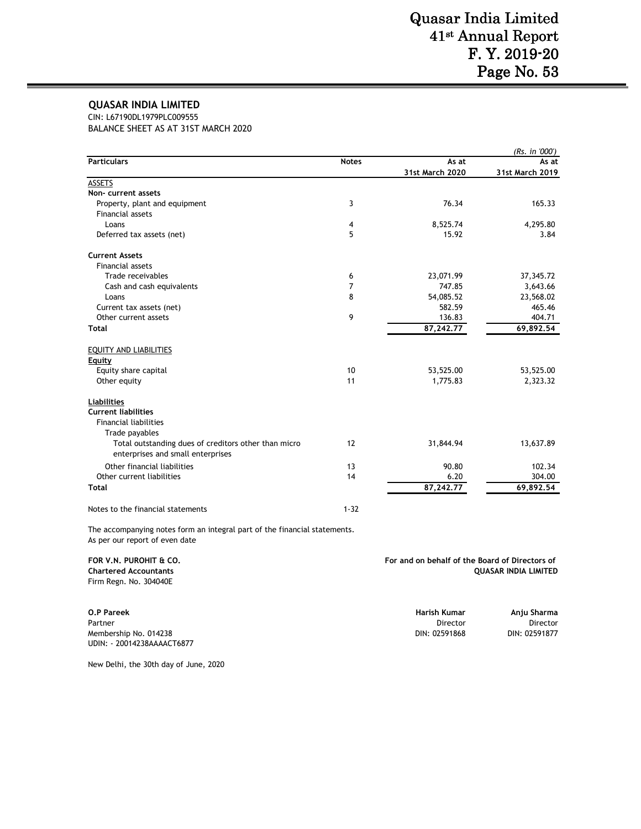Quasar India Limited  $41$ <sup>st</sup> Annual Report F.Y. 2019-20 Page No. 53

i,

## **QUASAR INDIA LIMITED**

CIN: L67190DL1979PLC009555 BALANCE SHEET AS AT 31ST MARCH 2020

|                                                                                           |              |                 | (Rs. in '000')  |
|-------------------------------------------------------------------------------------------|--------------|-----------------|-----------------|
| <b>Particulars</b>                                                                        | <b>Notes</b> | As at           | As at           |
|                                                                                           |              | 31st March 2020 | 31st March 2019 |
| <b>ASSETS</b>                                                                             |              |                 |                 |
| Non-current assets                                                                        |              |                 |                 |
| Property, plant and equipment                                                             | 3            | 76.34           | 165.33          |
| Financial assets                                                                          |              |                 |                 |
| Loans                                                                                     | 4            | 8,525.74        | 4,295.80        |
| Deferred tax assets (net)                                                                 | 5            | 15.92           | 3.84            |
| <b>Current Assets</b>                                                                     |              |                 |                 |
| Financial assets                                                                          |              |                 |                 |
| Trade receivables                                                                         | 6            | 23,071.99       | 37,345.72       |
| Cash and cash equivalents                                                                 | 7            | 747.85          | 3,643.66        |
| Loans                                                                                     | 8            | 54,085.52       | 23,568.02       |
| Current tax assets (net)                                                                  |              | 582.59          | 465.46          |
| Other current assets                                                                      | 9            | 136.83          | 404.71          |
| <b>Total</b>                                                                              |              | 87,242.77       | 69,892.54       |
| <b>EQUITY AND LIABILITIES</b>                                                             |              |                 |                 |
| Equity                                                                                    |              |                 |                 |
| Equity share capital                                                                      | 10           | 53,525.00       | 53,525.00       |
| Other equity                                                                              | 11           | 1,775.83        | 2,323.32        |
| Liabilities                                                                               |              |                 |                 |
| <b>Current liabilities</b>                                                                |              |                 |                 |
| <b>Financial liabilities</b>                                                              |              |                 |                 |
| Trade payables                                                                            |              |                 |                 |
| Total outstanding dues of creditors other than micro<br>enterprises and small enterprises | 12           | 31,844.94       | 13,637.89       |
| Other financial liabilities                                                               | 13           | 90.80           | 102.34          |
| Other current liabilities                                                                 | 14           | 6.20            | 304.00          |
| <b>Total</b>                                                                              |              | 87,242.77       | 69,892.54       |
| Notes to the financial statements                                                         | $1 - 32$     |                 |                 |
| accompaning notes form an integral part of the financial statements                       |              |                 |                 |

The accompanying notes form an integral part of the financial statements. As per our report of even date

**FOR V.N. PUROHIT & C** 

Firm Regn. No. 304040E

Membership No. 014238 DIN: 02591868 DIN: 02591877 UDIN: 20014238AAAACT6877

For and on behalf of the Board of Directors of  $\blacksquare$  . The constants the constants of the constant of the constant of the constant of the constant of the constant of  $\blacksquare$  .  $\blacksquare$  .  $\blacksquare$  .  $\blacksquare$  .  $\blacksquare$  .  $\blacksquare$  .  $\blacksquare$  .  $\blacksquare$  .  $\blacksquare$  .  $\blacksquare$  .  $\blacksquare$  .  $\bl$ **QUASAR INDIA LIMITED** 

| 0.P Pareek            | <b>Harish Kumar</b> | Aniu Sharma   |
|-----------------------|---------------------|---------------|
| Partner               | Director            | Director      |
| Membership No. 014238 | DIN: 02591868       | DIN: 02591877 |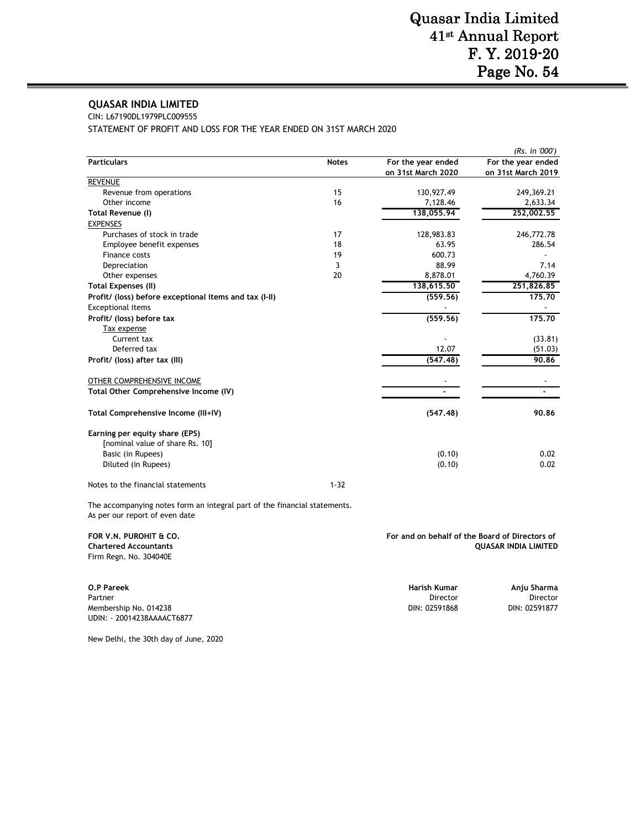# QUASAR INDIA LIMITED

CIN: L67190DL1979PLC009555

STATEMENT OF PROFIT AND LOSS FOR THE YEAR ENDED ON 31ST MARCH 2020

|                                                                                                             |              |                    | (Rs. in '000')     |
|-------------------------------------------------------------------------------------------------------------|--------------|--------------------|--------------------|
| <b>Particulars</b>                                                                                          | <b>Notes</b> | For the year ended | For the year ended |
|                                                                                                             |              | on 31st March 2020 | on 31st March 2019 |
| <b>REVENUE</b>                                                                                              |              |                    |                    |
| Revenue from operations                                                                                     | 15           | 130,927.49         | 249,369.21         |
| Other income                                                                                                | 16           | 7,128.46           | 2,633.34           |
| Total Revenue (I)                                                                                           |              | 138,055.94         | 252,002.55         |
| <b>EXPENSES</b>                                                                                             |              |                    |                    |
| Purchases of stock in trade                                                                                 | 17           | 128,983.83         | 246,772.78         |
| Employee benefit expenses                                                                                   | 18           | 63.95              | 286.54             |
| Finance costs                                                                                               | 19           | 600.73             |                    |
| Depreciation                                                                                                | 3            | 88.99              | 7.14               |
| Other expenses                                                                                              | 20           | 8,878.01           | 4,760.39           |
| <b>Total Expenses (II)</b>                                                                                  |              | 138,615.50         | 251,826.85         |
| Profit/ (loss) before exceptional items and tax (I-II)                                                      |              | (559.56)           | 175,70             |
| <b>Exceptional items</b>                                                                                    |              |                    |                    |
| Profit/ (loss) before tax                                                                                   |              | (559.56)           | 175.70             |
| Tax expense                                                                                                 |              |                    |                    |
| Current tax                                                                                                 |              |                    | (33.81)            |
| Deferred tax                                                                                                |              | 12.07              | (51.03)            |
| Profit/ (loss) after tax (III)                                                                              |              | (547.48)           | 90.86              |
| OTHER COMPREHENSIVE INCOME                                                                                  |              |                    |                    |
| Total Other Comprehensive Income (IV)                                                                       |              |                    |                    |
| Total Comprehensive Income (III+IV)                                                                         |              | (547.48)           | 90.86              |
| Earning per equity share (EPS)                                                                              |              |                    |                    |
| [nominal value of share Rs. 10]                                                                             |              |                    |                    |
| Basic (in Rupees)                                                                                           |              | (0.10)             | 0.02               |
| Diluted (in Rupees)                                                                                         |              | (0.10)             | 0.02               |
| Notes to the financial statements                                                                           | $1 - 32$     |                    |                    |
| The accompanying notes form an integral part of the financial statements.<br>As per our report of even date |              |                    |                    |

**FOR V.N. PUROHIT & C** Firm Regn. No. 304040E

For and on behalf of the Board of Directors of  $\blacksquare$  . The constants the constants of the constants of the constants of the constants of the constants of the constants of the constants of the constants of the constants of the constants of the constants of the constant **QUASAR INDIA LIMITED** 

| 0.P Pareek                 | Harish Kumar  | Aniu Sharma   |
|----------------------------|---------------|---------------|
| Partner                    | Director      | Director      |
| Membership No. 014238      | DIN: 02591868 | DIN: 02591877 |
| UDIN: - 20014238AAAACT6877 |               |               |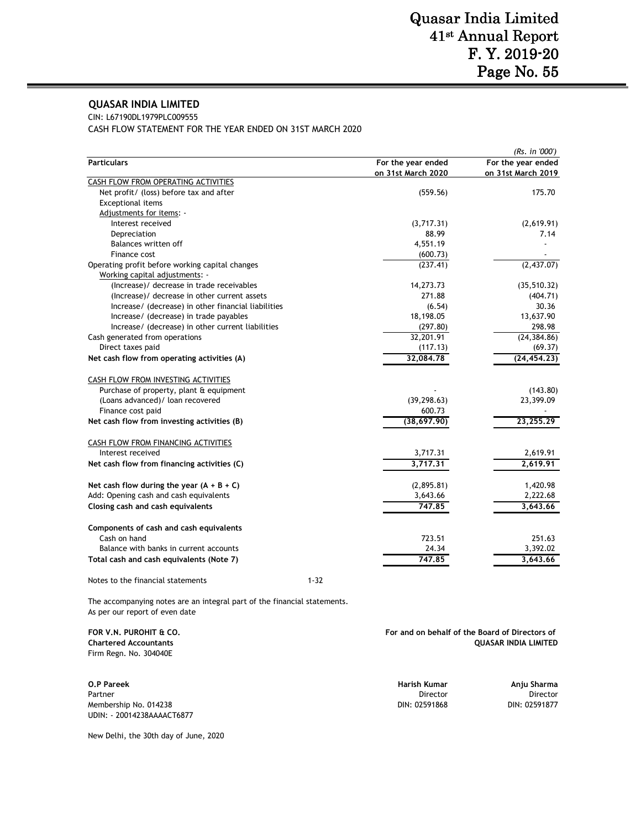## **QUASAR INDIA LIMITED**

CIN: L67190DL1979PLC009555

CASH FLOW STATEMENT FOR THE YEAR ENDED ON 31ST MARCH 2020

|                                                     |                    | (Rs. in '000')     |
|-----------------------------------------------------|--------------------|--------------------|
| <b>Particulars</b>                                  | For the year ended | For the year ended |
|                                                     | on 31st March 2020 | on 31st March 2019 |
| CASH FLOW FROM OPERATING ACTIVITIES                 |                    |                    |
| Net profit/ (loss) before tax and after             | (559.56)           | 175.70             |
| <b>Exceptional items</b>                            |                    |                    |
| Adjustments for items: -                            |                    |                    |
| Interest received                                   | (3,717.31)         | (2,619.91)         |
| Depreciation                                        | 88.99              | 7.14               |
| Balances written off                                | 4,551.19           |                    |
| Finance cost                                        | (600.73)           |                    |
| Operating profit before working capital changes     | (237.41)           | (2,437.07)         |
| Working capital adjustments: -                      |                    |                    |
| (Increase)/ decrease in trade receivables           | 14,273.73          | (35, 510.32)       |
| (Increase)/ decrease in other current assets        | 271.88             | (404.71)           |
| Increase/ (decrease) in other financial liabilities | (6.54)             | 30.36              |
| Increase/ (decrease) in trade payables              | 18,198.05          | 13,637.90          |
| Increase/ (decrease) in other current liabilities   | (297.80)           | 298.98             |
| Cash generated from operations                      | 32,201.91          | (24, 384.86)       |
| Direct taxes paid                                   | (117.13)           | (69.37)            |
| Net cash flow from operating activities (A)         | 32,084.78          | (24, 454, 23)      |
| CASH FLOW FROM INVESTING ACTIVITIES                 |                    |                    |
| Purchase of property, plant & equipment             |                    | (143.80)           |
| (Loans advanced)/ loan recovered                    | (39, 298.63)       | 23,399.09          |
| Finance cost paid                                   | 600.73             |                    |
| Net cash flow from investing activities (B)         | (38,697,90)        | 23,255.29          |
| CASH FLOW FROM FINANCING ACTIVITIES                 |                    |                    |
| Interest received                                   | 3,717.31           | 2,619.91           |
| Net cash flow from financing activities (C)         | 3,717.31           | 2,619.91           |
| Net cash flow during the year $(A + B + C)$         | (2,895.81)         | 1,420.98           |
| Add: Opening cash and cash equivalents              | 3,643.66           | 2,222.68           |
| Closing cash and cash equivalents                   | 747.85             | 3,643.66           |
|                                                     |                    |                    |
| Components of cash and cash equivalents             |                    |                    |
| Cash on hand                                        | 723.51             | 251.63             |
| Balance with banks in current accounts              | 24.34              | 3,392.02           |
| Total cash and cash equivalents (Note 7)            | 747,85             | 3,643.66           |
| $1 - 32$<br>Notes to the financial statements       |                    |                    |

The accompanying notes are an integral part of the financial statements. As per our report of even date

**FOR V.N. PUROHIT & C** Firm Regn. No. 304040E

For and on behalf of the Board of Directors of  $\blacksquare$  . The constants the constants of the constants of the constants of the constants of the constants of the constants of the constants of the constants of the constants of the constants of the constants of the constant **QUASAR INDIA LIMITED** 

| <b>O.P Pareek</b>          | Harish Kumar  | Aniu Sharma   |
|----------------------------|---------------|---------------|
| Partner                    | Director      | Director      |
| Membership No. 014238      | DIN: 02591868 | DIN: 02591877 |
| UDIN: - 20014238AAAACT6877 |               |               |

**11 Harish Kumar 12 Anju Sharma**<br>Director **12 Director** DIN: 02591868 DIN: 02591877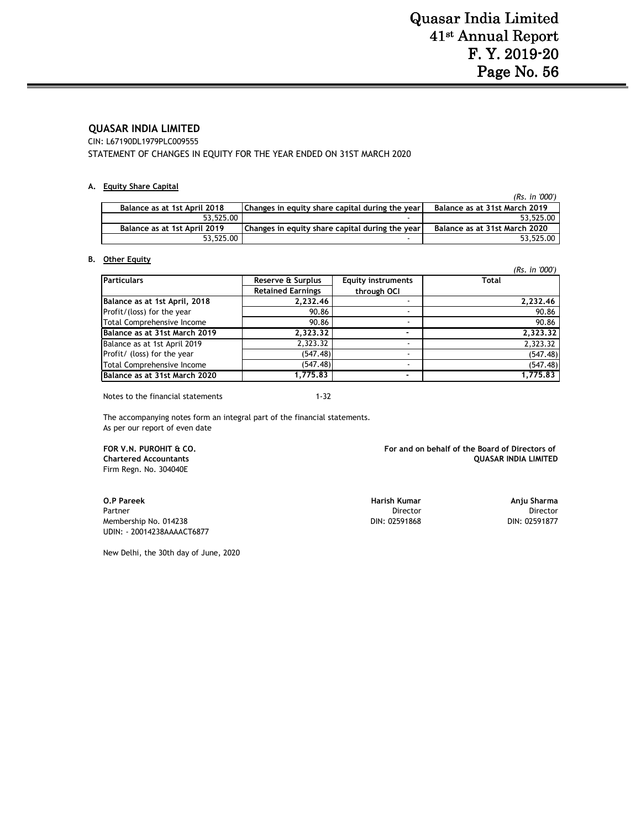## **QUASAR INDIA LIMITED**

STATEMENT OF CHANGES IN EQUITY FOR THE YEAR ENDED ON 31ST MARCH 2020 CIN: L67190DL1979PLC009555

### A. <u>Equity Share Capital</u>

|                              |                                                 | (Rs. in '000')                |
|------------------------------|-------------------------------------------------|-------------------------------|
| Balance as at 1st April 2018 | Changes in equity share capital during the year | Balance as at 31st March 2019 |
| 53,525.00                    |                                                 | 53,525.00                     |
| Balance as at 1st April 2019 | Changes in equity share capital during the year | Balance as at 31st March 2020 |
| 53.525.00                    |                                                 | 53,525.00                     |

### **B.** Other Equity

|                               |                          |                           | (Rs. in '000') |
|-------------------------------|--------------------------|---------------------------|----------------|
| Particulars                   | Reserve & Surplus        | <b>Equity instruments</b> | Total          |
|                               | <b>Retained Earnings</b> | through OCI               |                |
| Balance as at 1st April, 2018 | 2,232.46                 |                           | 2,232.46       |
| Profit/(loss) for the year    | 90.86                    |                           | 90.86          |
| Total Comprehensive Income    | 90.86                    | $\overline{\phantom{a}}$  | 90.86          |
| Balance as at 31st March 2019 | 2.323.32                 | -                         | 2.323.32       |
| Balance as at 1st April 2019  | 2,323.32                 | $\overline{\phantom{a}}$  | 2,323.32       |
| Profit/ (loss) for the year   | (547.48)                 | $\overline{\phantom{a}}$  | (547.48)       |
| Total Comprehensive Income    | (547.48)                 |                           | (547.48)       |
| Balance as at 31st March 2020 | 1.775.83                 | -                         | 1,775.83       |

Notes to the financial statements 1-32

The accompanying notes form an integral part of the financial statements. As per our report of even date

**FOR V.N. PUROHIT & C**  $\blacksquare$  . The constants the constants of the constants of the constants of the constants of the constants of the constants of the constants of the constants of the constants of the constant of the constant of the constant o Firm Regn. No. 304040E

For and on behalf of the Board of Directors of

**QUASAR INDIA LIMITED** 

**O.P Pareek 2.1 Animary 2.1 Animary 2.1 Animary 2.1 Animary 2.1 Animary 2.1 Animary 2.1 Animary 2.1 Animary 2.1 Animary 2.1 Animary 2.1 Animary 2.1 Animary 2.1 Animary 2.1 Animary 2.1 Animary 2.1 Animary 2.1 Animary 2.1** Partner Director Director Director Director Director Director Director Director Director Director Director Director Membership No. 014238 DIN: 02591868 DIN: 02591877 UDIN: 20014238AAAACT6877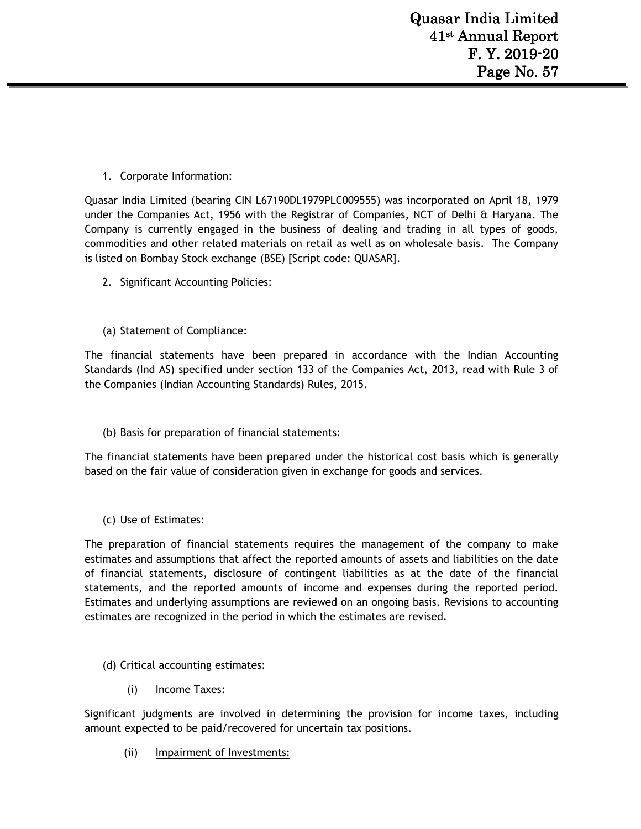1. Corporate Information:

Quasar India Limited (bearing CIN L67190DL1979PLC009555) was incorporated on April 18, 1979 under the Companies Act, 1956 with the Registrar of Companies, NCT of Delhi & Haryana. The Company is currently engaged in the business of dealing and trading in all types of goods, commodities and other related materials on retail as well as on wholesale basis. The Company is listed on Bombay Stock exchange (BSE) [Script code: QUASAR].

- 2. Significant Accounting Policies:
- (a) Statement of Compliance:

The financial statements have been prepared in accordance with the Indian Accounting Standards (Ind AS) specified under section 133 of the Companies Act, 2013, read with Rule 3 of the Companies (Indian Accounting Standards) Rules, 2015.

(b) Basis for preparation of financial statements:

The financial statements have been prepared under the historical cost basis which is generally based on the fair value of consideration given in exchange for goods and services.

(c) Use of Estimates:

The preparation of financial statements requires the management of the company to make estimates and assumptions that affect the reported amounts of assets and liabilities on the date of financial statements, disclosure of contingent liabilities as at the date of the financial statements, and the reported amounts of income and expenses during the reported period. Estimates and underlying assumptions are reviewed on an ongoing basis. Revisions to accounting estimates are recognized in the period in which the estimates are revised.

- (d) Critical accounting estimates:
	- (i) Income Taxes:

Significant judgments are involved in determining the provision for income taxes, including amount expected to be paid/recovered for uncertain tax positions.

(ii) Impairment of Investments: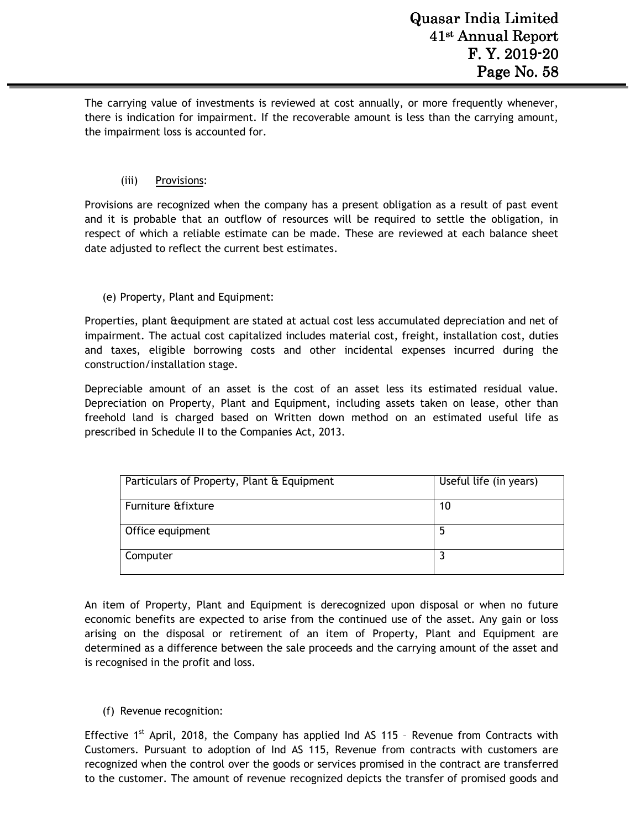The carrying value of investments is reviewed at cost annually, or more frequently whenever, there is indication for impairment. If the recoverable amount is less than the carrying amount, the impairment loss is accounted for.

(iii) Provisions:

Provisions are recognized when the company has a present obligation as a result of past event and it is probable that an outflow of resources will be required to settle the obligation, in respect of which a reliable estimate can be made. These are reviewed at each balance sheet date adjusted to reflect the current best estimates.

(e) Property, Plant and Equipment:

Properties, plant &equipment are stated at actual cost less accumulated depreciation and net of impairment. The actual cost capitalized includes material cost, freight, installation cost, duties and taxes, eligible borrowing costs and other incidental expenses incurred during the construction/installation stage.

Depreciable amount of an asset is the cost of an asset less its estimated residual value. Depreciation on Property, Plant and Equipment, including assets taken on lease, other than freehold land is charged based on Written down method on an estimated useful life as prescribed in Schedule II to the Companies Act, 2013.

| Particulars of Property, Plant & Equipment | Useful life (in years) |
|--------------------------------------------|------------------------|
| Furniture & fixture                        | 10                     |
| Office equipment                           | 5                      |
| Computer                                   |                        |

An item of Property, Plant and Equipment is derecognized upon disposal or when no future economic benefits are expected to arise from the continued use of the asset. Any gain or loss arising on the disposal or retirement of an item of Property, Plant and Equipment are determined as a difference between the sale proceeds and the carrying amount of the asset and is recognised in the profit and loss.

(f) Revenue recognition:

Effective  $1<sup>st</sup>$  April, 2018, the Company has applied Ind AS 115 - Revenue from Contracts with Customers. Pursuant to adoption of Ind AS 115, Revenue from contracts with customers are recognized when the control over the goods or services promised in the contract are transferred to the customer. The amount of revenue recognized depicts the transfer of promised goods and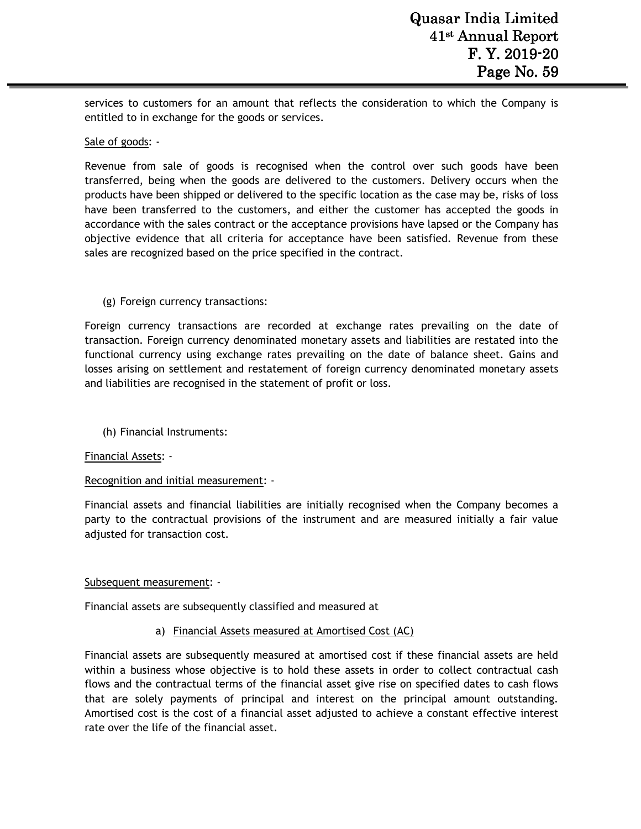services to customers for an amount that reflects the consideration to which the Company is entitled to in exchange for the goods or services.

Sale of goods: -

Revenue from sale of goods is recognised when the control over such goods have been transferred, being when the goods are delivered to the customers. Delivery occurs when the products have been shipped or delivered to the specific location as the case may be, risks of loss have been transferred to the customers, and either the customer has accepted the goods in accordance with the sales contract or the acceptance provisions have lapsed or the Company has objective evidence that all criteria for acceptance have been satisfied. Revenue from these sales are recognized based on the price specified in the contract.

(g) Foreign currency transactions:

Foreign currency transactions are recorded at exchange rates prevailing on the date of transaction. Foreign currency denominated monetary assets and liabilities are restated into the functional currency using exchange rates prevailing on the date of balance sheet. Gains and losses arising on settlement and restatement of foreign currency denominated monetary assets and liabilities are recognised in the statement of profit or loss.

(h) Financial Instruments:

# Financial Assets:

# Recognition and initial measurement:

Financial assets and financial liabilities are initially recognised when the Company becomes a party to the contractual provisions of the instrument and are measured initially a fair value adjusted for transaction cost.

# Subsequent measurement:

Financial assets are subsequently classified and measured at

# a) Financial Assets measured at Amortised Cost (AC)

Financial assets are subsequently measured at amortised cost if these financial assets are held within a business whose objective is to hold these assets in order to collect contractual cash flows and the contractual terms of the financial asset give rise on specified dates to cash flows that are solely payments of principal and interest on the principal amount outstanding. Amortised cost is the cost of a financial asset adjusted to achieve a constant effective interest rate over the life of the financial asset.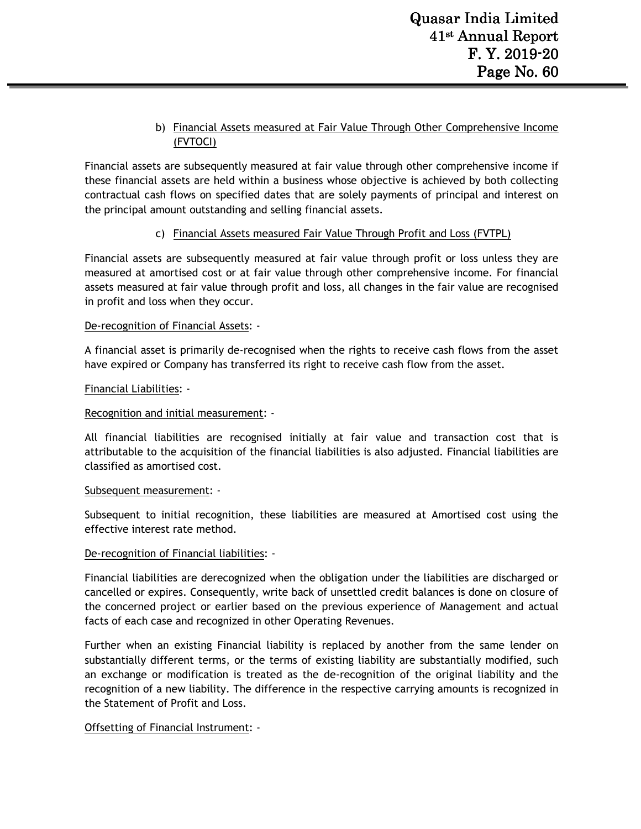# b) Financial Assets measured at Fair Value Through Other Comprehensive Income (FVTOCI)

Financial assets are subsequently measured at fair value through other comprehensive income if these financial assets are held within a business whose objective is achieved by both collecting contractual cash flows on specified dates that are solely payments of principal and interest on the principal amount outstanding and selling financial assets.

# c) Financial Assets measured Fair Value Through Profit and Loss (FVTPL)

Financial assets are subsequently measured at fair value through profit or loss unless they are measured at amortised cost or at fair value through other comprehensive income. For financial assets measured at fair value through profit and loss, all changes in the fair value are recognised in profit and loss when they occur.

# De-recognition of Financial Assets: -

A financial asset is primarily derecognised when the rights to receive cash flows from the asset have expired or Company has transferred its right to receive cash flow from the asset.

# Financial Liabilities:

# Recognition and initial measurement:

All financial liabilities are recognised initially at fair value and transaction cost that is attributable to the acquisition of the financial liabilities is also adjusted. Financial liabilities are classified as amortised cost.

# Subsequent measurement:

Subsequent to initial recognition, these liabilities are measured at Amortised cost using the effective interest rate method.

# De-recognition of Financial liabilities: -

Financial liabilities are derecognized when the obligation under the liabilities are discharged or cancelled or expires. Consequently, write back of unsettled credit balances is done on closure of the concerned project or earlier based on the previous experience of Management and actual facts of each case and recognized in other Operating Revenues.

Further when an existing Financial liability is replaced by another from the same lender on substantially different terms, or the terms of existing liability are substantially modified, such an exchange or modification is treated as the derecognition of the original liability and the recognition of a new liability. The difference in the respective carrying amounts is recognized in the Statement of Profit and Loss.

# Offsetting of Financial Instrument: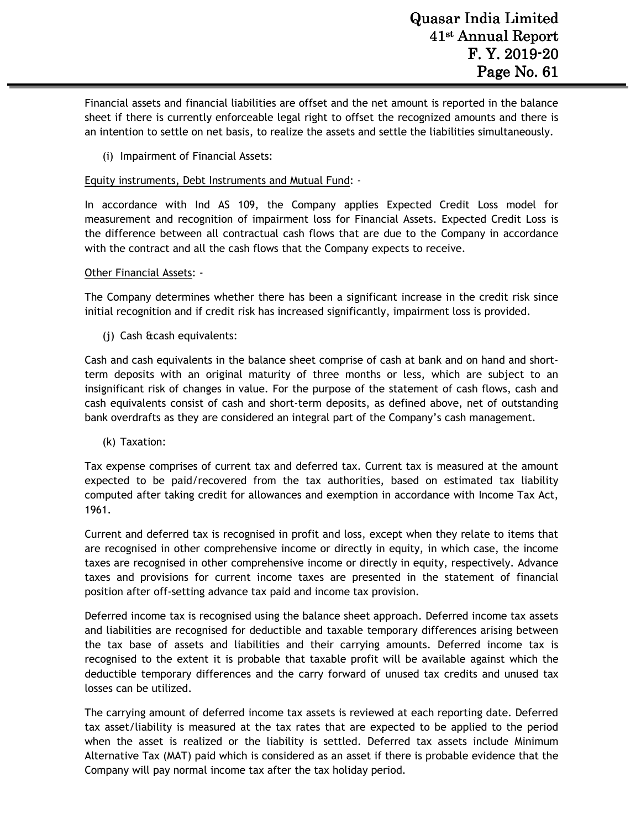Financial assets and financial liabilities are offset and the net amount is reported in the balance sheet if there is currently enforceable legal right to offset the recognized amounts and there is an intention to settle on net basis, to realize the assets and settle the liabilities simultaneously.

(i) Impairment of Financial Assets:

# Equity instruments, Debt Instruments and Mutual Fund:

In accordance with Ind AS 109, the Company applies Expected Credit Loss model for measurement and recognition of impairment loss for Financial Assets. Expected Credit Loss is the difference between all contractual cash flows that are due to the Company in accordance with the contract and all the cash flows that the Company expects to receive.

# Other Financial Assets:

The Company determines whether there has been a significant increase in the credit risk since initial recognition and if credit risk has increased significantly, impairment loss is provided.

(j) Cash &cash equivalents:

Cash and cash equivalents in the balance sheet comprise of cash at bank and on hand and short term deposits with an original maturity of three months or less, which are subject to an insignificant risk of changes in value. For the purpose of the statement of cash flows, cash and cash equivalents consist of cash and short-term deposits, as defined above, net of outstanding bank overdrafts as they are considered an integral part of the Company's cash management.

(k) Taxation:

Tax expense comprises of current tax and deferred tax. Current tax is measured at the amount expected to be paid/recovered from the tax authorities, based on estimated tax liability computed after taking credit for allowances and exemption in accordance with Income Tax Act, 1961.

Current and deferred tax is recognised in profit and loss, except when they relate to items that are recognised in other comprehensive income or directly in equity, in which case, the income taxes are recognised in other comprehensive income or directly in equity, respectively. Advance taxes and provisions for current income taxes are presented in the statement of financial position after off-setting advance tax paid and income tax provision.

Deferred income tax is recognised using the balance sheet approach. Deferred income tax assets and liabilities are recognised for deductible and taxable temporary differences arising between the tax base of assets and liabilities and their carrying amounts. Deferred income tax is recognised to the extent it is probable that taxable profit will be available against which the deductible temporary differences and the carry forward of unused tax credits and unused tax losses can be utilized.

The carrying amount of deferred income tax assets is reviewed at each reporting date. Deferred tax asset/liability is measured at the tax rates that are expected to be applied to the period when the asset is realized or the liability is settled. Deferred tax assets include Minimum Alternative Tax (MAT) paid which is considered as an asset if there is probable evidence that the Company will pay normal income tax after the tax holiday period.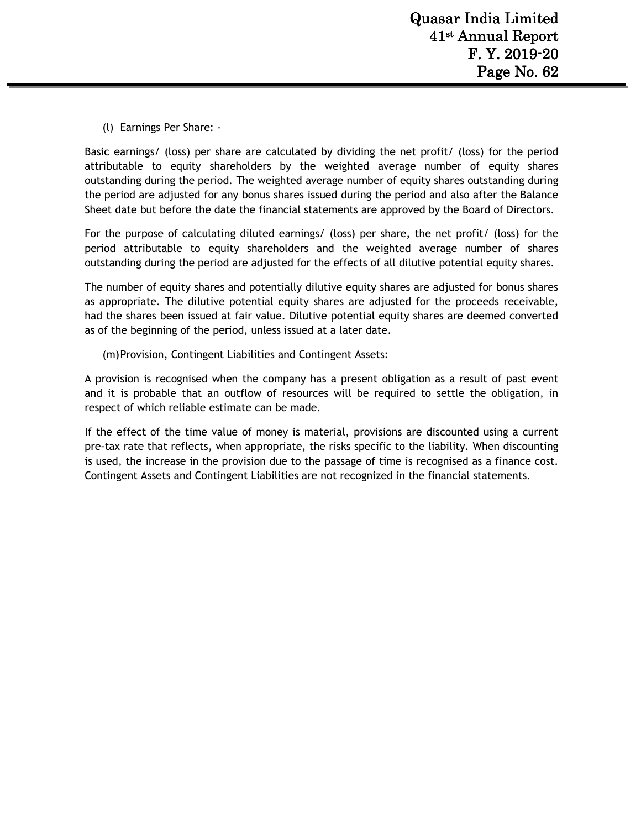(l) Earnings Per Share:

Basic earnings/ (loss) per share are calculated by dividing the net profit/ (loss) for the period attributable to equity shareholders by the weighted average number of equity shares outstanding during the period. The weighted average number of equity shares outstanding during the period are adjusted for any bonus shares issued during the period and also after the Balance Sheet date but before the date the financial statements are approved by the Board of Directors.

For the purpose of calculating diluted earnings/ (loss) per share, the net profit/ (loss) for the period attributable to equity shareholders and the weighted average number of shares outstanding during the period are adjusted for the effects of all dilutive potential equity shares.

The number of equity shares and potentially dilutive equity shares are adjusted for bonus shares as appropriate. The dilutive potential equity shares are adjusted for the proceeds receivable, had the shares been issued at fair value. Dilutive potential equity shares are deemed converted as of the beginning of the period, unless issued at a later date.

(m)Provision, Contingent Liabilities and Contingent Assets:

A provision is recognised when the company has a present obligation as a result of past event and it is probable that an outflow of resources will be required to settle the obligation, in respect of which reliable estimate can be made.

If the effect of the time value of money is material, provisions are discounted using a current pretax rate that reflects, when appropriate, the risks specific to the liability. When discounting is used, the increase in the provision due to the passage of time is recognised as a finance cost. Contingent Assets and Contingent Liabilities are not recognized in the financial statements.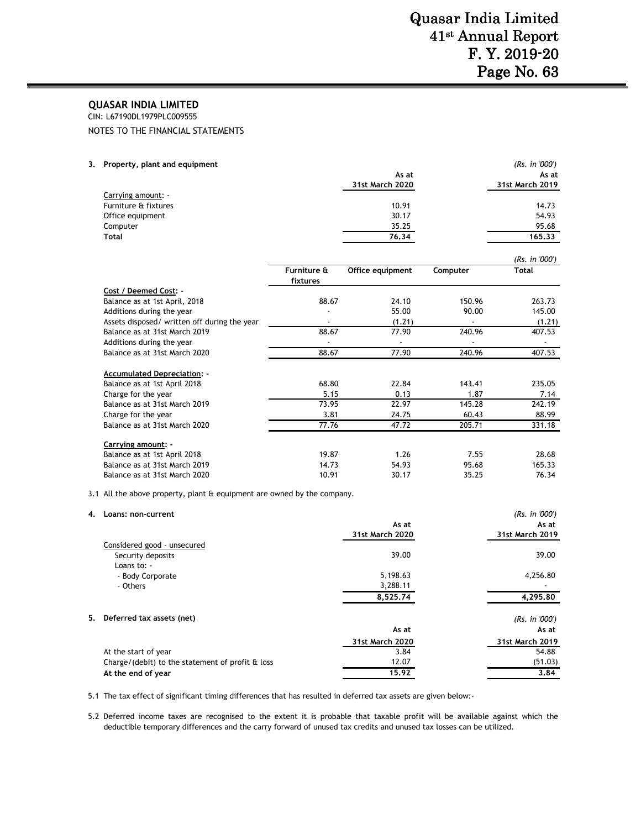# **QUASAR INDIA LIMITED**

CIN: L67190DL1979PLC009555

NOTES TO THE FINANCIAL STATEMENTS

## 3. Property, plant and equipment

| Property, plant and equipment                |                         |                  |          | (Rs. in '000')  |
|----------------------------------------------|-------------------------|------------------|----------|-----------------|
|                                              |                         | As at            |          | As at           |
|                                              |                         | 31st March 2020  |          | 31st March 2019 |
| Carrying amount: -                           |                         |                  |          |                 |
| Furniture & fixtures                         |                         | 10.91            |          | 14.73           |
| Office equipment                             |                         | 30.17            |          | 54.93           |
| Computer                                     |                         | 35.25            |          | 95.68           |
| <b>Total</b>                                 |                         | 76.34            |          | 165.33          |
|                                              |                         |                  |          |                 |
|                                              |                         |                  |          | (Rs. in '000')  |
|                                              | Furniture &<br>fixtures | Office equipment | Computer | <b>Total</b>    |
| Cost / Deemed Cost: -                        |                         |                  |          |                 |
| Balance as at 1st April, 2018                | 88.67                   | 24.10            | 150.96   | 263.73          |
| Additions during the year                    |                         | 55.00            | 90.00    | 145.00          |
| Assets disposed/ written off during the year |                         | (1.21)           |          | (1.21)          |
| Balance as at 31st March 2019                | 88.67                   | 77.90            | 240.96   | 407.53          |
| Additions during the year                    |                         |                  |          |                 |
| Balance as at 31st March 2020                | 88.67                   | 77.90            | 240.96   | 407.53          |
| <b>Accumulated Depreciation: -</b>           |                         |                  |          |                 |
| Balance as at 1st April 2018                 | 68.80                   | 22.84            | 143.41   | 235.05          |
| Charge for the year                          | 5.15                    | 0.13             | 1.87     | 7.14            |
| Balance as at 31st March 2019                | 73.95                   | 22.97            | 145.28   | 242.19          |
| Charge for the year                          | 3.81                    | 24.75            | 60.43    | 88.99           |
| Balance as at 31st March 2020                | 77.76                   | 47.72            | 205.71   | 331.18          |
| Carrying amount: -                           |                         |                  |          |                 |
| Balance as at 1st April 2018                 | 19.87                   | 1.26             | 7.55     | 28.68           |
| Balance as at 31st March 2019                | 14.73                   | 54.93            | 95.68    | 165.33          |
| Balance as at 31st March 2020                | 10.91                   | 30.17            | 35.25    | 76.34           |
|                                              |                         |                  |          |                 |

3.1 All the above property, plant & equipment are owned by the company.

# 4. Loans: non-current

| As at           |
|-----------------|
|                 |
| 31st March 2019 |
|                 |
| 39.00           |
|                 |
| 4,256.80        |
|                 |
| 4,295.80        |
| (Rs. in '000')  |
| As at           |
| 31st March 2019 |
| 54.88           |
| (51.03)         |
| 3.84            |
|                 |

5.1 The tax effect of significant timing differences that has resulted in deferred tax assets are given below:-

5.2 Deferred income taxes are recognised to the extent it is probable that taxable profit will be available against which the deductible temporary differences and the carry forward of unused tax credits and unused tax losses can be utilized.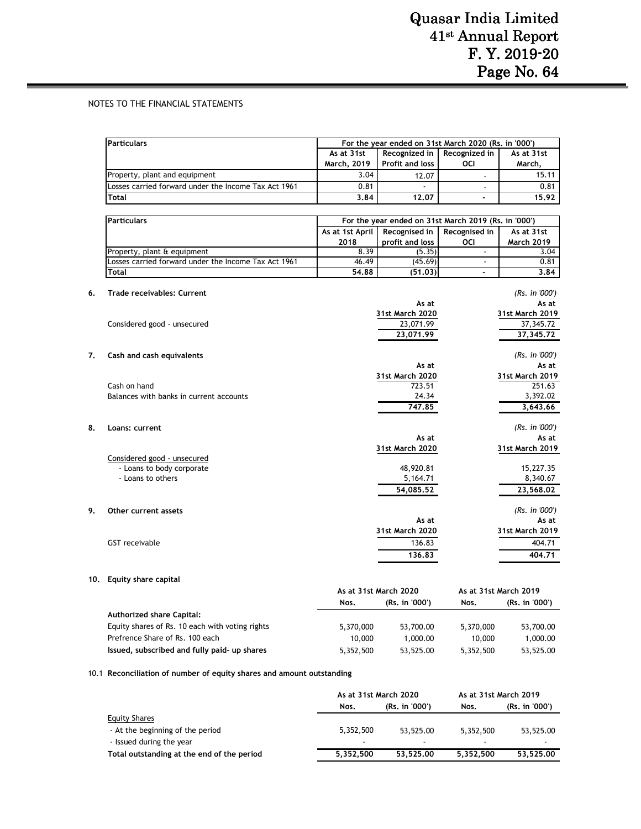# NOTES TO THE FINANCIAL STATEMENTS

|    | <b>Particulars</b>                                   | For the year ended on 31st March 2020 (Rs. in '000') |                                                      |                          |                   |
|----|------------------------------------------------------|------------------------------------------------------|------------------------------------------------------|--------------------------|-------------------|
|    |                                                      | As at 31st                                           | Recognized in                                        | Recognized in            | As at 31st        |
|    |                                                      | March, 2019                                          | Profit and loss                                      | OCI                      | March,            |
|    | Property, plant and equipment                        | 3.04                                                 | 12.07                                                |                          | 15.11             |
|    | Losses carried forward under the Income Tax Act 1961 | 0.81                                                 | L.                                                   | $\blacksquare$           | 0.81              |
|    | Total                                                | 3.84                                                 | 12.07                                                | $\blacksquare$           | 15.92             |
|    | <b>Particulars</b>                                   |                                                      | For the year ended on 31st March 2019 (Rs. in '000') |                          |                   |
|    |                                                      |                                                      | Recognised in                                        | Recognised in            | As at 31st        |
|    |                                                      | As at 1st April<br>2018                              | profit and loss                                      | OCI                      | <b>March 2019</b> |
|    | Property, plant & equipment                          | 8.39                                                 | (5.35)                                               | $\overline{\phantom{a}}$ | 3.04              |
|    | Losses carried forward under the Income Tax Act 1961 | 46.49                                                | (45.69)                                              | $\blacksquare$           | 0.81              |
|    | Total                                                | 54.88                                                | (51.03)                                              |                          | 3.84              |
| 6. | <b>Trade receivables: Current</b>                    |                                                      |                                                      |                          | (Rs. in '000')    |
|    |                                                      |                                                      | As at                                                |                          | As at             |
|    |                                                      |                                                      | 31st March 2020                                      |                          | 31st March 2019   |
|    | Considered good - unsecured                          |                                                      | 23,071.99                                            |                          | 37,345.72         |
|    |                                                      |                                                      | 23,071.99                                            |                          | 37,345.72         |
| 7. | Cash and cash equivalents                            |                                                      |                                                      |                          | (Rs. in '000')    |
|    |                                                      |                                                      | As at                                                |                          | As at             |
|    |                                                      |                                                      | 31st March 2020                                      |                          | 31st March 2019   |
|    | Cash on hand                                         |                                                      | 723.51                                               |                          | 251.63            |
|    | Balances with banks in current accounts              |                                                      | 24.34                                                |                          | 3,392.02          |
|    |                                                      |                                                      | 747.85                                               |                          | 3,643.66          |
| 8. | Loans: current                                       |                                                      |                                                      |                          | (Rs. in '000')    |
|    |                                                      |                                                      | As at                                                |                          | As at             |
|    |                                                      |                                                      | 31st March 2020                                      |                          | 31st March 2019   |
|    | Considered good - unsecured                          |                                                      |                                                      |                          |                   |
|    | - Loans to body corporate                            |                                                      | 48,920.81                                            |                          | 15,227.35         |
|    | - Loans to others                                    |                                                      | 5,164.71                                             |                          | 8,340.67          |
|    |                                                      |                                                      | 54,085.52                                            |                          | 23,568.02         |
| 9. | Other current assets                                 |                                                      |                                                      |                          | (Rs. in '000')    |
|    |                                                      |                                                      | As at                                                |                          | As at             |
|    |                                                      |                                                      | <b>31st March 2020</b>                               |                          | 31st March 2019   |
|    | <b>GST</b> receivable                                |                                                      | 136.83                                               |                          | 404.71            |
|    |                                                      |                                                      | 136.83                                               |                          | 404,71            |
|    |                                                      |                                                      |                                                      |                          |                   |
|    | 10. Equity share capital                             |                                                      |                                                      |                          |                   |

|                                                 | As at 31st March 2020 |                | As at 31st March 2019 |                |
|-------------------------------------------------|-----------------------|----------------|-----------------------|----------------|
|                                                 | Nos.                  | (Rs. in '000') | Nos.                  | (Rs. in '000') |
| <b>Authorized share Capital:</b>                |                       |                |                       |                |
| Equity shares of Rs. 10 each with voting rights | 5.370.000             | 53,700.00      | 5,370,000             | 53,700.00      |
| Prefrence Share of Rs. 100 each                 | 10.000                | 1.000.00       | 10.000                | 1,000.00       |
| Issued, subscribed and fully paid- up shares    | 5,352,500             | 53.525.00      | 5,352,500             | 53.525.00      |

### 10.1 Reconciliation of number of equity shares and amount outstanding

|                                            | As at 31st March 2020 |                | As at 31st March 2019 |                |
|--------------------------------------------|-----------------------|----------------|-----------------------|----------------|
|                                            | Nos.                  | (Rs. in '000') | Nos.                  | (Rs. in '000') |
| <b>Equity Shares</b>                       |                       |                |                       |                |
| - At the beginning of the period           | 5,352,500             | 53.525.00      | 5.352.500             | 53,525.00      |
| - Issued during the year                   | -                     | -              | -                     |                |
| Total outstanding at the end of the period | 5,352,500             | 53.525.00      | 5,352,500             | 53,525.00      |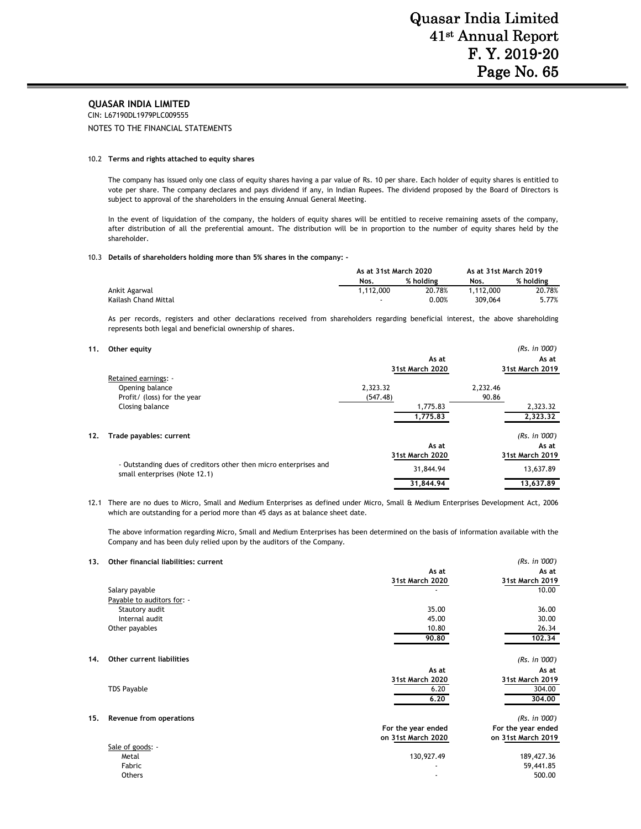(Rs. in '000')

### **QUASAR INDIA LIMITED** CIN: L67190DL1979PLC009555 NOTES TO THE FINANCIAL STATEMENTS

#### 10.2 Terms and rights attached to equity shares

The company has issued only one class of equity shares having a par value of Rs. 10 per share. Each holder of equity shares is entitled to vote per share. The company declares and pays dividend if any, in Indian Rupees. The dividend proposed by the Board of Directors is subject to approval of the shareholders in the ensuing Annual General Meeting.

In the event of liquidation of the company, the holders of equity shares will be entitled to receive remaining assets of the company, after distribution of all the preferential amount. The distribution will be in proportion to the number of equity shares held by the shareholder.

#### 10.3 Details of shareholders holding more than 5% shares in the company: -

|                      |           | As at 31st March 2020 |           | As at 31st March 2019 |  |
|----------------------|-----------|-----------------------|-----------|-----------------------|--|
|                      | Nos.      | % holding             | Nos.      | % holding             |  |
| Ankit Agarwal        | 1,112,000 | 20.78%                | 1.112.000 | 20.78%                |  |
| Kailash Chand Mittal |           | $0.00\%$              | 309,064   | 5.77%                 |  |

As per records, registers and other declarations received from shareholders regarding beneficial interest, the above shareholding represents both legal and beneficial ownership of shares.

#### $11.$  $\bigcap_{k=1}^{n}$  $\ddot{\phantom{a}}$

 $12.$ 

| Other equity                                                                                      |                 | (Rs. in '000')  |
|---------------------------------------------------------------------------------------------------|-----------------|-----------------|
|                                                                                                   | As at           | As at           |
|                                                                                                   | 31st March 2020 | 31st March 2019 |
| Retained earnings: -                                                                              |                 |                 |
| Opening balance                                                                                   | 2.323.32        | 2.232.46        |
| Profit/ (loss) for the year                                                                       | (547.48)        | 90.86           |
| Closing balance                                                                                   | 1,775.83        | 2,323.32        |
|                                                                                                   | 1,775.83        | 2,323.32        |
| Trade payables: current                                                                           |                 | (Rs. in '000')  |
|                                                                                                   | As at           | As at           |
|                                                                                                   | 31st March 2020 | 31st March 2019 |
| - Outstanding dues of creditors other then micro enterprises and<br>small enterprises (Note 12.1) | 31,844.94       | 13,637.89       |
|                                                                                                   | 31,844.94       | 13,637.89       |

#### 12.1 There are no dues to Micro, Small and Medium Enterprises as defined under Micro, Small & Medium Enterprises Development Act, 2006 which are outstanding for a period more than 45 days as at balance sheet date.

The above information regarding Micro, Small and Medium Enterprises has been determined on the basis of information available with the Company and has been duly relied upon by the auditors of the Company.

#### 13. Other financial liabilities: current

|     |                            | As at              | As at              |
|-----|----------------------------|--------------------|--------------------|
|     |                            | 31st March 2020    | 31st March 2019    |
|     | Salary payable             |                    | 10.00              |
|     | Payable to auditors for: - |                    |                    |
|     | Stautory audit             | 35.00              | 36.00              |
|     | Internal audit             | 45.00              | 30.00              |
|     | Other payables             | 10.80              | 26.34              |
|     |                            | 90.80              | 102.34             |
| 14. | Other current liabilities  |                    | (Rs. in '000')     |
|     |                            | As at              | As at              |
|     |                            | 31st March 2020    | 31st March 2019    |
|     | <b>TDS Payable</b>         | 6.20               | 304.00             |
|     |                            | 6,20               | 304.00             |
| 15. | Revenue from operations    |                    | (Rs. in '000')     |
|     |                            | For the year ended | For the year ended |
|     |                            | on 31st March 2020 | on 31st March 2019 |
|     | Sale of goods: -           |                    |                    |
|     | Metal                      | 130,927.49         | 189,427.36         |
|     | Fabric                     |                    | 59,441.85          |
|     | Others                     |                    | 500.00             |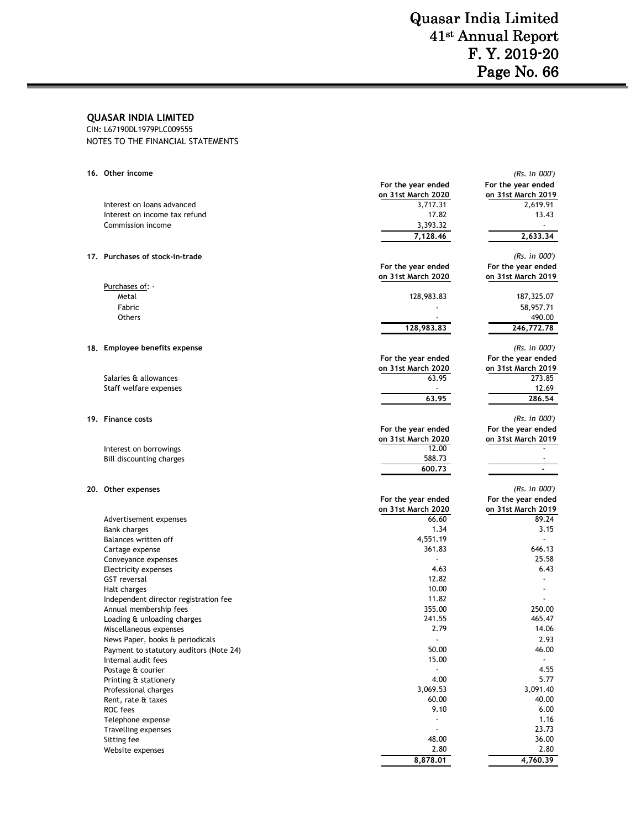Quasar India Limited  $41$ <sup>st</sup> Annual Report F.Y. 2019-20 Page No. 66

i,

### **QUASAR INDIA LIMITED**

CIN: L67190DL1979PLC009555

NOTES TO THE FINANCIAL STATEMENTS

# **16.** Other income (Rs. in '000') (Rs. in '000')

|                                         | For the year ended       | For the year ended |
|-----------------------------------------|--------------------------|--------------------|
|                                         | on 31st March 2020       | on 31st March 2019 |
| Interest on loans advanced              | 3,717.31                 | 2,619.91           |
| Interest on income tax refund           | 17.82                    | 13.43              |
| Commission income                       | 3,393.32                 |                    |
|                                         | 7,128.46                 | 2,633.34           |
|                                         |                          |                    |
| 17. Purchases of stock-in-trade         |                          | (Rs. in '000')     |
|                                         | For the year ended       | For the year ended |
|                                         | on 31st March 2020       | on 31st March 2019 |
| Purchases of: -                         |                          |                    |
| Metal                                   | 128,983.83               | 187,325.07         |
| Fabric                                  |                          | 58,957.71          |
| Others                                  |                          | 490.00             |
|                                         | 128,983.83               | 246,772.78         |
| 18. Employee benefits expense           |                          | (Rs. in '000')     |
|                                         | For the year ended       | For the year ended |
|                                         | on 31st March 2020       | on 31st March 2019 |
| Salaries & allowances                   | 63.95                    | 273.85             |
| Staff welfare expenses                  |                          | 12.69              |
|                                         | 63.95                    | 286.54             |
|                                         |                          |                    |
| 19. Finance costs                       |                          | (Rs. in '000')     |
|                                         | For the year ended       | For the year ended |
|                                         | on 31st March 2020       | on 31st March 2019 |
| Interest on borrowings                  | 12.00                    |                    |
| Bill discounting charges                | 588.73<br>600.73         | $\blacksquare$     |
|                                         |                          |                    |
| 20. Other expenses                      |                          | (Rs. in '000')     |
|                                         | For the year ended       | For the year ended |
|                                         | on 31st March 2020       | on 31st March 2019 |
| Advertisement expenses                  | 66.60                    | 89.24              |
| <b>Bank charges</b>                     | 1.34                     | 3.15               |
| Balances written off                    | 4,551.19                 |                    |
| Cartage expense                         | 361.83                   | 646.13             |
| Conveyance expenses                     |                          | 25.58              |
| <b>Electricity expenses</b>             | 4.63                     | 6.43               |
| <b>GST</b> reversal                     | 12.82                    |                    |
| Halt charges                            | 10.00                    |                    |
| Independent director registration fee   | 11.82                    |                    |
| Annual membership fees                  | 355.00                   | 250.00             |
| Loading & unloading charges             | 241.55                   | 465.47             |
| Miscellaneous expenses                  | 2.79                     | 14.06              |
| News Paper, books & periodicals         |                          | 2.93               |
| Payment to statutory auditors (Note 24) | 50.00                    | 46.00              |
| Internal audit fees                     | 15.00                    | $\sim$             |
| Postage & courier                       | $\overline{\phantom{a}}$ | 4.55               |
| Printing & stationery                   | 4.00                     | 5.77               |
| Professional charges                    | 3,069.53                 | 3,091.40           |
| Rent, rate & taxes                      | 60.00                    | 40.00              |
| ROC fees                                | 9.10                     | 6.00               |
| Telephone expense                       | $\overline{\phantom{a}}$ | 1.16               |
| <b>Travelling expenses</b>              | $\blacksquare$           | 23.73              |
| Sitting fee                             | 48.00                    | 36.00              |
| Website expenses                        | 2.80                     | 2.80               |
|                                         | 8,878.01                 | 4,760.39           |
|                                         |                          |                    |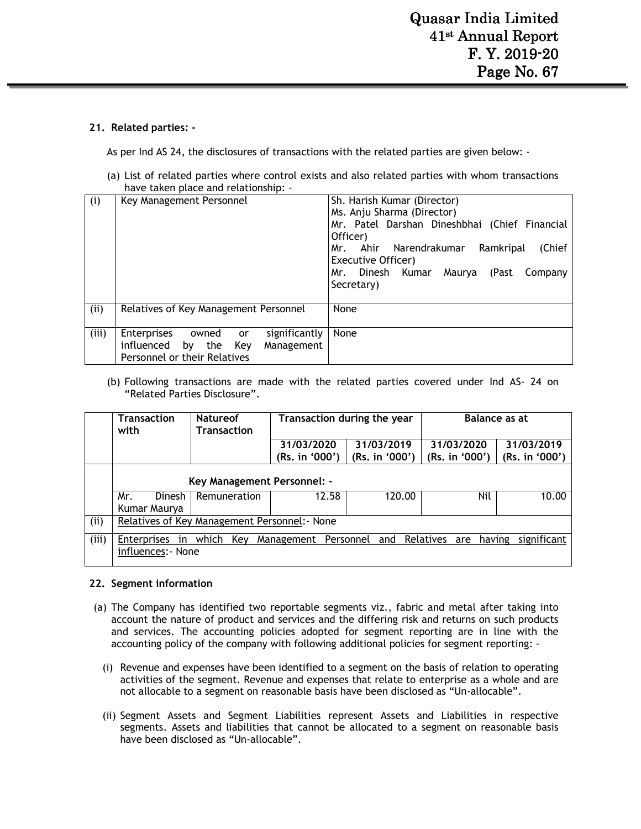# **21. Related parties: -**

As per Ind AS 24, the disclosures of transactions with the related parties are given below:

(a) List of related parties where control exists and also related parties with whom transactions have taken place and relationship: -

| (i)   | Key Management Personnel                                                                                                     | Sh. Harish Kumar (Director)<br>Ms. Anju Sharma (Director)<br>Mr. Patel Darshan Dineshbhai (Chief Financial<br>Officer)<br>Ahir Narendrakumar<br>Mr.<br>Ramkripal<br>(Chief |
|-------|------------------------------------------------------------------------------------------------------------------------------|----------------------------------------------------------------------------------------------------------------------------------------------------------------------------|
|       |                                                                                                                              | Executive Officer)<br>Mr. Dinesh Kumar Maurya<br>(Past)<br>Company<br>Secretary)                                                                                           |
| (ii)  | Relatives of Key Management Personnel                                                                                        | None                                                                                                                                                                       |
| (iii) | Enterprises<br>significantly<br>owned<br><b>or</b><br>influenced by the<br>Key<br>Management<br>Personnel or their Relatives | None                                                                                                                                                                       |

(b) Following transactions are made with the related parties covered under Ind AS- 24 on "Related Parties Disclosure".

|       | <b>Transaction</b><br>with                    | <b>Natureof</b><br><b>Transaction</b>         |                          | Transaction during the year |                            | Balance as at  |
|-------|-----------------------------------------------|-----------------------------------------------|--------------------------|-----------------------------|----------------------------|----------------|
|       |                                               |                                               | 31/03/2020               | 31/03/2019                  | 31/03/2020                 | 31/03/2019     |
|       |                                               |                                               | (Rs. in '000')           | (Rs. in '000')              | (Rs. in '000')             | (Rs. in '000') |
|       | Key Management Personnel: -                   |                                               |                          |                             |                            |                |
|       | Mr.<br>Dinesh                                 | Remuneration                                  | 12.58                    | 120.00                      | Nil                        | 10.00          |
|       | Kumar Maurya                                  |                                               |                          |                             |                            |                |
| (i)   |                                               | Relatives of Key Management Personnel: - None |                          |                             |                            |                |
| (iii) | <b>Enterprises</b><br>in.<br>influences: None | which<br>Kev                                  | Management Personnel and |                             | Relatives<br>having<br>are | significant    |

# **22. Segment information**

- (a) The Company has identified two reportable segments viz., fabric and metal after taking into account the nature of product and services and the differing risk and returns on such products and services. The accounting policies adopted for segment reporting are in line with the accounting policy of the company with following additional policies for segment reporting: -
	- (i) Revenue and expenses have been identified to a segment on the basis of relation to operating activities of the segment. Revenue and expenses that relate to enterprise as a whole and are not allocable to a segment on reasonable basis have been disclosed as "Un-allocable".
	- (ii) Segment Assets and Segment Liabilities represent Assets and Liabilities in respective segments. Assets and liabilities that cannot be allocated to a segment on reasonable basis have been disclosed as "Un-allocable".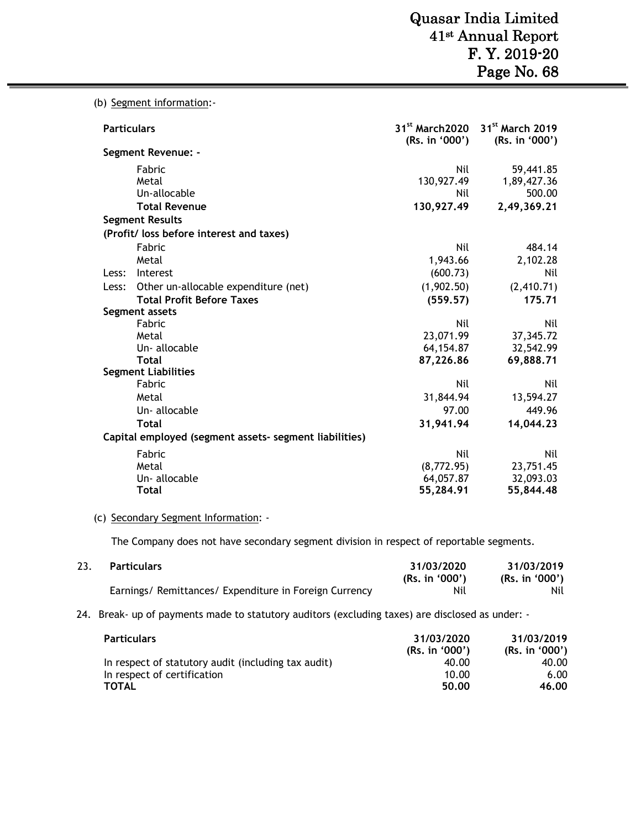(b) Segment information:-

| <b>Particulars</b> |                                                        | $31st$ March 2020<br>(Rs. in '000') | 31 <sup>st</sup> March 2019<br>(Rs. in '000') |
|--------------------|--------------------------------------------------------|-------------------------------------|-----------------------------------------------|
|                    | <b>Segment Revenue: -</b>                              |                                     |                                               |
|                    | Fabric                                                 | Nil                                 | 59,441.85                                     |
|                    | Metal                                                  | 130,927.49                          | 1,89,427.36                                   |
|                    | Un-allocable                                           | Nil                                 | 500.00                                        |
|                    | <b>Total Revenue</b>                                   | 130,927.49                          | 2,49,369.21                                   |
|                    | <b>Segment Results</b>                                 |                                     |                                               |
|                    | (Profit/ loss before interest and taxes)               |                                     |                                               |
|                    | Fabric                                                 | Nil                                 | 484.14                                        |
|                    | Metal                                                  | 1,943.66                            | 2,102.28                                      |
| Less:              | Interest                                               | (600.73)                            | Nil                                           |
| Less:              | Other un-allocable expenditure (net)                   | (1,902.50)                          | (2,410.71)                                    |
|                    | <b>Total Profit Before Taxes</b>                       | (559.57)                            | 175.71                                        |
|                    | Segment assets                                         |                                     |                                               |
|                    | Fabric                                                 | Nil                                 | Nil                                           |
|                    | Metal                                                  | 23,071.99                           | 37,345.72                                     |
|                    | Un-allocable                                           | 64,154.87                           | 32,542.99                                     |
|                    | <b>Total</b>                                           | 87,226.86                           | 69,888.71                                     |
|                    | <b>Segment Liabilities</b>                             |                                     |                                               |
|                    | Fabric                                                 | Nil                                 | Nil                                           |
|                    | Metal                                                  | 31,844.94                           | 13,594.27                                     |
|                    | Un-allocable                                           | 97.00                               | 449.96                                        |
|                    | <b>Total</b>                                           | 31,941.94                           | 14,044.23                                     |
|                    | Capital employed (segment assets- segment liabilities) |                                     |                                               |
|                    | Fabric                                                 | Nil                                 | Nil                                           |
|                    | Metal                                                  | (8,772.95)                          | 23,751.45                                     |
|                    | Un-allocable                                           | 64,057.87                           | 32,093.03                                     |
|                    | Total                                                  | 55,284.91                           | 55,844.48                                     |

# (c) Secondary Segment Information: -

The Company does not have secondary segment division in respect of reportable segments.

| <b>Particulars</b>                                     | 31/03/2020     | 31/03/2019     |
|--------------------------------------------------------|----------------|----------------|
|                                                        | (Rs. in '000') | (Rs. in '000') |
| Earnings/ Remittances/ Expenditure in Foreign Currency | Nil            | Nil            |

24. Break- up of payments made to statutory auditors (excluding taxes) are disclosed as under: -

| <b>Particulars</b>                                  | 31/03/2020     | 31/03/2019     |
|-----------------------------------------------------|----------------|----------------|
|                                                     | (Rs. in '000') | (Rs. in '000') |
| In respect of statutory audit (including tax audit) | 40.00          | 40.00          |
| In respect of certification                         | 10.00          | 6.00           |
| <b>TOTAL</b>                                        | 50.00          | 46.00          |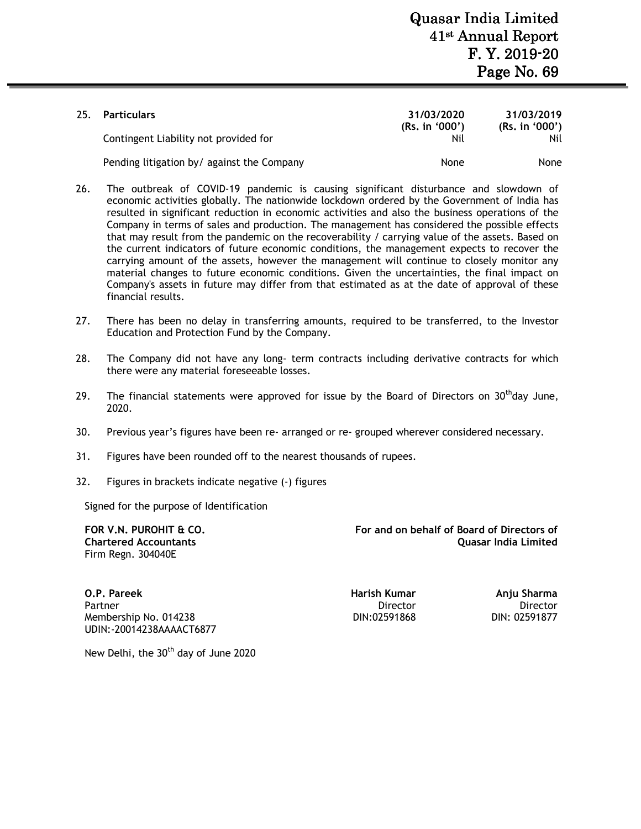Quasar India Limited 41<sup>st</sup> Annual Report F.Y. 2019-20 Page No. 69 i,

| 25. Particulars                            | 31/03/2020<br>(Rs. in '000') | 31/03/2019<br>(Rs. in '000') |  |
|--------------------------------------------|------------------------------|------------------------------|--|
| Contingent Liability not provided for      | Nil                          | Nil                          |  |
| Pending litigation by/ against the Company | None                         | None                         |  |

- 26. The outbreak of COVID-19 pandemic is causing significant disturbance and slowdown of economic activities globally. The nationwide lockdown ordered by the Government of India has resulted in significant reduction in economic activities and also the business operations of the Company in terms of sales and production. The management has considered the possible effects that may result from the pandemic on the recoverability / carrying value of the assets. Based on the current indicators of future economic conditions, the management expects to recover the carrying amount of the assets, however the management will continue to closely monitor any material changes to future economic conditions. Given the uncertainties, the final impact on Company's assets in future may differ from that estimated as at the date of approval of these financial results.
- 27. There has been no delay in transferring amounts, required to be transferred, to the Investor Education and Protection Fund by the Company.
- 28. The Company did not have any long- term contracts including derivative contracts for which there were any material foreseeable losses.
- 29. The financial statements were approved for issue by the Board of Directors on  $30<sup>th</sup>$ day June, 2020.
- 30. Previous year's figures have been re- arranged or re- grouped wherever considered necessary.
- 31. Figures have been rounded off to the nearest thousands of rupees.
- 32. Figures in brackets indicate negative (-) figures

Signed for the purpose of Identification

**FOR V.N. PUROHIT & CO.** Chartered Accountants Firm Regn. 304040E

For and on behalf of Board of Directors of **Quasar India Limited** 

**0.P. Pareek** Partner Membership No. 014238 UDIN:20014238AAAACT6877 **Harish Kumar** Director DIN:02591868

Anju Sharma **Director** DIN: 02591877

New Delhi, the  $30<sup>th</sup>$  day of June 2020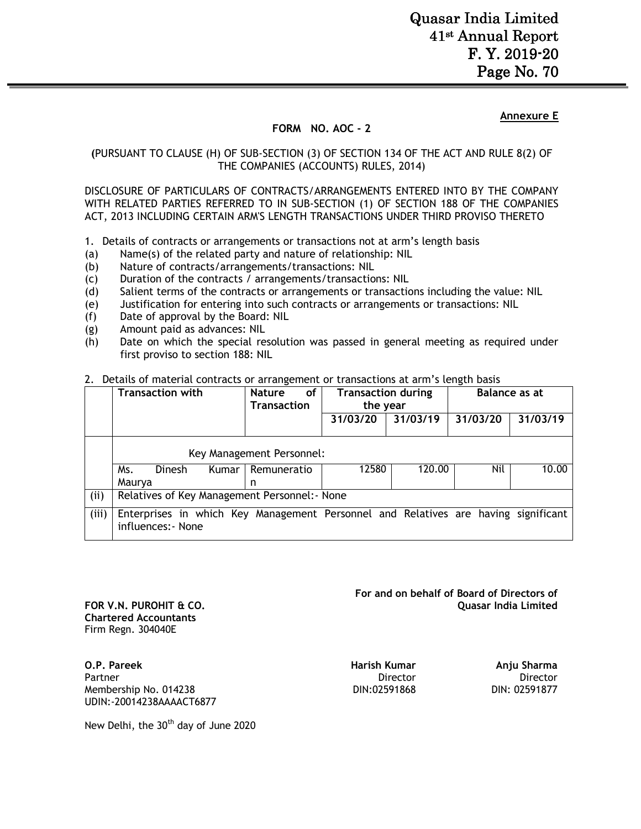Quasar India Limited 41<sup>st</sup> Annual Report F.Y. 2019-20 Page No. 70 i,

# Annexure E

# **FORM NO. AOC - 2**

# (PURSUANT TO CLAUSE (H) OF SUB-SECTION (3) OF SECTION 134 OF THE ACT AND RULE 8(2) OF THE COMPANIES (ACCOUNTS) RULES, 2014)

DISCLOSURE OF PARTICULARS OF CONTRACTS/ARRANGEMENTS ENTERED INTO BY THE COMPANY WITH RELATED PARTIES REFERRED TO IN SUB-SECTION (1) OF SECTION 188 OF THE COMPANIES ACT, 2013 INCLUDING CERTAIN ARM'S LENGTH TRANSACTIONS UNDER THIRD PROVISO THERETO

1. Details of contracts or arrangements or transactions not at arm's length basis

- (a) Name(s) of the related party and nature of relationship: NIL
- (b) Nature of contracts/arrangements/transactions: NIL
- (c) Duration of the contracts / arrangements/transactions: NIL
- (d) Salient terms of the contracts or arrangements or transactions including the value: NIL
- (e) Justification for entering into such contracts or arrangements or transactions: NIL
- (f) Date of approval by the Board: NIL
- (g) Amount paid as advances: NIL
- (h) Date on which the special resolution was passed in general meeting as required under first proviso to section 188: NIL

# 2. Details of material contracts or arrangement or transactions at arm's length basis

|       | <b>Transaction with</b>                                                                                  |       | <b>Nature</b><br><b>of</b><br><b>Transaction</b> | <b>Transaction during</b><br>the year |          | Balance as at |          |  |  |  |
|-------|----------------------------------------------------------------------------------------------------------|-------|--------------------------------------------------|---------------------------------------|----------|---------------|----------|--|--|--|
|       |                                                                                                          |       |                                                  | 31/03/20                              | 31/03/19 | 31/03/20      | 31/03/19 |  |  |  |
|       | Key Management Personnel:                                                                                |       |                                                  |                                       |          |               |          |  |  |  |
|       | Ms.<br><b>Dinesh</b>                                                                                     | Kumar | Remuneratio                                      | 12580                                 | 120.00   | Nil           | 10.00    |  |  |  |
|       | Maurya                                                                                                   |       | n                                                |                                       |          |               |          |  |  |  |
| (ii)  | Relatives of Key Management Personnel: - None                                                            |       |                                                  |                                       |          |               |          |  |  |  |
| (iii) | Enterprises in which Key Management Personnel and Relatives are having significant<br>influences: - None |       |                                                  |                                       |          |               |          |  |  |  |

**FOR V.N. PUROHIT & CO. Chartered Accountants** Firm Regn. 304040E

For and on behalf of Board of Directors of **Quasar India Limited** 

0.P. Pareek Partner Membership No. 014238 UDIN:20014238AAAACT6877 **Harish Kumar Director** DIN:02591868

**Anju Sharma Director** DIN: 02591877

New Delhi, the 30<sup>th</sup> day of June 2020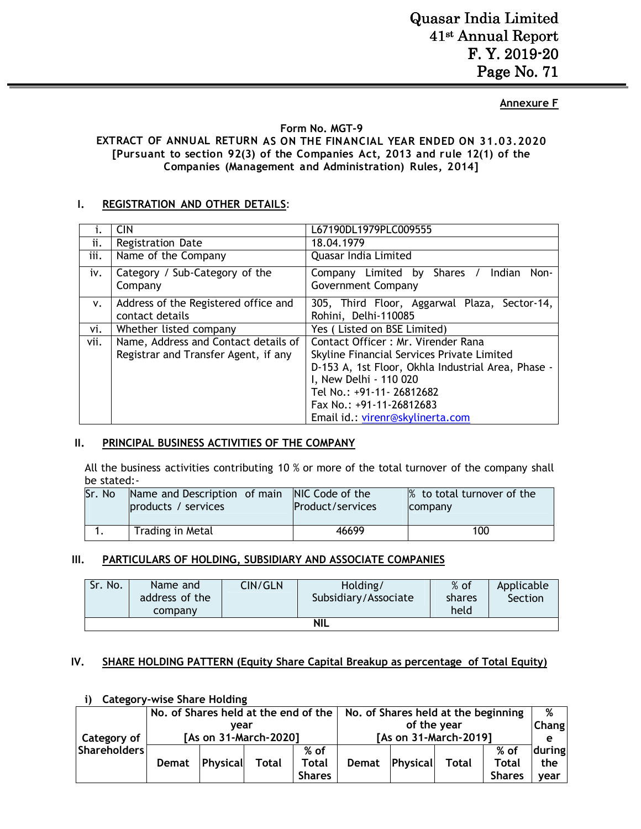# **Annexure F**

Form No. MGT-9

EXTRACT OF ANNUAL RETURN AS ON THE FINANCIAL YEAR ENDED ON 31.03.2020 [Pursuant to section 92(3) of the Companies Act, 2013 and rule 12(1) of the Companies (Management and Administration) Rules, 2014]

#### $\mathbf{L}$ REGISTRATION AND OTHER DETAILS:

|      | <b>CIN</b>                                                                   | L67190DL1979PLC009555                                                                                                                                                                                                                                        |
|------|------------------------------------------------------------------------------|--------------------------------------------------------------------------------------------------------------------------------------------------------------------------------------------------------------------------------------------------------------|
| ii.  | Registration Date                                                            | 18.04.1979                                                                                                                                                                                                                                                   |
| iii. | Name of the Company                                                          | Quasar India Limited                                                                                                                                                                                                                                         |
| iv.  | Category / Sub-Category of the<br>Company                                    | Company Limited by Shares / Indian<br>Non-<br><b>Government Company</b>                                                                                                                                                                                      |
| v.   | Address of the Registered office and<br>contact details                      | 305, Third Floor, Aggarwal Plaza, Sector-14,<br>Rohini, Delhi-110085                                                                                                                                                                                         |
| vi.  | Whether listed company                                                       | Yes (Listed on BSE Limited)                                                                                                                                                                                                                                  |
| vii. | Name, Address and Contact details of<br>Registrar and Transfer Agent, if any | Contact Officer: Mr. Virender Rana<br>Skyline Financial Services Private Limited<br>D-153 A, 1st Floor, Okhla Industrial Area, Phase -<br>I, New Delhi - 110 020<br>Tel No.: +91-11-26812682<br>Fax No.: +91-11-26812683<br>Email id.: virenr@skylinerta.com |

#### $II.$ PRINCIPAL BUSINESS ACTIVITIES OF THE COMPANY

All the business activities contributing 10 % or more of the total turnover of the company shall be stated:-

| Sr. No | Name and Description of main NIC Code of the<br>products / services | Product/services | % to total turnover of the<br>company |
|--------|---------------------------------------------------------------------|------------------|---------------------------------------|
|        | Trading in Metal                                                    | 46699            | 100                                   |

#### $III.$ PARTICULARS OF HOLDING, SUBSIDIARY AND ASSOCIATE COMPANIES

| Sr. No.    | Name and<br>address of the<br>company | CIN/GLN | Holding/<br>Subsidiary/Associate | $%$ of<br>shares<br>held | Applicable<br>Section |  |  |
|------------|---------------------------------------|---------|----------------------------------|--------------------------|-----------------------|--|--|
| <b>NIL</b> |                                       |         |                                  |                          |                       |  |  |

#### IV. SHARE HOLDING PATTERN (Equity Share Capital Breakup as percentage of Total Equity)

# i) Category-wise Share Holding

|                     | No. of Shares held at the end of the $\vert$ No. of Shares held at the beginning |                |  |                       |             |       | %     |               |        |
|---------------------|----------------------------------------------------------------------------------|----------------|--|-----------------------|-------------|-------|-------|---------------|--------|
|                     | vear                                                                             |                |  |                       | of the year |       |       | Chang         |        |
| Category of         | [As on 31-March-2020]                                                            |                |  | [As on 31-March-2019] |             |       |       |               |        |
| <b>Shareholders</b> |                                                                                  |                |  | % of                  |             |       |       | % of          | during |
|                     | Physical<br>Demat                                                                | Total<br>Total |  | Demat                 | Physical    | Total | Total | the           |        |
|                     |                                                                                  |                |  | <b>Shares</b>         |             |       |       | <b>Shares</b> | vear   |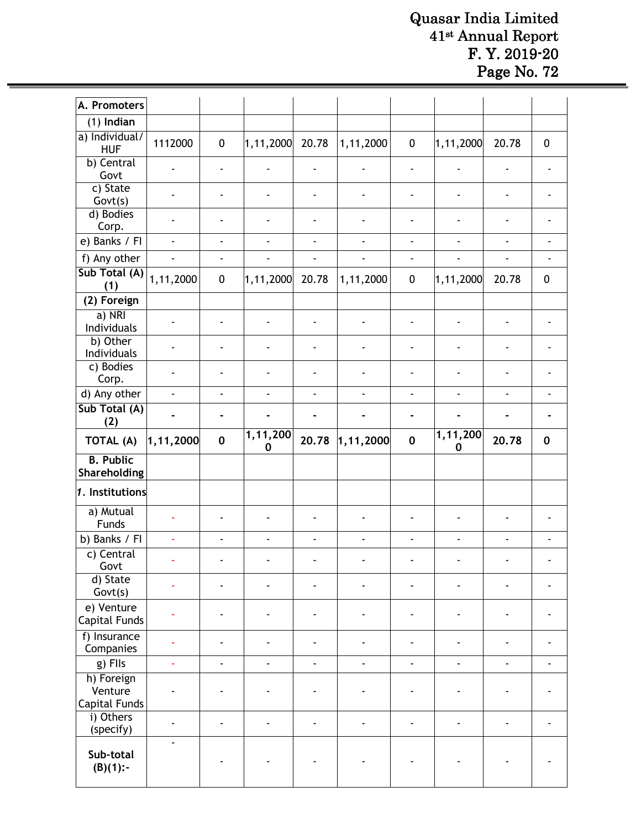i,

| A. Promoters                           |                |                              |                          |                              |                          |                          |                              |                          |                |
|----------------------------------------|----------------|------------------------------|--------------------------|------------------------------|--------------------------|--------------------------|------------------------------|--------------------------|----------------|
| $(1)$ Indian                           |                |                              |                          |                              |                          |                          |                              |                          |                |
| a) Individual/<br><b>HUF</b>           | 1112000        | $\mathbf 0$                  | 1, 11, 2000              | 20.78                        | 1,11,2000                | $\pmb{0}$                | 1,11,2000                    | 20.78                    | $\mathbf 0$    |
| b) Central<br>Govt                     | ÷.             |                              |                          |                              |                          | $\blacksquare$           |                              |                          |                |
| c) State<br>Govt(s)                    |                |                              |                          |                              |                          | $\overline{\phantom{a}}$ |                              |                          |                |
| d) Bodies<br>Corp.                     |                | $\overline{\phantom{a}}$     |                          | $\qquad \qquad \blacksquare$ |                          | $\overline{\phantom{a}}$ | -                            |                          |                |
| e) Banks / FI                          | $\overline{a}$ | $\blacksquare$               | $\overline{\phantom{a}}$ | $\blacksquare$               | $\overline{a}$           | $\overline{\phantom{a}}$ | $\overline{\phantom{0}}$     | $\overline{\phantom{0}}$ |                |
| f) Any other                           | $\blacksquare$ | $\blacksquare$               | $\overline{\phantom{a}}$ | $\blacksquare$               | $\overline{\phantom{a}}$ | $\blacksquare$           | $\qquad \qquad \blacksquare$ | $\blacksquare$           | $\blacksquare$ |
| Sub Total (A)<br>(1)                   | 1,11,2000      | $\pmb{0}$                    | 1,11,2000                | 20.78                        | 1,11,2000                | 0                        | 1,11,2000                    | 20.78                    | $\pmb{0}$      |
| (2) Foreign                            |                |                              |                          |                              |                          |                          |                              |                          |                |
| a) NRI<br>Individuals                  |                | $\qquad \qquad \blacksquare$ |                          | $\qquad \qquad \blacksquare$ |                          | $\overline{\phantom{a}}$ |                              |                          |                |
| b) Other<br>Individuals                |                |                              |                          |                              |                          |                          |                              |                          |                |
| c) Bodies<br>Corp.                     |                | $\overline{a}$               |                          | $\blacksquare$               |                          | $\overline{\phantom{a}}$ |                              |                          |                |
| d) Any other                           | $\blacksquare$ | $\blacksquare$               | $\blacksquare$           | $\qquad \qquad \blacksquare$ | $\overline{a}$           | $\overline{\phantom{a}}$ | $\frac{1}{2}$                | $\overline{a}$           |                |
| Sub Total (A)<br>(2)                   |                |                              |                          |                              |                          |                          |                              |                          |                |
| TOTAL (A)                              | 1, 11, 2000    | $\pmb{0}$                    | 1,11,200<br>0            | 20.78                        | 1, 11, 2000              | $\mathbf 0$              | 1,11,200<br>0                | 20.78                    | $\pmb{0}$      |
| <b>B. Public</b><br>Shareholding       |                |                              |                          |                              |                          |                          |                              |                          |                |
| 1. Institutions                        |                |                              |                          |                              |                          |                          |                              |                          |                |
| a) Mutual<br>Funds                     |                |                              |                          |                              |                          |                          |                              |                          |                |
| b) Banks / Fl                          |                | $\blacksquare$               | $\blacksquare$           | $\frac{1}{2}$                | $\blacksquare$           | $\blacksquare$           | $\overline{a}$               | $\overline{a}$           |                |
| c) Central<br>Govt                     |                |                              |                          |                              |                          |                          |                              |                          |                |
| d) State<br>Govt(s)                    |                |                              |                          |                              |                          |                          |                              |                          |                |
| e) Venture<br>Capital Funds            |                |                              |                          |                              |                          | $\overline{\phantom{a}}$ |                              |                          |                |
| f) Insurance<br>Companies              |                |                              |                          | $\blacksquare$               |                          | $\overline{\phantom{a}}$ |                              | $\overline{a}$           |                |
| g) Flls                                | ä,             | $\blacksquare$               | $\overline{\phantom{a}}$ | $\blacksquare$               | $\overline{\phantom{a}}$ | $\overline{\phantom{a}}$ | $\overline{\phantom{0}}$     | $\frac{1}{2}$            |                |
| h) Foreign<br>Venture<br>Capital Funds |                |                              |                          | $\overline{\phantom{0}}$     |                          | $\blacksquare$           |                              |                          |                |
| i) Others<br>(specify)                 | $\blacksquare$ |                              |                          |                              |                          | $\blacksquare$           |                              |                          |                |
| Sub-total<br>$(B)(1)$ :-               | $\blacksquare$ |                              |                          |                              |                          |                          |                              |                          |                |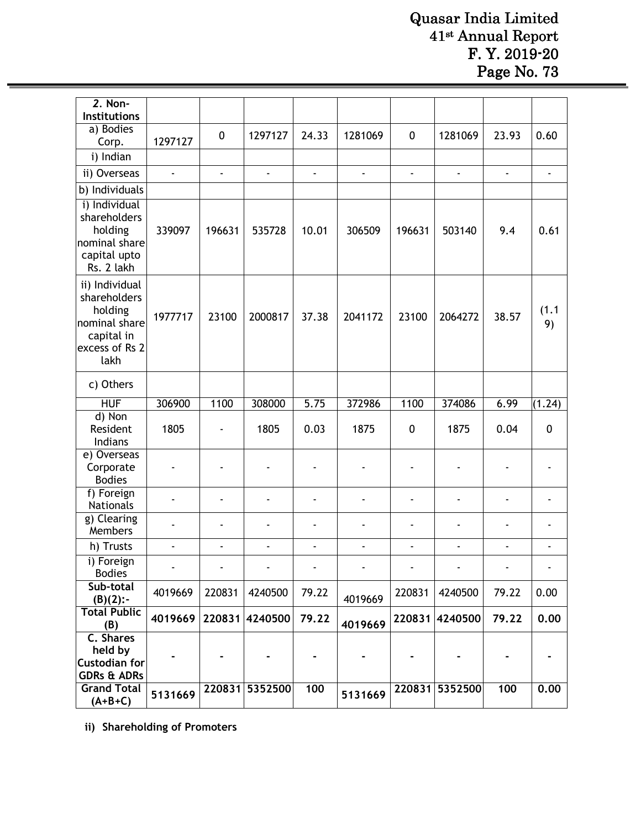| 2. Non-                                                                                            |                          |                |                          |                          |                |                          |                     |                |                |
|----------------------------------------------------------------------------------------------------|--------------------------|----------------|--------------------------|--------------------------|----------------|--------------------------|---------------------|----------------|----------------|
| <b>Institutions</b>                                                                                |                          |                |                          |                          |                |                          |                     |                |                |
| a) Bodies<br>Corp.                                                                                 | 1297127                  | $\mathbf 0$    | 1297127                  | 24.33                    | 1281069        | $\mathbf 0$              | 1281069             | 23.93          | 0.60           |
| i) Indian                                                                                          |                          |                |                          |                          |                |                          |                     |                |                |
| ii) Overseas                                                                                       |                          |                |                          |                          |                |                          |                     |                |                |
| b) Individuals                                                                                     |                          |                |                          |                          |                |                          |                     |                |                |
| i) Individual<br>shareholders<br>holding<br>nominal share<br>capital upto<br>Rs. 2 lakh            | 339097                   | 196631         | 535728                   | 10.01                    | 306509         | 196631                   | 503140              | 9.4            | 0.61           |
| ii) Individual<br>shareholders<br>holding<br>nominal share<br>capital in<br>excess of Rs 2<br>lakh | 1977717                  | 23100          | 2000817                  | 37.38                    | 2041172        | 23100                    | 2064272             | 38.57          | (1.1)<br>9)    |
| c) Others                                                                                          |                          |                |                          |                          |                |                          |                     |                |                |
| <b>HUF</b>                                                                                         | 306900                   | 1100           | 308000                   | 5.75                     | 372986         | 1100                     | 374086              | 6.99           | (1.24)         |
| d) Non<br>Resident<br>Indians                                                                      | 1805                     | $\blacksquare$ | 1805                     | 0.03                     | 1875           | 0                        | 1875                | 0.04           | $\mathbf 0$    |
| e) Overseas<br>Corporate<br><b>Bodies</b>                                                          |                          |                |                          |                          |                |                          |                     |                |                |
| f) Foreign<br><b>Nationals</b>                                                                     |                          |                |                          |                          |                | $\blacksquare$           |                     |                |                |
| g) Clearing<br>Members                                                                             |                          |                |                          |                          |                |                          |                     |                |                |
| h) Trusts                                                                                          | $\overline{\phantom{a}}$ | $\blacksquare$ | $\blacksquare$           | $\overline{\phantom{a}}$ | $\blacksquare$ | $\overline{a}$           | $\bar{\phantom{a}}$ | $\overline{a}$ |                |
| i) Foreign<br><b>Bodies</b>                                                                        | $\blacksquare$           | $\blacksquare$ | $\overline{\phantom{a}}$ | $\blacksquare$           |                | $\overline{\phantom{a}}$ | $\blacksquare$      | $\blacksquare$ | $\blacksquare$ |
| Sub-total<br>$(B)(2)$ :-                                                                           | 4019669                  | 220831         | 4240500                  | 79.22                    | 4019669        | 220831                   | 4240500             | 79.22          | 0.00           |
| <b>Total Public</b><br>(B)                                                                         | 4019669                  |                | 220831 4240500           | 79.22                    | 4019669        | 220831                   | 4240500             | 79.22          | 0.00           |
| C. Shares<br>held by<br><b>Custodian for</b><br><b>GDRs &amp; ADRs</b>                             |                          |                |                          |                          |                |                          |                     |                |                |
| <b>Grand Total</b><br>$(A+B+C)$                                                                    | 5131669                  |                | 220831 5352500           | 100                      | 5131669        | 220831                   | 5352500             | 100            | 0.00           |

ii) Shareholding of Promoters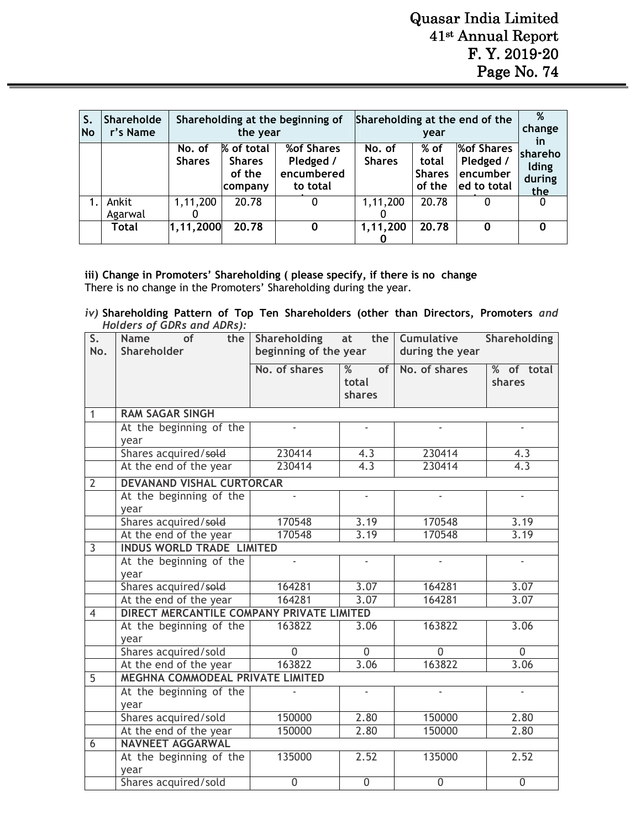| S.<br><b>No</b> | Shareholde<br>r's Name | Shareholding at the beginning of<br>the year |                                                  |                                                   | Shareholding at the end of the | %<br>change                              |                                                           |                                                        |
|-----------------|------------------------|----------------------------------------------|--------------------------------------------------|---------------------------------------------------|--------------------------------|------------------------------------------|-----------------------------------------------------------|--------------------------------------------------------|
|                 |                        | No. of<br><b>Shares</b>                      | % of total<br><b>Shares</b><br>of the<br>company | %of Shares<br>Pledged /<br>encumbered<br>to total | No. of<br><b>Shares</b>        | % of<br>total<br><b>Shares</b><br>of the | <b>%of Shares</b><br>Pledged /<br>encumber<br>ed to total | <b>in</b><br> shareho<br><b>Iding</b><br>during<br>the |
|                 | Ankit<br>Agarwal       | 1,11,200                                     | 20.78                                            | 0                                                 | 1,11,200                       | 20.78                                    | O                                                         |                                                        |
|                 | <b>Total</b>           | 1, 11, 2000                                  | 20.78                                            | 0                                                 | 1,11,200                       | 20.78                                    | 0                                                         |                                                        |

iii) Change in Promoters' Shareholding (please specify, if there is no change There is no change in the Promoters' Shareholding during the year.

iv) Shareholding Pattern of Top Ten Shareholders (other than Directors, Promoters and Holders of GDRs and ADRs):

| $\overline{\mathsf{S}}$ .<br>No. | <i></i><br>of<br>the<br>Name<br>Shareholder | Shareholding<br>beginning of the year | at the                        | <b>Cumulative</b><br>during the year | Shareholding         |
|----------------------------------|---------------------------------------------|---------------------------------------|-------------------------------|--------------------------------------|----------------------|
|                                  |                                             | No. of shares                         | %<br>of <sub>l</sub><br>total | No. of shares                        | % of total<br>shares |
|                                  |                                             |                                       | shares                        |                                      |                      |
| $\mathbf{1}$                     | <b>RAM SAGAR SINGH</b>                      |                                       |                               |                                      |                      |
|                                  | At the beginning of the<br>year             |                                       |                               |                                      |                      |
|                                  | Shares acquired/sold                        | 230414                                | 4.3                           | 230414                               | 4.3                  |
|                                  | At the end of the year                      | 230414                                | 4.3                           | 230414                               | 4.3                  |
| $\overline{2}$                   | DEVANAND VISHAL CURTORCAR                   |                                       |                               |                                      |                      |
|                                  | At the beginning of the                     | $\sim$                                |                               |                                      |                      |
|                                  | year<br>Shares acquired/sold                | 170548                                | 3.19                          | 170548                               | 3.19                 |
|                                  | At the end of the year                      | 170548                                | 3.19                          | 170548                               | 3.19                 |
| $\overline{3}$                   | <b>INDUS WORLD TRADE LIMITED</b>            |                                       |                               |                                      |                      |
|                                  | At the beginning of the                     |                                       |                               |                                      |                      |
|                                  | year                                        |                                       |                               |                                      |                      |
|                                  | Shares acquired/sold                        | 164281                                | 3.07                          | 164281                               | 3.07                 |
|                                  | At the end of the year                      | 164281                                | 3.07                          | 164281                               | 3.07                 |
| $\overline{4}$                   | DIRECT MERCANTILE COMPANY PRIVATE LIMITED   |                                       |                               |                                      |                      |
|                                  | At the beginning of the<br>year             | 163822                                | 3.06                          | 163822                               | 3.06                 |
|                                  | Shares acquired/sold                        | $\overline{0}$                        | $\overline{0}$                | $\mathbf 0$                          | $\mathbf{0}$         |
|                                  | At the end of the year                      | 163822                                | 3.06                          | 163822                               | 3.06                 |
| $\overline{5}$                   | <b>MEGHNA COMMODEAL PRIVATE LIMITED</b>     |                                       |                               |                                      |                      |
|                                  | At the beginning of the                     |                                       |                               |                                      |                      |
|                                  | year                                        |                                       |                               |                                      |                      |
|                                  | Shares acquired/sold                        | 150000                                | 2.80                          | 150000                               | 2.80                 |
|                                  | At the end of the year                      | 150000                                | 2.80                          | 150000                               | 2.80                 |
| 6                                | <b>NAVNEET AGGARWAL</b>                     |                                       |                               |                                      |                      |
|                                  | At the beginning of the<br>year             | 135000                                | 2.52                          | 135000                               | 2.52                 |
|                                  | Shares acquired/sold                        | $\overline{0}$                        | $\overline{0}$                | $\overline{0}$                       | $\overline{0}$       |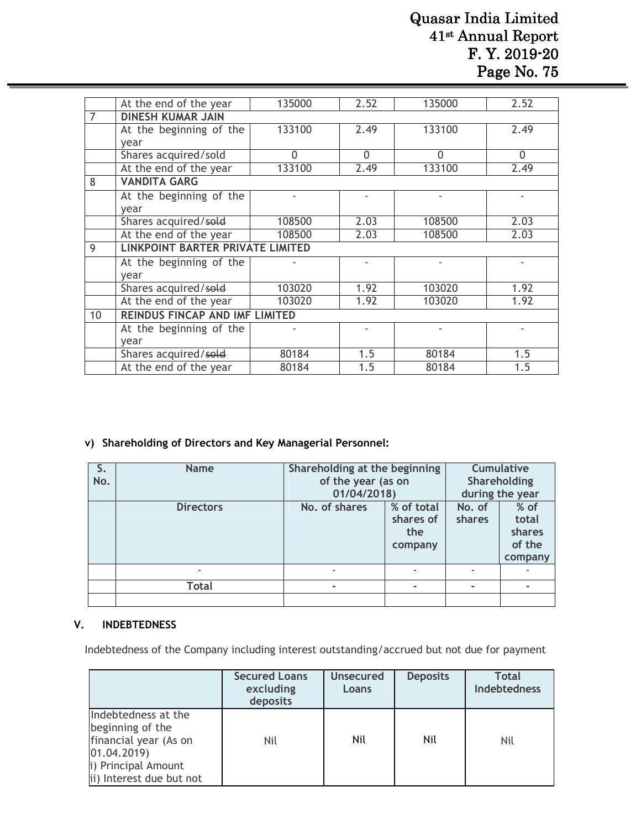|                | At the end of the year                  | 135000   | 2.52                     | 135000   | 2.52     |
|----------------|-----------------------------------------|----------|--------------------------|----------|----------|
| $\overline{7}$ | <b>DINESH KUMAR JAIN</b>                |          |                          |          |          |
|                | At the beginning of the                 | 133100   | 2.49                     | 133100   | 2.49     |
|                | vear                                    |          |                          |          |          |
|                | Shares acquired/sold                    | $\Omega$ | $\Omega$                 | $\Omega$ | $\Omega$ |
|                | At the end of the year                  | 133100   | 2.49                     | 133100   | 2.49     |
| 8              | <b>VANDITA GARG</b>                     |          |                          |          |          |
|                | At the beginning of the                 |          | $\overline{\phantom{a}}$ |          |          |
|                | year                                    |          |                          |          |          |
|                | Shares acquired/sold                    | 108500   | 2.03                     | 108500   | 2.03     |
|                | At the end of the year                  | 108500   | 2.03                     | 108500   | 2.03     |
| 9              | <b>LINKPOINT BARTER PRIVATE LIMITED</b> |          |                          |          |          |
|                | At the beginning of the                 |          |                          |          |          |
|                | year                                    |          |                          |          |          |
|                | Shares acquired/sold                    | 103020   | 1.92                     | 103020   | 1.92     |
|                | At the end of the year                  | 103020   | 1.92                     | 103020   | 1.92     |
| 10             | <b>REINDUS FINCAP AND IMF LIMITED</b>   |          |                          |          |          |
|                | At the beginning of the                 |          |                          |          |          |
|                | year                                    |          |                          |          |          |
|                | Shares acquired/sold                    | 80184    | 1.5                      | 80184    | 1.5      |
|                | At the end of the year                  | 80184    | 1.5                      | 80184    | 1.5      |

## v) Shareholding of Directors and Key Managerial Personnel:

| S.  | <b>Name</b>      | Shareholding at the beginning |                 |        | <b>Cumulative</b> |  |
|-----|------------------|-------------------------------|-----------------|--------|-------------------|--|
| No. |                  | of the year (as on            | Shareholding    |        |                   |  |
|     |                  | 01/04/2018)                   | during the year |        |                   |  |
|     | <b>Directors</b> | No. of shares                 | % of total      |        | % of              |  |
|     |                  |                               | shares of       | shares | total             |  |
|     |                  |                               | the             |        | shares            |  |
|     |                  |                               | company         |        | of the            |  |
|     |                  |                               |                 |        | company           |  |
|     |                  | -                             |                 |        |                   |  |
|     | Total            |                               |                 | ۰      |                   |  |
|     |                  |                               |                 |        |                   |  |

### V. **INDEBTEDNESS**

Indebtedness of the Company including interest outstanding/accrued but not due for payment

|                                                                                                                                   | <b>Secured Loans</b><br>excluding<br>deposits | <b>Unsecured</b><br>Loans | <b>Deposits</b> | <b>Total</b><br><b>Indebtedness</b> |
|-----------------------------------------------------------------------------------------------------------------------------------|-----------------------------------------------|---------------------------|-----------------|-------------------------------------|
| Indebtedness at the<br>beginning of the<br>financial year (As on<br>01.04.2019<br>i) Principal Amount<br>ii) Interest due but not | Nil                                           | Nil                       | Nil             | Nil                                 |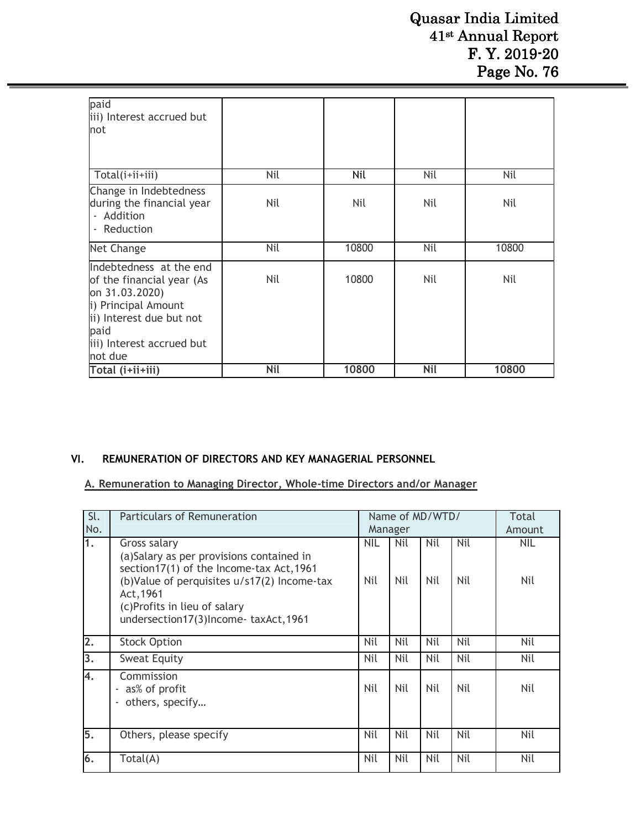i,

| paid<br>iii) Interest accrued but<br>not                                                                                                                                  |            |       |            |       |
|---------------------------------------------------------------------------------------------------------------------------------------------------------------------------|------------|-------|------------|-------|
| Total(i+ii+iii)                                                                                                                                                           | Nil        | Nil   | Nil        | Nil   |
| Change in Indebtedness<br>during the financial year<br>- Addition<br>- Reduction                                                                                          | Nil        | Nil   | Nil        | Nil   |
| Net Change                                                                                                                                                                | Nil        | 10800 | Nil        | 10800 |
| Indebtedness at the end<br>of the financial year (As<br>on 31.03.2020)<br>i) Principal Amount<br>ii) Interest due but not<br>paid<br>iii) Interest accrued but<br>not due | Nil        | 10800 | Nil        | Nil   |
| Total (i+ii+iii)                                                                                                                                                          | <b>Nil</b> | 10800 | <b>Nil</b> | 10800 |

### VI. REMUNERATION OF DIRECTORS AND KEY MANAGERIAL PERSONNEL

## A. Remuneration to Managing Director, Whole-time Directors and/or Manager

| Sl.<br>No. | Particulars of Remuneration                                                                                                                                                                                                             | Name of MD/WTD/<br>Manager |            |            |                          | Total<br>Amount   |
|------------|-----------------------------------------------------------------------------------------------------------------------------------------------------------------------------------------------------------------------------------------|----------------------------|------------|------------|--------------------------|-------------------|
| 1.         | Gross salary<br>(a)Salary as per provisions contained in<br>section17(1) of the Income-tax Act, 1961<br>(b)Value of perquisites u/s17(2) Income-tax<br>Act, 1961<br>(c)Profits in lieu of salary<br>undersection17(3)Income-taxAct,1961 | <b>NIL</b><br>Nil          | Nil<br>Nil | Nil<br>Nil | <b>Nil</b><br><b>Nil</b> | <b>NIL</b><br>Nil |
| 2.         | <b>Stock Option</b>                                                                                                                                                                                                                     | Nil                        | Nil        | Nil        | <b>Nil</b>               | Nil               |
| 3.         | <b>Sweat Equity</b>                                                                                                                                                                                                                     | Nil                        | Nil        | Nil        | Nil                      | Nil               |
| 4.         | Commission<br>as% of profit<br>$\overline{\phantom{a}}$<br>others, specify<br>$\overline{\phantom{a}}$                                                                                                                                  | Nil                        | Nil        | <b>Nil</b> | <b>Nil</b>               | Nil               |
| 5.         | Others, please specify                                                                                                                                                                                                                  | <b>Nil</b>                 | Nil        | <b>Nil</b> | <b>Nil</b>               | Nil               |
| 6.         | Total(A)                                                                                                                                                                                                                                | Nil                        | Nil        | Nil        | Nil                      | Nil               |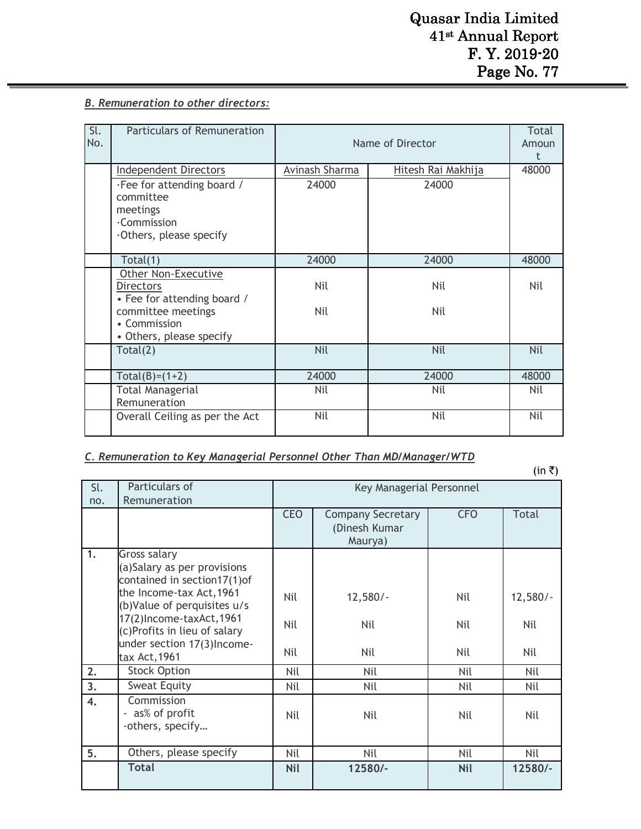i,

### <u>B. Remuneration to other directors:</u>

| Sl.<br>No. | <b>Particulars of Remuneration</b> | Name of Director | Total<br>Amoun<br>t |       |
|------------|------------------------------------|------------------|---------------------|-------|
|            | <b>Independent Directors</b>       | Avinash Sharma   | Hitesh Rai Makhija  | 48000 |
|            | · Fee for attending board /        | 24000            | 24000               |       |
|            | committee                          |                  |                     |       |
|            | meetings<br><b>Commission</b>      |                  |                     |       |
|            | ·Others, please specify            |                  |                     |       |
|            |                                    |                  |                     |       |
|            | Total(1)                           | 24000            | 24000               | 48000 |
|            | Other Non-Executive                |                  |                     |       |
|            | <b>Directors</b>                   | Nil              | Nil                 | Nil   |
|            | • Fee for attending board /        |                  |                     |       |
|            | committee meetings<br>• Commission | Nil              | Nil                 |       |
|            | • Others, please specify           |                  |                     |       |
|            | Total(2)                           | Nil              | Nil                 | Nil   |
|            |                                    |                  |                     |       |
|            | $Total(B)=(1+2)$                   | 24000            | 24000               | 48000 |
|            | <b>Total Managerial</b>            | Nil              | Nil                 | Nil   |
|            | Remuneration                       |                  |                     |       |
|            | Overall Ceiling as per the Act     | Nil              | Nil                 | Nil   |
|            |                                    |                  |                     |       |

### <u>C. Remuneration to Key Managerial Personnel Other Than MD/Manager/WTD</u>

 $(in \overline{\tau})$ 

| Sl. | Particulars of                                                                                                                                                                                                                                    |                   | Key Managerial Personnel                             |                   |                          |
|-----|---------------------------------------------------------------------------------------------------------------------------------------------------------------------------------------------------------------------------------------------------|-------------------|------------------------------------------------------|-------------------|--------------------------|
| no. | Remuneration                                                                                                                                                                                                                                      |                   |                                                      |                   |                          |
|     |                                                                                                                                                                                                                                                   | <b>CEO</b>        | <b>Company Secretary</b><br>(Dinesh Kumar<br>Maurya) | <b>CFO</b>        | Total                    |
| 1.  | Gross salary<br>(a)Salary as per provisions<br>contained in section17(1)of<br>the Income-tax Act, 1961<br>(b)Value of perquisites u/s<br>17(2) Income-taxAct, 1961<br>(c)Profits in lieu of salary<br>under section 17(3)Income-<br>tax Act, 1961 | Nil<br>Nil<br>Nil | $12,580/-$<br>Nil<br>Nil                             | Nil<br>Nil<br>Nil | $12,580/-$<br>Nil<br>Nil |
| 2.  | <b>Stock Option</b>                                                                                                                                                                                                                               | Nil               | Nil                                                  | Nil               | Nil                      |
| 3.  | <b>Sweat Equity</b>                                                                                                                                                                                                                               | Nil               | Nil                                                  | Nil               | Nil                      |
| 4.  | Commission<br>- as% of profit<br>-others, specify                                                                                                                                                                                                 | Nil               | Nil                                                  | Nil               | Nil                      |
| 5.  | Others, please specify                                                                                                                                                                                                                            | Nil               | Nil                                                  | Nil               | Nil                      |
|     | <b>Total</b>                                                                                                                                                                                                                                      | <b>Nil</b>        | 12580/-                                              | <b>Nil</b>        | 12580/-                  |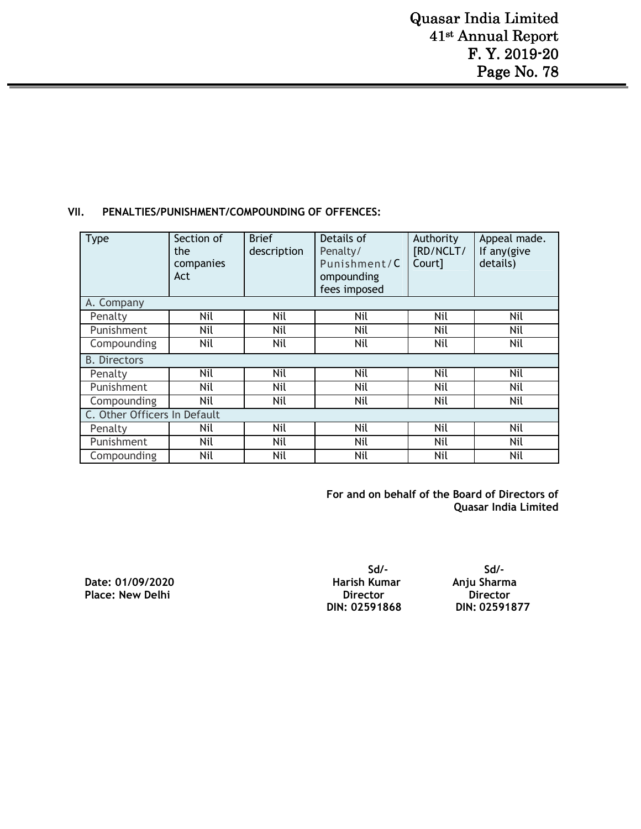### VII. PENALTIES/PUNISHMENT/COMPOUNDING OF OFFENCES:

| <b>Type</b>                  | Section of<br>the<br>companies<br>Act | <b>Brief</b><br>description | Details of<br>Penalty/<br>Punishment/C<br>ompounding<br>fees imposed | Authority<br>[RD/NCLT/<br>Court] | Appeal made.<br>If any (give<br>details) |
|------------------------------|---------------------------------------|-----------------------------|----------------------------------------------------------------------|----------------------------------|------------------------------------------|
| A. Company                   |                                       |                             |                                                                      |                                  |                                          |
| Penalty                      | Nil                                   | Nil                         | Nil                                                                  | Nil                              | Nil                                      |
| Punishment                   | Nil                                   | Nil                         | Nil                                                                  | Nil                              | Nil                                      |
| Compounding                  | Nil                                   | Nil                         | Nil                                                                  | Nil                              | Nil                                      |
| <b>B.</b> Directors          |                                       |                             |                                                                      |                                  |                                          |
| Penalty                      | Nil                                   | Nil                         | Nil                                                                  | Nil                              | Nil                                      |
| Punishment                   | Nil                                   | Nil                         | Nil                                                                  | Nil                              | Nil                                      |
| Compounding                  | Nil                                   | Nil                         | Nil                                                                  | Nil                              | Nil                                      |
| C. Other Officers In Default |                                       |                             |                                                                      |                                  |                                          |
| Penalty                      | Nil                                   | Nil                         | Nil                                                                  | Nil                              | Nil                                      |
| Punishment                   | Nil                                   | Nil                         | Nil                                                                  | Nil                              | Nil                                      |
| Compounding                  | Nil                                   | Nil                         | Nil                                                                  | Nil                              | Nil                                      |

For and on behalf of the Board of Directors of Quasar India Limited

Date: 01/09/2020 Place: New Delhi

 $Sd$ /-**Harish Kumar Director** DIN: 02591868

 $Sd$ /-Anju Sharma **Director** DIN: 02591877